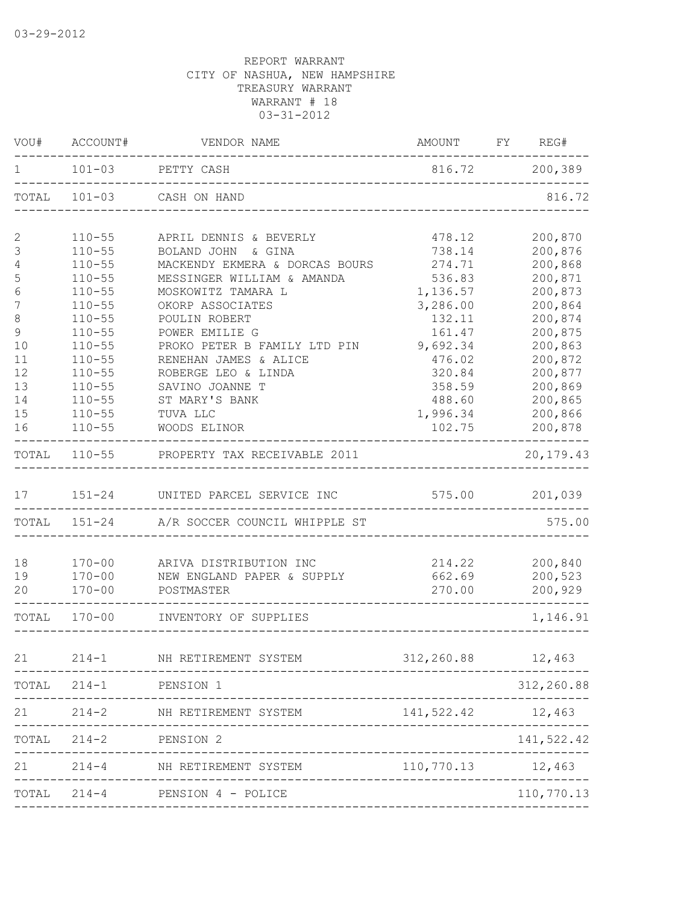| VOU#         | ACCOUNT#                 | VENDOR NAME                                              | AMOUNT FY REG#     |                    |
|--------------|--------------------------|----------------------------------------------------------|--------------------|--------------------|
| 1            | $101 - 03$               | PETTY CASH                                               | 816.72 200,389     |                    |
|              | TOTAL 101-03             | CASH ON HAND                                             |                    | 816.72             |
| $\mathbf{2}$ | $110 - 55$               | APRIL DENNIS & BEVERLY                                   | 478.12             | 200,870            |
| 3            | $110 - 55$               | BOLAND JOHN & GINA                                       | 738.14             | 200,876            |
| 4            | $110 - 55$               | MACKENDY EKMERA & DORCAS BOURS                           | 274.71             | 200,868            |
| 5            | $110 - 55$               | MESSINGER WILLIAM & AMANDA                               | 536.83             | 200,871            |
| $\epsilon$   | $110 - 55$               | MOSKOWITZ TAMARA L                                       | 1,136.57           | 200,873            |
| 7<br>$\,8\,$ | $110 - 55$<br>$110 - 55$ | OKORP ASSOCIATES<br>POULIN ROBERT                        | 3,286.00<br>132.11 | 200,864<br>200,874 |
| $\mathsf 9$  | $110 - 55$               | POWER EMILIE G                                           | 161.47             | 200,875            |
| 10           | $110 - 55$               | PROKO PETER B FAMILY LTD PIN                             | 9,692.34           | 200,863            |
| 11           | $110 - 55$               | RENEHAN JAMES & ALICE                                    | 476.02             | 200,872            |
| 12           | $110 - 55$               | ROBERGE LEO & LINDA                                      | 320.84             | 200,877            |
| 13           | $110 - 55$               | SAVINO JOANNE T                                          | 358.59             | 200,869            |
| 14           | $110 - 55$               | ST MARY'S BANK                                           | 488.60             | 200,865            |
| 15           | $110 - 55$               | TUVA LLC                                                 | 1,996.34           | 200,866            |
| 16           | $110 - 55$               | WOODS ELINOR                                             | 102.75             | 200,878            |
| TOTAL        | $110 - 55$               | PROPERTY TAX RECEIVABLE 2011                             |                    | 20,179.43          |
| 17           |                          | 151-24 UNITED PARCEL SERVICE INC                         | 575.00             | 201,039            |
|              |                          | TOTAL 151-24 A/R SOCCER COUNCIL WHIPPLE ST               |                    | 575.00             |
|              |                          |                                                          |                    |                    |
| 18           | $170 - 00$               | ARIVA DISTRIBUTION INC                                   | 214.22             | 200,840            |
| 19           | $170 - 00$               | NEW ENGLAND PAPER & SUPPLY                               | 662.69             | 200,523            |
| 20           | $170 - 00$               | POSTMASTER                                               | 270.00             | 200,929            |
| TOTAL        | $170 - 00$               | INVENTORY OF SUPPLIES                                    |                    | 1,146.91           |
| 21           | $214 - 1$                | NH RETIREMENT SYSTEM                                     | 312,260.88         | 12,463             |
| TOTAL        | $214 - 1$                | PENSION 1                                                |                    | 312,260.88         |
| 21           | $214 - 2$                | NH RETIREMENT SYSTEM                                     | 141,522.42         | 12,463             |
|              |                          |                                                          |                    |                    |
| TOTAL        | $214 - 2$                | PENSION 2                                                |                    | 141,522.42         |
| 21           | $214 - 4$                | NH RETIREMENT SYSTEM                                     | 110,770.13         | 12,463             |
| TOTAL        | $214 - 4$                | PENSION 4 - POLICE<br>---------------------------------- |                    | 110,770.13         |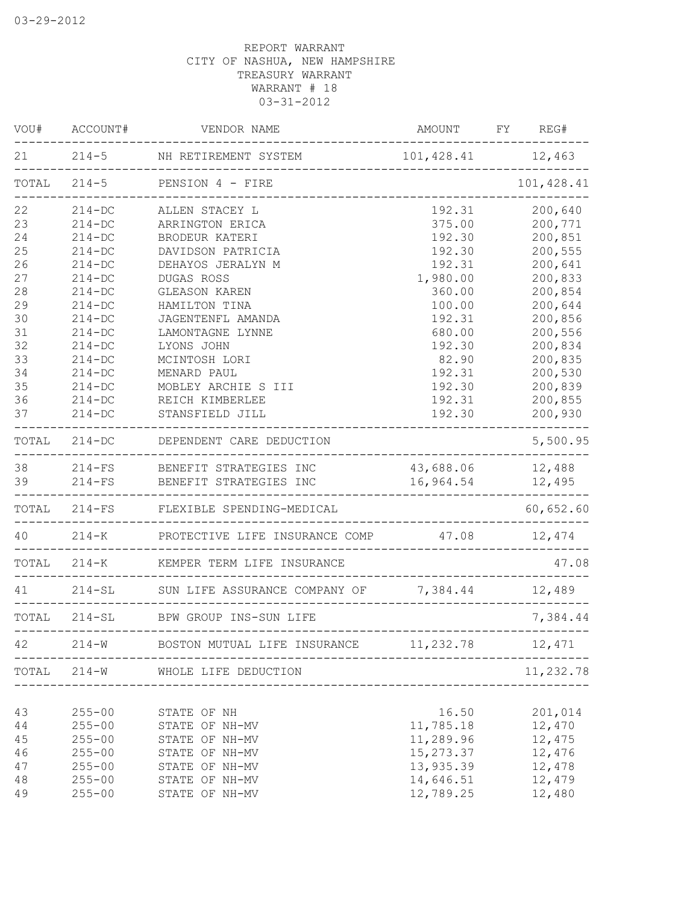| VOU#  | ACCOUNT#   | VENDOR NAME                                                                | AMOUNT FY REG#                                    |            |
|-------|------------|----------------------------------------------------------------------------|---------------------------------------------------|------------|
|       |            | 21 214-5 NH RETIREMENT SYSTEM 101,428.41 12,463<br>_______________         |                                                   |            |
|       |            | TOTAL 214-5 PENSION 4 - FIRE                                               |                                                   | 101,428.41 |
| 22    | $214 - DC$ | ALLEN STACEY L                                                             | 192.31                                            | 200,640    |
| 23    | $214 - DC$ | ARRINGTON ERICA                                                            | 375.00                                            | 200,771    |
| 24    | $214 - DC$ | BRODEUR KATERI                                                             | 192.30                                            | 200,851    |
| 25    | $214 - DC$ | DAVIDSON PATRICIA                                                          | 192.30                                            | 200,555    |
| 26    | $214 - DC$ | DEHAYOS JERALYN M                                                          | 192.31                                            | 200,641    |
| 27    | $214-DC$   | DUGAS ROSS                                                                 | 1,980.00                                          | 200,833    |
| 28    | $214-DC$   | GLEASON KAREN                                                              | 360.00                                            | 200,854    |
| 29    | $214 - DC$ | HAMILTON TINA                                                              | 100.00                                            | 200,644    |
| 30    | $214 - DC$ | JAGENTENFL AMANDA                                                          | 192.31                                            | 200,856    |
| 31    | $214-DC$   | LAMONTAGNE LYNNE                                                           | 680.00                                            | 200,556    |
| 32    | $214-DC$   | LYONS JOHN                                                                 | 192.30                                            | 200,834    |
| 33    | $214 - DC$ | MCINTOSH LORI                                                              | 82.90                                             | 200,835    |
| 34    | $214-DC$   | MENARD PAUL                                                                | 192.31                                            | 200,530    |
| 35    | $214-DC$   | MOBLEY ARCHIE S III                                                        | 192.30                                            | 200,839    |
| 36    | $214-DC$   | REICH KIMBERLEE                                                            | 192.31                                            | 200,855    |
| 37    | $214 - DC$ | STANSFIELD JILL                                                            | 192.30                                            | 200,930    |
|       |            | TOTAL 214-DC DEPENDENT CARE DEDUCTION                                      |                                                   | 5,500.95   |
|       |            | 38 214-FS BENEFIT STRATEGIES INC                                           | 43,688.06 12,488                                  |            |
|       |            | 39 214-FS BENEFIT STRATEGIES INC                                           | 16,964.54 12,495                                  |            |
|       |            | TOTAL 214-FS FLEXIBLE SPENDING-MEDICAL                                     |                                                   | 60,652.60  |
|       |            | 40 214-K PROTECTIVE LIFE INSURANCE COMP 47.08 12,474                       |                                                   |            |
|       |            | TOTAL 214-K KEMPER TERM LIFE INSURANCE<br>-------------------------------- | _____________________________________             | 47.08      |
| 41    |            | 214-SL SUN LIFE ASSURANCE COMPANY OF 7,384.44 12,489                       |                                                   |            |
|       |            | TOTAL 214-SL BPW GROUP INS-SUN LIFE                                        |                                                   | 7,384.44   |
| 42    | $214 - W$  | BOSTON MUTUAL LIFE INSURANCE                                               | ------------------------------------<br>11,232.78 | 12,471     |
| TOTAL | $214 - W$  | WHOLE LIFE DEDUCTION                                                       |                                                   | 11,232.78  |
|       |            |                                                                            |                                                   |            |
| 43    | $255 - 00$ | STATE OF NH                                                                | 16.50                                             | 201,014    |
| 44    | $255 - 00$ | STATE OF NH-MV                                                             | 11,785.18                                         | 12,470     |
| 45    | $255 - 00$ | STATE OF NH-MV                                                             | 11,289.96                                         | 12,475     |
| 46    | $255 - 00$ | STATE OF NH-MV                                                             | 15, 273.37                                        | 12,476     |
| 47    | $255 - 00$ | STATE OF NH-MV                                                             | 13,935.39                                         | 12,478     |
| 48    | $255 - 00$ | STATE OF NH-MV                                                             | 14,646.51                                         | 12,479     |
| 49    | $255 - 00$ | STATE OF NH-MV                                                             | 12,789.25                                         | 12,480     |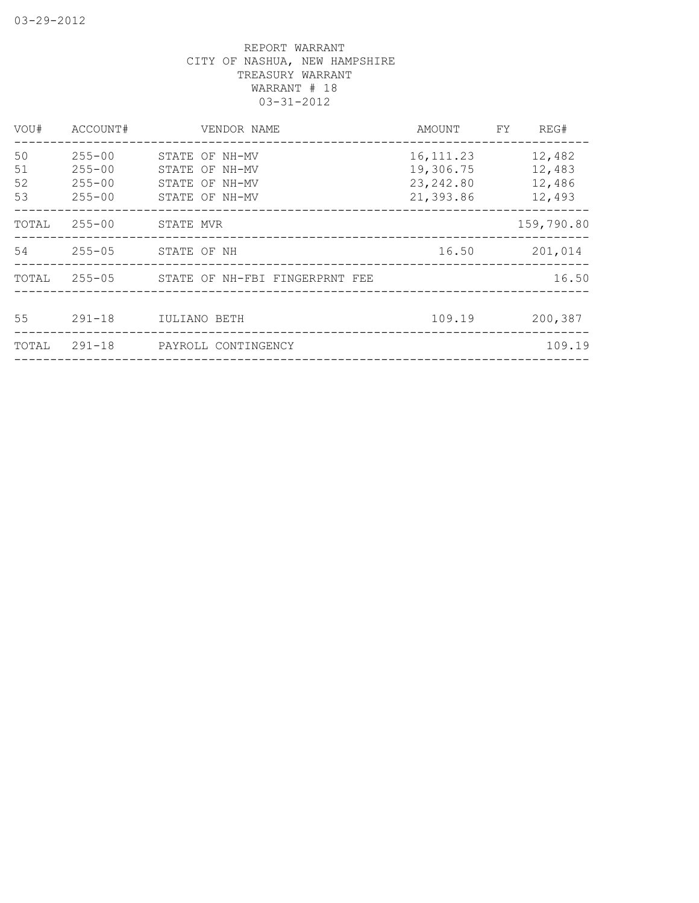| VOU#                 | ACCOUNT#                                             | VENDOR NAME                                                          | AMOUNT                                             | FY. | REG#                                 |
|----------------------|------------------------------------------------------|----------------------------------------------------------------------|----------------------------------------------------|-----|--------------------------------------|
| 50<br>51<br>52<br>53 | $255 - 00$<br>$255 - 00$<br>$255 - 00$<br>$255 - 00$ | STATE OF NH-MV<br>STATE OF NH-MV<br>STATE OF NH-MV<br>STATE OF NH-MV | 16, 111.23<br>19,306.75<br>23, 242.80<br>21,393.86 |     | 12,482<br>12,483<br>12,486<br>12,493 |
| TOTAL                | $255 - 00$                                           | STATE MVR                                                            |                                                    |     | 159,790.80                           |
| 54                   | 255-05                                               | STATE OF NH                                                          | 16.50                                              |     | 201,014                              |
| TOTAL                |                                                      | 255-05 STATE OF NH-FBI FINGERPRNT FEE                                |                                                    |     | 16.50                                |
| 55                   | $291 - 18$                                           | IULIANO BETH                                                         | 109.19                                             |     | 200,387                              |
| TOTAL                | $291 - 18$                                           | PAYROLL CONTINGENCY                                                  |                                                    |     | 109.19                               |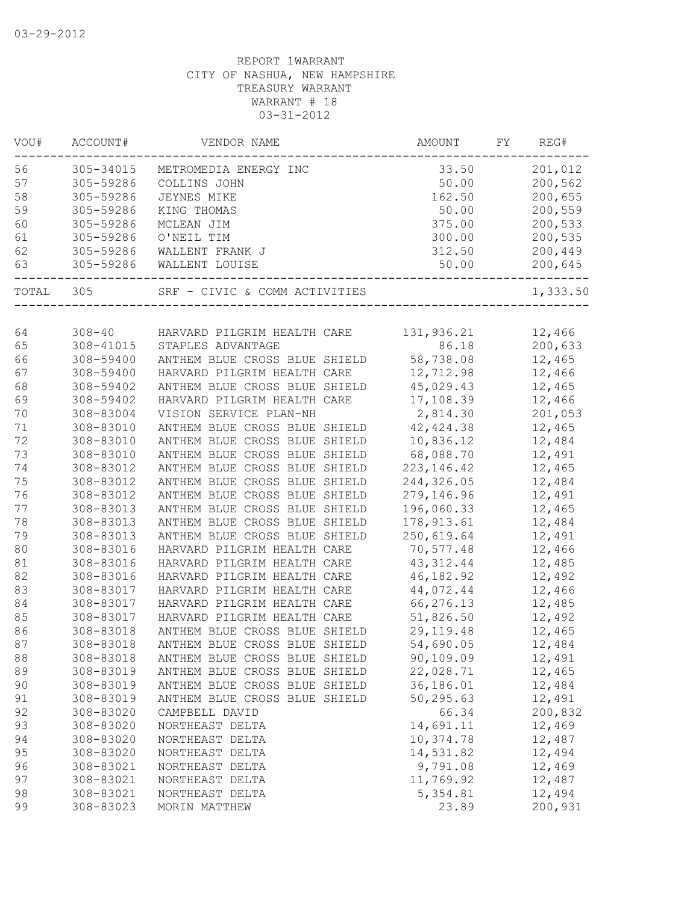| VOU#  | ACCOUNT#   | VENDOR NAME                   | AMOUNT      | FY | REG#     |
|-------|------------|-------------------------------|-------------|----|----------|
| 56    | 305-34015  | METROMEDIA ENERGY INC         | 33.50       |    | 201,012  |
| 57    | 305-59286  | COLLINS JOHN                  | 50.00       |    | 200,562  |
| 58    | 305-59286  | JEYNES MIKE                   | 162.50      |    | 200,655  |
| 59    | 305-59286  | KING THOMAS                   | 50.00       |    | 200,559  |
| 60    | 305-59286  | MCLEAN JIM                    | 375.00      |    | 200,533  |
| 61    | 305-59286  | O'NEIL TIM                    | 300.00      |    | 200,535  |
| 62    | 305-59286  | WALLENT FRANK J               | 312.50      |    | 200,449  |
| 63    | 305-59286  | WALLENT LOUISE                | 50.00       |    | 200,645  |
| TOTAL | 305        | SRF - CIVIC & COMM ACTIVITIES |             |    | 1,333.50 |
|       |            |                               |             |    |          |
| 64    | $308 - 40$ | HARVARD PILGRIM HEALTH CARE   | 131,936.21  |    | 12,466   |
| 65    | 308-41015  | STAPLES ADVANTAGE             | 86.18       |    | 200,633  |
| 66    | 308-59400  | ANTHEM BLUE CROSS BLUE SHIELD | 58,738.08   |    | 12,465   |
| 67    | 308-59400  | HARVARD PILGRIM HEALTH CARE   | 12,712.98   |    | 12,466   |
| 68    | 308-59402  | ANTHEM BLUE CROSS BLUE SHIELD | 45,029.43   |    | 12,465   |
| 69    | 308-59402  | HARVARD PILGRIM HEALTH CARE   | 17,108.39   |    | 12,466   |
| 70    | 308-83004  | VISION SERVICE PLAN-NH        | 2,814.30    |    | 201,053  |
| 71    | 308-83010  | ANTHEM BLUE CROSS BLUE SHIELD | 42, 424.38  |    | 12,465   |
| 72    | 308-83010  | ANTHEM BLUE CROSS BLUE SHIELD | 10,836.12   |    | 12,484   |
| 73    | 308-83010  | ANTHEM BLUE CROSS BLUE SHIELD | 68,088.70   |    | 12,491   |
| 74    | 308-83012  | ANTHEM BLUE CROSS BLUE SHIELD | 223, 146.42 |    | 12,465   |
| 75    | 308-83012  | ANTHEM BLUE CROSS BLUE SHIELD | 244,326.05  |    | 12,484   |
| 76    | 308-83012  | ANTHEM BLUE CROSS BLUE SHIELD | 279,146.96  |    | 12,491   |
| 77    | 308-83013  | ANTHEM BLUE CROSS BLUE SHIELD | 196,060.33  |    | 12,465   |
| 78    | 308-83013  | ANTHEM BLUE CROSS BLUE SHIELD | 178, 913.61 |    | 12,484   |
| 79    | 308-83013  | ANTHEM BLUE CROSS BLUE SHIELD | 250,619.64  |    | 12,491   |
| 80    | 308-83016  | HARVARD PILGRIM HEALTH CARE   | 70,577.48   |    | 12,466   |
| 81    | 308-83016  | HARVARD PILGRIM HEALTH CARE   | 43, 312.44  |    | 12,485   |
| 82    | 308-83016  | HARVARD PILGRIM HEALTH CARE   | 46, 182.92  |    | 12,492   |
| 83    | 308-83017  | HARVARD PILGRIM HEALTH CARE   | 44,072.44   |    | 12,466   |
| 84    | 308-83017  | HARVARD PILGRIM HEALTH CARE   | 66,276.13   |    | 12,485   |
| 85    | 308-83017  | HARVARD PILGRIM HEALTH CARE   | 51,826.50   |    | 12,492   |
| 86    | 308-83018  | ANTHEM BLUE CROSS BLUE SHIELD | 29, 119.48  |    | 12,465   |
| 87    | 308-83018  | ANTHEM BLUE CROSS BLUE SHIELD | 54,690.05   |    | 12,484   |
| 88    | 308-83018  | ANTHEM BLUE CROSS BLUE SHIELD | 90,109.09   |    | 12,491   |
| 89    | 308-83019  | ANTHEM BLUE CROSS BLUE SHIELD | 22,028.71   |    | 12,465   |
| 90    | 308-83019  | ANTHEM BLUE CROSS BLUE SHIELD | 36,186.01   |    | 12,484   |
| 91    | 308-83019  | ANTHEM BLUE CROSS BLUE SHIELD | 50,295.63   |    | 12,491   |
| 92    | 308-83020  | CAMPBELL DAVID                | 66.34       |    | 200,832  |
| 93    | 308-83020  | NORTHEAST DELTA               | 14,691.11   |    | 12,469   |
| 94    | 308-83020  | NORTHEAST DELTA               | 10,374.78   |    | 12,487   |
| 95    | 308-83020  | NORTHEAST DELTA               | 14,531.82   |    | 12,494   |
| 96    | 308-83021  | NORTHEAST DELTA               | 9,791.08    |    | 12,469   |
| 97    | 308-83021  | NORTHEAST DELTA               | 11,769.92   |    | 12,487   |
| 98    | 308-83021  | NORTHEAST DELTA               | 5,354.81    |    | 12,494   |
| 99    | 308-83023  |                               | 23.89       |    | 200,931  |
|       |            | MORIN MATTHEW                 |             |    |          |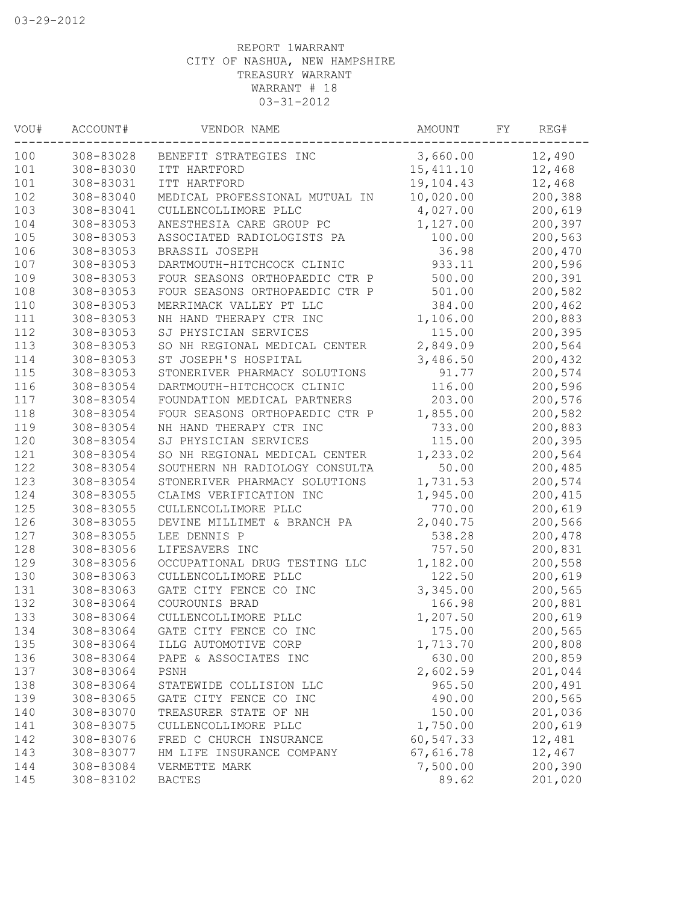| WOU# | ACCOUNT#      | VENDOR NAME                    | AMOUNT    | FY | REG#    |
|------|---------------|--------------------------------|-----------|----|---------|
| 100  | 308-83028     | BENEFIT STRATEGIES INC         | 3,660.00  |    | 12,490  |
| 101  | 308-83030     | ITT HARTFORD                   | 15,411.10 |    | 12,468  |
| 101  | 308-83031     | ITT HARTFORD                   | 19,104.43 |    | 12,468  |
| 102  | 308-83040     | MEDICAL PROFESSIONAL MUTUAL IN | 10,020.00 |    | 200,388 |
| 103  | 308-83041     | CULLENCOLLIMORE PLLC           | 4,027.00  |    | 200,619 |
| 104  | 308-83053     | ANESTHESIA CARE GROUP PC       | 1,127.00  |    | 200,397 |
| 105  | 308-83053     | ASSOCIATED RADIOLOGISTS PA     | 100.00    |    | 200,563 |
| 106  | 308-83053     | BRASSIL JOSEPH                 | 36.98     |    | 200,470 |
| 107  | $308 - 83053$ | DARTMOUTH-HITCHCOCK CLINIC     | 933.11    |    | 200,596 |
| 109  | 308-83053     | FOUR SEASONS ORTHOPAEDIC CTR P | 500.00    |    | 200,391 |
| 108  | 308-83053     | FOUR SEASONS ORTHOPAEDIC CTR P | 501.00    |    | 200,582 |
| 110  | 308-83053     | MERRIMACK VALLEY PT LLC        | 384.00    |    | 200,462 |
| 111  | 308-83053     | NH HAND THERAPY CTR INC        | 1,106.00  |    | 200,883 |
| 112  | 308-83053     | SJ PHYSICIAN SERVICES          | 115.00    |    | 200,395 |
| 113  | 308-83053     | SO NH REGIONAL MEDICAL CENTER  | 2,849.09  |    | 200,564 |
| 114  | 308-83053     | ST JOSEPH'S HOSPITAL           | 3,486.50  |    | 200,432 |
| 115  | 308-83053     | STONERIVER PHARMACY SOLUTIONS  | 91.77     |    | 200,574 |
| 116  | 308-83054     | DARTMOUTH-HITCHCOCK CLINIC     | 116.00    |    | 200,596 |
| 117  | 308-83054     | FOUNDATION MEDICAL PARTNERS    | 203.00    |    | 200,576 |
| 118  | 308-83054     | FOUR SEASONS ORTHOPAEDIC CTR P | 1,855.00  |    | 200,582 |
| 119  | 308-83054     | NH HAND THERAPY CTR INC        | 733.00    |    | 200,883 |
| 120  | 308-83054     | SJ PHYSICIAN SERVICES          | 115.00    |    | 200,395 |
| 121  | 308-83054     | SO NH REGIONAL MEDICAL CENTER  | 1,233.02  |    | 200,564 |
| 122  | 308-83054     | SOUTHERN NH RADIOLOGY CONSULTA | 50.00     |    | 200,485 |
| 123  | 308-83054     | STONERIVER PHARMACY SOLUTIONS  | 1,731.53  |    | 200,574 |
| 124  | 308-83055     | CLAIMS VERIFICATION INC        | 1,945.00  |    | 200,415 |
| 125  | 308-83055     | CULLENCOLLIMORE PLLC           | 770.00    |    | 200,619 |
| 126  | 308-83055     | DEVINE MILLIMET & BRANCH PA    | 2,040.75  |    | 200,566 |
| 127  | 308-83055     | LEE DENNIS P                   | 538.28    |    | 200,478 |
| 128  | 308-83056     | LIFESAVERS INC                 | 757.50    |    | 200,831 |
| 129  | 308-83056     | OCCUPATIONAL DRUG TESTING LLC  | 1,182.00  |    | 200,558 |
| 130  | 308-83063     | CULLENCOLLIMORE PLLC           | 122.50    |    | 200,619 |
| 131  | 308-83063     | GATE CITY FENCE CO INC         | 3,345.00  |    | 200,565 |
| 132  | 308-83064     | COUROUNIS BRAD                 | 166.98    |    | 200,881 |
| 133  | 308-83064     | CULLENCOLLIMORE PLLC           | 1,207.50  |    | 200,619 |
| 134  | 308-83064     | GATE CITY FENCE CO INC         | 175.00    |    | 200,565 |
| 135  | 308-83064     | ILLG AUTOMOTIVE CORP           | 1,713.70  |    | 200,808 |
| 136  | 308-83064     | PAPE & ASSOCIATES INC          | 630.00    |    | 200,859 |
| 137  | 308-83064     | PSNH                           | 2,602.59  |    | 201,044 |
| 138  | 308-83064     | STATEWIDE COLLISION LLC        | 965.50    |    | 200,491 |
| 139  | 308-83065     | GATE CITY FENCE CO INC         | 490.00    |    | 200,565 |
| 140  | 308-83070     | TREASURER STATE OF NH          | 150.00    |    | 201,036 |
| 141  | 308-83075     | CULLENCOLLIMORE PLLC           | 1,750.00  |    | 200,619 |
| 142  | 308-83076     | FRED C CHURCH INSURANCE        | 60,547.33 |    | 12,481  |
| 143  | 308-83077     | HM LIFE INSURANCE COMPANY      | 67,616.78 |    | 12,467  |
| 144  | 308-83084     | VERMETTE MARK                  | 7,500.00  |    | 200,390 |
| 145  | 308-83102     | <b>BACTES</b>                  | 89.62     |    | 201,020 |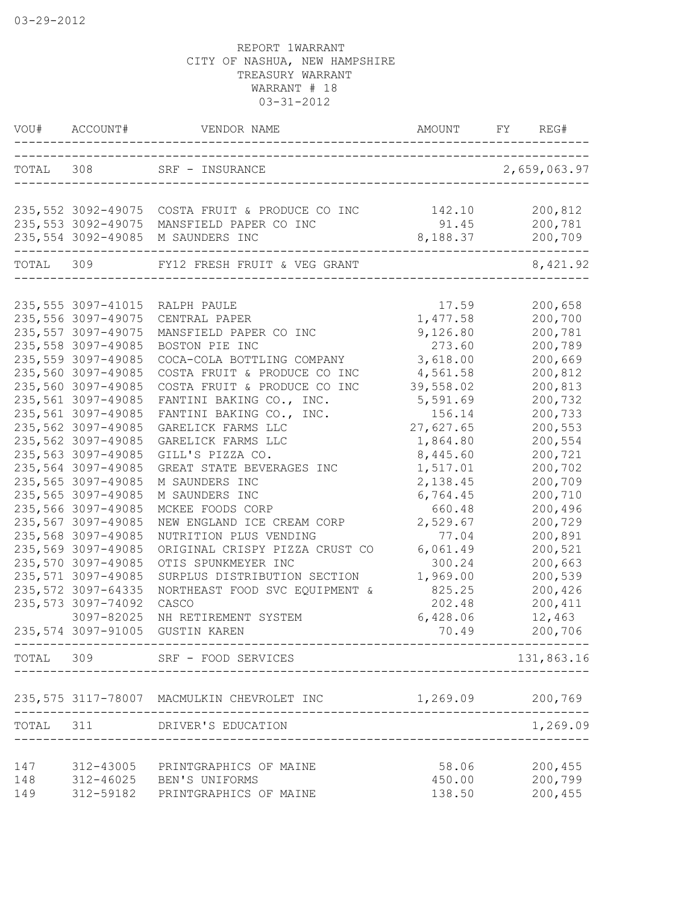| VOU#      | ACCOUNT#            | VENDOR NAME                                                  | AMOUNT    | REG#<br>FY       |
|-----------|---------------------|--------------------------------------------------------------|-----------|------------------|
|           |                     | TOTAL 308 SRF - INSURANCE<br>_______________________________ |           | 2,659,063.97     |
|           |                     | 235,552 3092-49075 COSTA FRUIT & PRODUCE CO INC              | 142.10    | 200,812          |
|           |                     | 235,553 3092-49075 MANSFIELD PAPER CO INC                    | 91.45     | 200,781          |
|           |                     | 235,554 3092-49085 M SAUNDERS INC                            | 8,188.37  | 200,709          |
| TOTAL 309 |                     | FY12 FRESH FRUIT & VEG GRANT                                 |           | 8,421.92         |
|           |                     |                                                              |           |                  |
|           | 235, 555 3097-41015 | RALPH PAULE                                                  | 17.59     | 200,658          |
|           | 235,556 3097-49075  | CENTRAL PAPER                                                | 1,477.58  | 200,700          |
|           | 235, 557 3097-49075 | MANSFIELD PAPER CO INC                                       | 9,126.80  | 200,781          |
|           | 235,558 3097-49085  | BOSTON PIE INC                                               | 273.60    | 200,789          |
|           | 235,559 3097-49085  | COCA-COLA BOTTLING COMPANY                                   | 3,618.00  | 200,669          |
|           | 235,560 3097-49085  | COSTA FRUIT & PRODUCE CO INC                                 | 4,561.58  | 200,812          |
|           | 235,560 3097-49085  | COSTA FRUIT & PRODUCE CO INC                                 | 39,558.02 | 200,813          |
|           | 235,561 3097-49085  | FANTINI BAKING CO., INC.                                     | 5,591.69  | 200,732          |
|           | 235,561 3097-49085  | FANTINI BAKING CO., INC.                                     | 156.14    | 200,733          |
|           | 235,562 3097-49085  | GARELICK FARMS LLC                                           | 27,627.65 | 200,553          |
|           | 235,562 3097-49085  | GARELICK FARMS LLC                                           | 1,864.80  | 200,554          |
|           | 235,563 3097-49085  | GILL'S PIZZA CO.                                             | 8,445.60  | 200,721          |
|           | 235,564 3097-49085  | GREAT STATE BEVERAGES INC                                    | 1,517.01  | 200,702          |
|           | 235,565 3097-49085  | M SAUNDERS INC                                               | 2,138.45  | 200,709          |
|           | 235,565 3097-49085  | M SAUNDERS INC                                               | 6,764.45  | 200,710          |
|           | 235,566 3097-49085  | MCKEE FOODS CORP                                             | 660.48    | 200,496          |
|           | 235,567 3097-49085  | NEW ENGLAND ICE CREAM CORP                                   | 2,529.67  | 200,729          |
|           | 235,568 3097-49085  | NUTRITION PLUS VENDING                                       | 77.04     | 200,891          |
|           | 235,569 3097-49085  | ORIGINAL CRISPY PIZZA CRUST CO                               | 6,061.49  | 200,521          |
|           | 235,570 3097-49085  | OTIS SPUNKMEYER INC                                          | 300.24    | 200,663          |
|           | 235,571 3097-49085  | SURPLUS DISTRIBUTION SECTION                                 | 1,969.00  | 200,539          |
|           | 235, 572 3097-64335 | NORTHEAST FOOD SVC EQUIPMENT &                               | 825.25    | 200,426          |
|           | 235, 573 3097-74092 | CASCO                                                        | 202.48    | 200,411          |
|           | 3097-82025          | NH RETIREMENT SYSTEM                                         | 6,428.06  | 12,463           |
|           | 235,574 3097-91005  | <b>GUSTIN KAREN</b>                                          | 70.49     | 200,706          |
|           |                     | TOTAL 309 SRF - FOOD SERVICES                                |           | 131,863.16       |
|           |                     | 235,575 3117-78007 MACMULKIN CHEVROLET INC                   |           | 1,269.09 200,769 |
|           |                     | TOTAL 311 DRIVER'S EDUCATION                                 |           | 1,269.09         |
|           |                     |                                                              |           |                  |
| 147       | 312-43005           | PRINTGRAPHICS OF MAINE                                       | 58.06     | 200,455          |
| 148       |                     | 312-46025 BEN'S UNIFORMS                                     | 450.00    | 200,799          |
| 149       | 312-59182           | PRINTGRAPHICS OF MAINE                                       | 138.50    | 200,455          |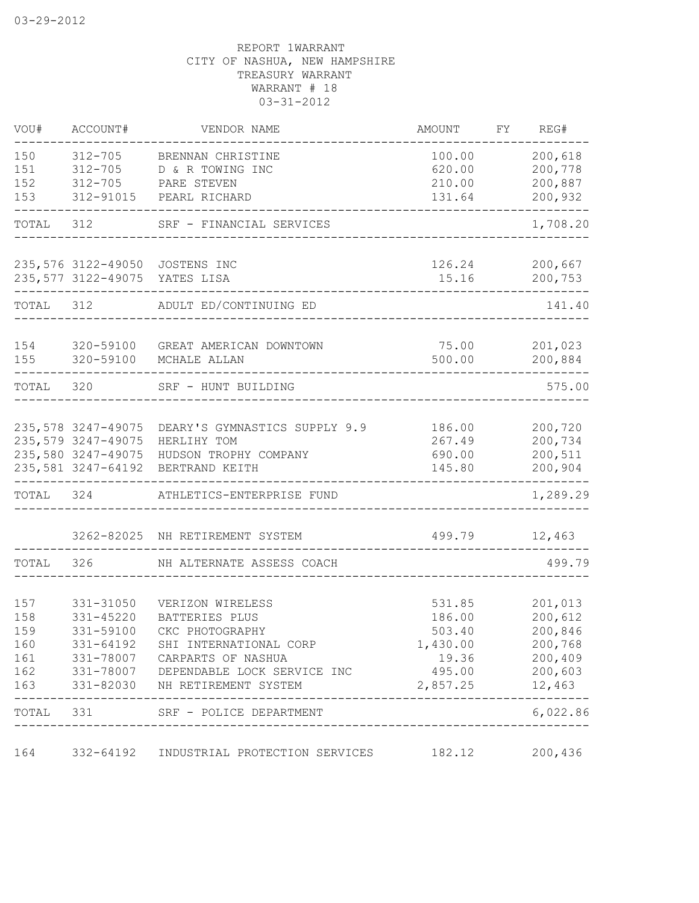| VOU#       | ACCOUNT#               | VENDOR NAME                                         | AMOUNT             | FY | REG#              |
|------------|------------------------|-----------------------------------------------------|--------------------|----|-------------------|
| 150        | 312-705                | BRENNAN CHRISTINE                                   | 100.00             |    | 200,618           |
| 151        | $312 - 705$            | D & R TOWING INC                                    | 620.00             |    | 200,778           |
| 152        | $312 - 705$            | PARE STEVEN                                         | 210.00             |    | 200,887           |
| 153        | 312-91015              | PEARL RICHARD                                       | 131.64             |    | 200,932           |
| TOTAL      | 312                    | SRF - FINANCIAL SERVICES                            |                    |    | 1,708.20          |
|            |                        | 235,576 3122-49050 JOSTENS INC                      | 126.24             |    | 200,667           |
|            |                        | 235,577 3122-49075 YATES LISA                       | 15.16              |    | 200,753           |
| TOTAL 312  |                        | ADULT ED/CONTINUING ED                              |                    |    | 141.40            |
| 154        |                        | 320-59100 GREAT AMERICAN DOWNTOWN                   | 75.00              |    | 201,023           |
| 155        | 320-59100              | MCHALE ALLAN                                        | 500.00             |    | 200,884           |
| TOTAL      | 320                    | SRF - HUNT BUILDING                                 |                    |    | 575.00            |
|            |                        | 235,578 3247-49075 DEARY'S GYMNASTICS SUPPLY 9.9    | 186.00             |    | 200,720           |
|            | 235,579 3247-49075     | HERLIHY TOM                                         | 267.49             |    | 200,734           |
|            | 235,580 3247-49075     | HUDSON TROPHY COMPANY                               | 690.00             |    | 200,511           |
|            |                        | 235,581 3247-64192 BERTRAND KEITH                   | 145.80             |    | 200,904           |
| TOTAL 324  |                        | ATHLETICS-ENTERPRISE FUND                           |                    |    | 1,289.29          |
|            |                        | 3262-82025 NH RETIREMENT SYSTEM                     | 499.79             |    | 12,463            |
| TOTAL      | 326                    | NH ALTERNATE ASSESS COACH                           |                    |    | 499.79            |
|            |                        |                                                     |                    |    |                   |
| 157        | 331-31050              | VERIZON WIRELESS                                    | 531.85             |    | 201,013           |
| 158        | 331-45220              | BATTERIES PLUS                                      | 186.00             |    | 200,612           |
| 159        | 331-59100              | CKC PHOTOGRAPHY                                     | 503.40             |    | 200,846           |
| 160        | 331-64192              | SHI INTERNATIONAL CORP                              | 1,430.00           |    | 200,768           |
| 161        | 331-78007              | CARPARTS OF NASHUA                                  | 19.36              |    | 200,409           |
| 162<br>163 | 331-78007<br>331-82030 | DEPENDABLE LOCK SERVICE INC<br>NH RETIREMENT SYSTEM | 495.00<br>2,857.25 |    | 200,603<br>12,463 |
| TOTAL      | 331                    | SRF - POLICE DEPARTMENT                             |                    |    | 6,022.86          |
| 164        | 332-64192              | INDUSTRIAL PROTECTION SERVICES                      | 182.12             |    | 200,436           |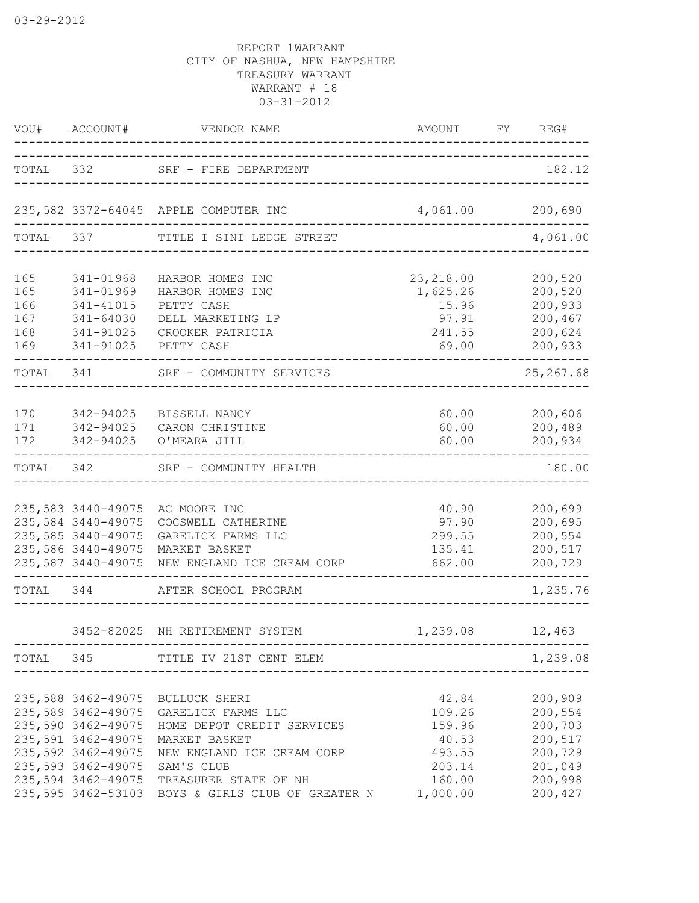|                                        | VOU# ACCOUNT#<br>___________                                                                               | VENDOR NAME                                                                                                                                                                                                                                                                                                             | AMOUNT FY                                                   | REG#                                                                                        |
|----------------------------------------|------------------------------------------------------------------------------------------------------------|-------------------------------------------------------------------------------------------------------------------------------------------------------------------------------------------------------------------------------------------------------------------------------------------------------------------------|-------------------------------------------------------------|---------------------------------------------------------------------------------------------|
| TOTAL 332                              |                                                                                                            | SRF - FIRE DEPARTMENT                                                                                                                                                                                                                                                                                                   |                                                             | 182.12                                                                                      |
|                                        |                                                                                                            | 235,582 3372-64045 APPLE COMPUTER INC                                                                                                                                                                                                                                                                                   | 4,061.00 200,690                                            |                                                                                             |
| TOTAL 337                              |                                                                                                            | TITLE I SINI LEDGE STREET                                                                                                                                                                                                                                                                                               |                                                             | 4,061.00                                                                                    |
| 165<br>165<br>166<br>167<br>168<br>169 | 341-01968<br>341-01969<br>341-41015<br>341-64030<br>341-91025<br>341-91025                                 | HARBOR HOMES INC<br>HARBOR HOMES INC<br>PETTY CASH<br>DELL MARKETING LP<br>CROOKER PATRICIA<br>PETTY CASH                                                                                                                                                                                                               | 23, 218.00<br>1,625.26<br>15.96<br>97.91<br>241.55<br>69.00 | 200,520<br>200,520<br>200,933<br>200,467<br>200,624<br>200,933                              |
| TOTAL 341                              |                                                                                                            | SRF - COMMUNITY SERVICES                                                                                                                                                                                                                                                                                                |                                                             | 25, 267.68                                                                                  |
| 170<br>171<br>172                      | 342-94025<br>342-94025<br>342-94025                                                                        | BISSELL NANCY<br>CARON CHRISTINE<br>O'MEARA JILL                                                                                                                                                                                                                                                                        | 60.00<br>60.00<br>60.00                                     | 200,606<br>200,489<br>200,934                                                               |
| TOTAL                                  | 342                                                                                                        | SRF - COMMUNITY HEALTH                                                                                                                                                                                                                                                                                                  |                                                             | 180.00                                                                                      |
|                                        | 235,583 3440-49075<br>235,584 3440-49075<br>235,585 3440-49075<br>235,586 3440-49075<br>235,587 3440-49075 | AC MOORE INC<br>COGSWELL CATHERINE<br>GARELICK FARMS LLC<br>MARKET BASKET<br>NEW ENGLAND ICE CREAM CORP                                                                                                                                                                                                                 | 40.90<br>97.90<br>299.55<br>135.41<br>662.00                | 200,699<br>200,695<br>200,554<br>200,517<br>200,729                                         |
| TOTAL 344                              |                                                                                                            | AFTER SCHOOL PROGRAM                                                                                                                                                                                                                                                                                                    |                                                             | 1,235.76                                                                                    |
|                                        |                                                                                                            | 3452-82025 NH RETIREMENT SYSTEM                                                                                                                                                                                                                                                                                         | 1,239.08                                                    | 12,463                                                                                      |
|                                        |                                                                                                            | TOTAL 345 TITLE IV 21ST CENT ELEM                                                                                                                                                                                                                                                                                       |                                                             | 1,239.08                                                                                    |
|                                        | 235,593 3462-49075 SAM'S CLUB                                                                              | 235,588 3462-49075 BULLUCK SHERI<br>235,589 3462-49075 GARELICK FARMS LLC<br>235,590 3462-49075 HOME DEPOT CREDIT SERVICES<br>235,591 3462-49075 MARKET BASKET<br>235,592 3462-49075 NEW ENGLAND ICE CREAM CORP 493.55<br>235,594 3462-49075 TREASURER STATE OF NH<br>235,595 3462-53103 BOYS & GIRLS CLUB OF GREATER N | 42.84<br>159.96<br>40.53<br>203.14<br>160.00<br>1,000.00    | 200,909<br>109.26 200,554<br>200,703<br>200,517<br>200,729<br>201,049<br>200,998<br>200,427 |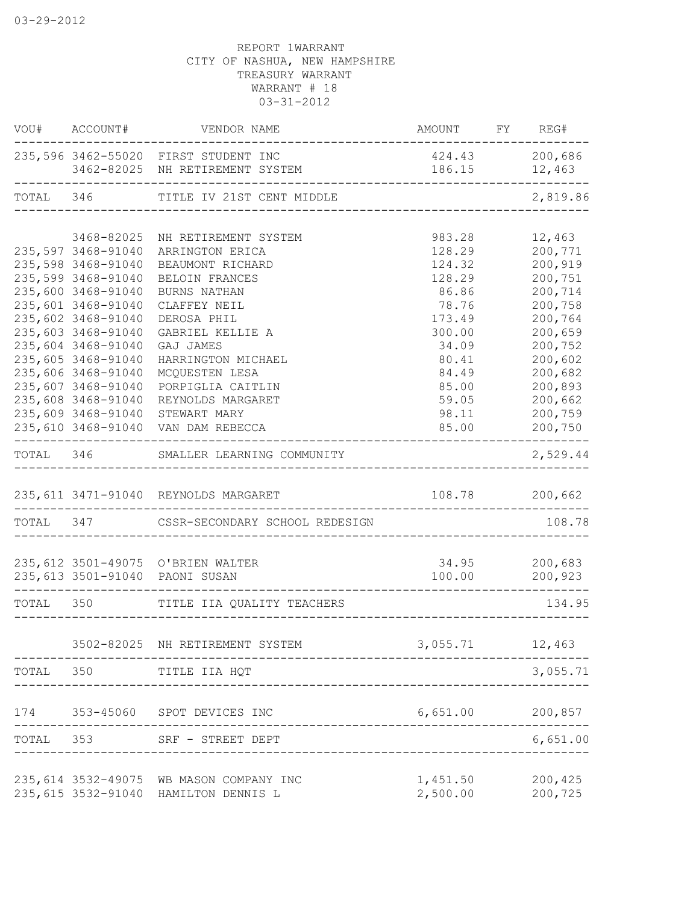|           | VOU# ACCOUNT#                            | VENDOR NAME                                                                       | AMOUNT FY REG#       |                                 |
|-----------|------------------------------------------|-----------------------------------------------------------------------------------|----------------------|---------------------------------|
|           |                                          | 235,596 3462-55020 FIRST STUDENT INC<br>3462-82025 NH RETIREMENT SYSTEM           |                      | 424.43 200,686<br>186.15 12,463 |
|           |                                          | TOTAL 346 TITLE IV 21ST CENT MIDDLE                                               | ________________     | 2,819.86                        |
|           |                                          |                                                                                   |                      |                                 |
|           | 3468-82025                               | NH RETIREMENT SYSTEM                                                              | 983.28               | 12,463                          |
|           | 235,597 3468-91040<br>235,598 3468-91040 | ARRINGTON ERICA                                                                   | 128.29<br>124.32     | 200,771<br>200,919              |
|           | 235,599 3468-91040                       | BEAUMONT RICHARD<br>BELOIN FRANCES                                                | 128.29               | 200,751                         |
|           | 235,600 3468-91040                       | BURNS NATHAN                                                                      | 86.86                | 200,714                         |
|           | 235,601 3468-91040                       | CLAFFEY NEIL                                                                      | 78.76                | 200,758                         |
|           | 235,602 3468-91040                       | DEROSA PHIL                                                                       | 173.49               | 200,764                         |
|           | 235,603 3468-91040                       | GABRIEL KELLIE A                                                                  | 300.00               | 200,659                         |
|           | 235,604 3468-91040                       | GAJ JAMES                                                                         | 34.09                | 200,752                         |
|           | 235,605 3468-91040                       | HARRINGTON MICHAEL                                                                | 80.41                | 200,602                         |
|           | 235,606 3468-91040                       | MCQUESTEN LESA                                                                    | 84.49                | 200,682                         |
|           | 235,607 3468-91040                       | PORPIGLIA CAITLIN                                                                 | 85.00                | 200,893                         |
|           | 235,608 3468-91040                       | REYNOLDS MARGARET                                                                 | 59.05                | 200,662                         |
|           | 235,609 3468-91040                       | STEWART MARY                                                                      | 98.11                | 200,759                         |
|           |                                          | 235,610 3468-91040 VAN DAM REBECCA                                                | 85.00                | 200,750                         |
|           |                                          | TOTAL 346 SMALLER LEARNING COMMUNITY                                              |                      | 2,529.44                        |
|           |                                          | 235, 611 3471-91040 REYNOLDS MARGARET                                             |                      | 108.78 200,662                  |
|           |                                          | TOTAL 347 CSSR-SECONDARY SCHOOL REDESIGN                                          |                      | 108.78                          |
|           |                                          |                                                                                   |                      |                                 |
|           |                                          | 235, 612 3501-49075 O'BRIEN WALTER                                                |                      | 34.95 200,683                   |
|           |                                          | 235,613 3501-91040 PAONI SUSAN                                                    | 100.00               | 200,923                         |
|           |                                          | TOTAL 350 TITLE IIA QUALITY TEACHERS                                              |                      | 134.95                          |
|           |                                          |                                                                                   |                      |                                 |
|           |                                          | 3502-82025 NH RETIREMENT SYSTEM                                                   | 3,055.71             | 12,463                          |
|           |                                          | TOTAL 350 TITLE IIA HQT                                                           |                      | 3,055.71                        |
|           |                                          | 174 353-45060 SPOT DEVICES INC                                                    | 6,651.00 200,857     |                                 |
| TOTAL 353 |                                          | SRF - STREET DEPT                                                                 |                      | 6,651.00                        |
|           |                                          |                                                                                   |                      |                                 |
|           |                                          | 235, 614 3532-49075 WB MASON COMPANY INC<br>235, 615 3532-91040 HAMILTON DENNIS L | 1,451.50<br>2,500.00 | 200,425<br>200,725              |
|           |                                          |                                                                                   |                      |                                 |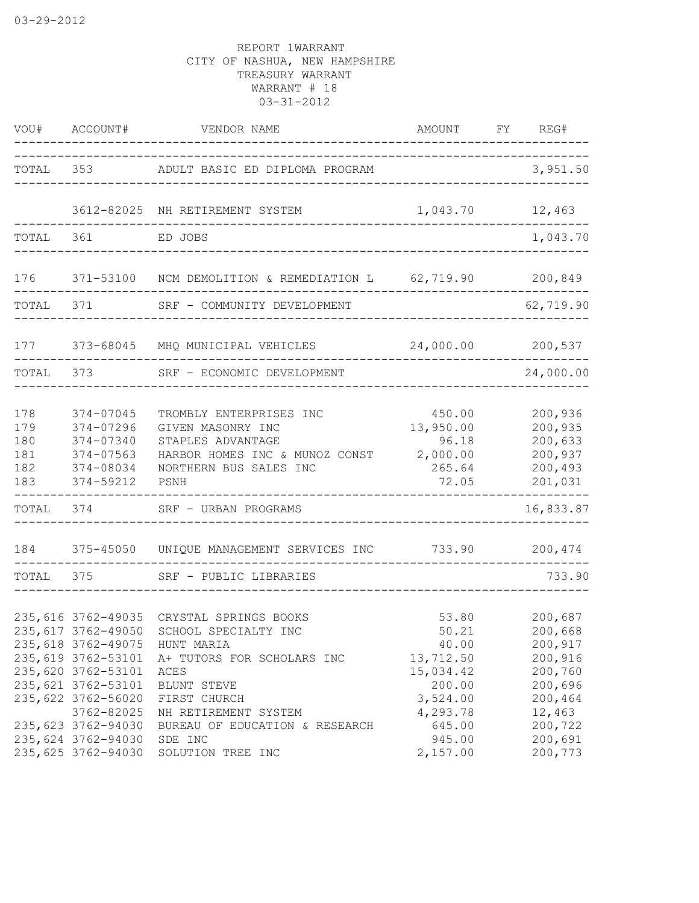| VOU#                                   | ACCOUNT#                                                                                                    | VENDOR NAME                                                                                                                           | AMOUNT<br>------------------------------                    | FY<br>REG#                                                     |
|----------------------------------------|-------------------------------------------------------------------------------------------------------------|---------------------------------------------------------------------------------------------------------------------------------------|-------------------------------------------------------------|----------------------------------------------------------------|
| TOTAL                                  | 353                                                                                                         | ADULT BASIC ED DIPLOMA PROGRAM                                                                                                        |                                                             | 3,951.50                                                       |
|                                        | 3612-82025                                                                                                  | NH RETIREMENT SYSTEM                                                                                                                  | 1,043.70 12,463                                             |                                                                |
| TOTAL                                  | 361                                                                                                         | ED JOBS<br>___________________________________                                                                                        |                                                             | 1,043.70                                                       |
| 176                                    |                                                                                                             | 371-53100 NCM DEMOLITION & REMEDIATION L 62,719.90 200,849                                                                            |                                                             |                                                                |
| TOTAL                                  | 371                                                                                                         | SRF - COMMUNITY DEVELOPMENT                                                                                                           |                                                             | 62,719.90                                                      |
| 177                                    |                                                                                                             | 373-68045 MHQ MUNICIPAL VEHICLES 24,000.00 200,537                                                                                    |                                                             |                                                                |
| TOTAL                                  | 373                                                                                                         | SRF - ECONOMIC DEVELOPMENT                                                                                                            |                                                             | 24,000.00                                                      |
| 178<br>179<br>180<br>181<br>182<br>183 | $374 - 07045$<br>374-07296<br>374-07340<br>374-07563<br>374-08034<br>374-59212                              | TROMBLY ENTERPRISES INC<br>GIVEN MASONRY INC<br>STAPLES ADVANTAGE<br>HARBOR HOMES INC & MUNOZ CONST<br>NORTHERN BUS SALES INC<br>PSNH | 450.00<br>13,950.00<br>96.18<br>2,000.00<br>265.64<br>72.05 | 200,936<br>200,935<br>200,633<br>200,937<br>200,493<br>201,031 |
| TOTAL                                  | 374                                                                                                         | SRF - URBAN PROGRAMS                                                                                                                  |                                                             | 16,833.87                                                      |
| 184                                    | 375-45050                                                                                                   | UNIQUE MANAGEMENT SERVICES INC                                                                                                        | 733.90                                                      | 200,474                                                        |
| TOTAL                                  | 375                                                                                                         | SRF - PUBLIC LIBRARIES                                                                                                                | ---------------------------------                           | 733.90                                                         |
|                                        | 235,616 3762-49035<br>235,617 3762-49050<br>235,619 3762-53101<br>235,620 3762-53101<br>235, 621 3762-53101 | CRYSTAL SPRINGS BOOKS<br>SCHOOL SPECIALTY INC<br>235,618 3762-49075 HUNT MARIA<br>A+ TUTORS FOR SCHOLARS INC<br>ACES<br>BLUNT STEVE   | 53.80<br>50.21<br>40.00<br>13,712.50<br>15,034.42<br>200.00 | 200,687<br>200,668<br>200,917<br>200,916<br>200,760<br>200,696 |
|                                        | 235,622 3762-56020<br>3762-82025<br>235,623 3762-94030<br>235,624 3762-94030<br>235,625 3762-94030          | FIRST CHURCH<br>NH RETIREMENT SYSTEM<br>BUREAU OF EDUCATION & RESEARCH<br>SDE INC<br>SOLUTION TREE INC                                | 3,524.00<br>4,293.78<br>645.00<br>945.00<br>2,157.00        | 200,464<br>12,463<br>200,722<br>200,691<br>200,773             |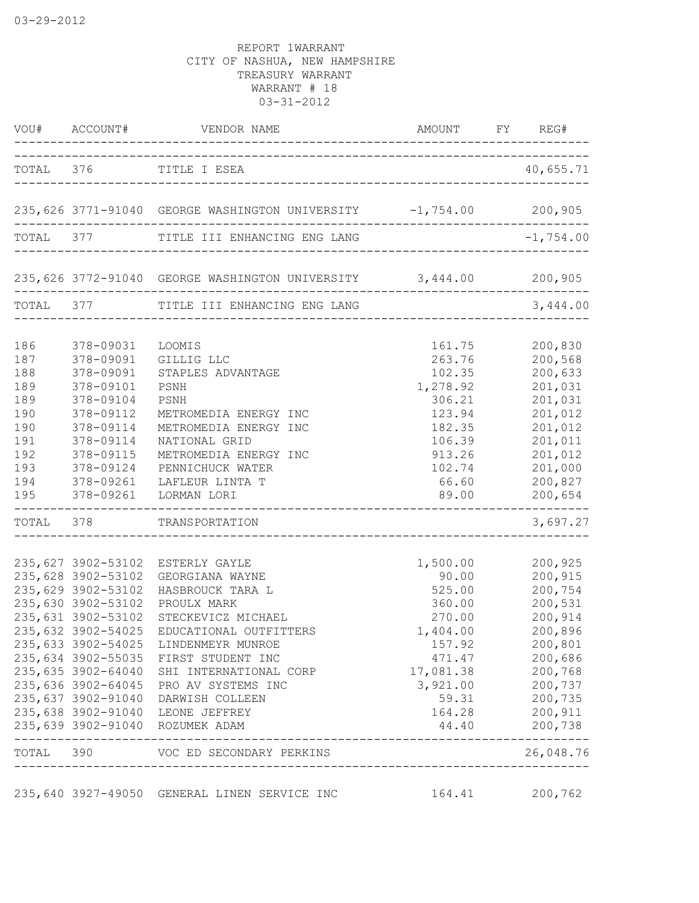| VOU#                                                                             | ACCOUNT#                                                                                                                                                                                                                                                                                   | VENDOR NAME                                                                                                                                                                                                                                                       | AMOUNT                                                                                                                                                    | FY REG#                                                                                                                                      |
|----------------------------------------------------------------------------------|--------------------------------------------------------------------------------------------------------------------------------------------------------------------------------------------------------------------------------------------------------------------------------------------|-------------------------------------------------------------------------------------------------------------------------------------------------------------------------------------------------------------------------------------------------------------------|-----------------------------------------------------------------------------------------------------------------------------------------------------------|----------------------------------------------------------------------------------------------------------------------------------------------|
|                                                                                  |                                                                                                                                                                                                                                                                                            | TOTAL 376 TITLE I ESEA                                                                                                                                                                                                                                            |                                                                                                                                                           | 40,655.71                                                                                                                                    |
|                                                                                  |                                                                                                                                                                                                                                                                                            | 235,626 3771-91040 GEORGE WASHINGTON UNIVERSITY -1,754.00 200,905                                                                                                                                                                                                 |                                                                                                                                                           |                                                                                                                                              |
|                                                                                  |                                                                                                                                                                                                                                                                                            | TOTAL 377 TITLE III ENHANCING ENG LANG                                                                                                                                                                                                                            |                                                                                                                                                           | $-1,754.00$                                                                                                                                  |
|                                                                                  |                                                                                                                                                                                                                                                                                            | 235,626 3772-91040 GEORGE WASHINGTON UNIVERSITY 3,444.00 200,905                                                                                                                                                                                                  |                                                                                                                                                           |                                                                                                                                              |
|                                                                                  |                                                                                                                                                                                                                                                                                            | TOTAL 377 TITLE III ENHANCING ENG LANG                                                                                                                                                                                                                            |                                                                                                                                                           | 3,444.00                                                                                                                                     |
| 186<br>187<br>188<br>189<br>189<br>190<br>190<br>191<br>192<br>193<br>194<br>195 | 378-09031<br>378-09091<br>378-09091<br>378-09101<br>378-09104<br>378-09112<br>378-09114<br>378-09114<br>378-09115<br>378-09124<br>378-09261<br>378-09261                                                                                                                                   | LOOMIS<br>GILLIG LLC<br>STAPLES ADVANTAGE<br>PSNH<br>PSNH<br>METROMEDIA ENERGY INC<br>METROMEDIA ENERGY INC<br>NATIONAL GRID<br>METROMEDIA ENERGY INC<br>PENNICHUCK WATER<br>LAFLEUR LINTA T<br>LORMAN LORI                                                       | 161.75<br>263.76<br>102.35<br>1,278.92<br>306.21<br>123.94<br>182.35<br>106.39<br>913.26<br>102.74<br>66.60<br>89.00<br>_________________________________ | 200,830<br>200,568<br>200,633<br>201,031<br>201,031<br>201,012<br>201,012<br>201,011<br>201,012<br>201,000<br>200,827<br>200,654             |
| TOTAL 378                                                                        |                                                                                                                                                                                                                                                                                            | TRANSPORTATION                                                                                                                                                                                                                                                    |                                                                                                                                                           | 3,697.27                                                                                                                                     |
|                                                                                  | 235,627 3902-53102<br>235,628 3902-53102<br>235,629 3902-53102<br>235,630 3902-53102<br>235,631 3902-53102<br>235,632 3902-54025<br>235,633 3902-54025<br>235,634 3902-55035<br>235,635 3902-64040<br>235,636 3902-64045<br>235,637 3902-91040<br>235,638 3902-91040<br>235,639 3902-91040 | ESTERLY GAYLE<br>GEORGIANA WAYNE<br>HASBROUCK TARA L<br>PROULX MARK<br>STECKEVICZ MICHAEL<br>EDUCATIONAL OUTFITTERS<br>LINDENMEYR MUNROE<br>FIRST STUDENT INC<br>SHI INTERNATIONAL CORP<br>PRO AV SYSTEMS INC<br>DARWISH COLLEEN<br>LEONE JEFFREY<br>ROZUMEK ADAM | 1,500.00<br>90.00<br>525.00<br>360.00<br>270.00<br>1,404.00<br>157.92<br>471.47<br>17,081.38<br>3,921.00<br>59.31<br>164.28<br>44.40                      | 200,925<br>200,915<br>200,754<br>200,531<br>200,914<br>200,896<br>200,801<br>200,686<br>200,768<br>200,737<br>200,735<br>200, 911<br>200,738 |
| TOTAL 390                                                                        |                                                                                                                                                                                                                                                                                            | VOC ED SECONDARY PERKINS<br>--------------------                                                                                                                                                                                                                  |                                                                                                                                                           | 26,048.76                                                                                                                                    |

235,640 3927-49050 GENERAL LINEN SERVICE INC 164.41 200,762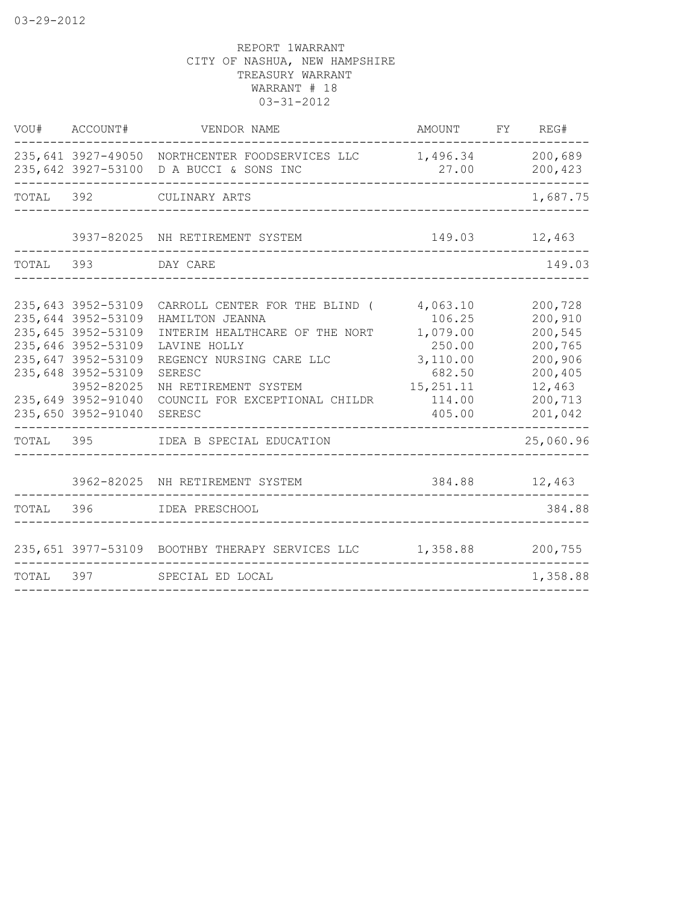| 235,641 3927-49050 NORTHCENTER FOODSERVICES LLC<br>1,496.34<br>235,642 3927-53100 D A BUCCI & SONS INC<br>27.00<br>TOTAL 392<br>CULINARY ARTS<br>3937-82025 NH RETIREMENT SYSTEM<br>149.03<br>12,463                                                                                                                                                                                                                                                                                                             | 200,689<br>200,423<br>1,687.75                                                                 |
|------------------------------------------------------------------------------------------------------------------------------------------------------------------------------------------------------------------------------------------------------------------------------------------------------------------------------------------------------------------------------------------------------------------------------------------------------------------------------------------------------------------|------------------------------------------------------------------------------------------------|
|                                                                                                                                                                                                                                                                                                                                                                                                                                                                                                                  |                                                                                                |
|                                                                                                                                                                                                                                                                                                                                                                                                                                                                                                                  |                                                                                                |
|                                                                                                                                                                                                                                                                                                                                                                                                                                                                                                                  |                                                                                                |
| TOTAL<br>393<br>DAY CARE                                                                                                                                                                                                                                                                                                                                                                                                                                                                                         | 149.03                                                                                         |
| 235,643 3952-53109<br>CARROLL CENTER FOR THE BLIND (<br>4,063.10<br>235,644 3952-53109<br>HAMILTON JEANNA<br>106.25<br>235,645 3952-53109<br>INTERIM HEALTHCARE OF THE NORT<br>1,079.00<br>235,646 3952-53109<br>250.00<br>LAVINE HOLLY<br>235,647 3952-53109<br>3,110.00<br>REGENCY NURSING CARE LLC<br>235,648 3952-53109<br>SERESC<br>682.50<br>3952-82025<br>15, 251. 11<br>NH RETIREMENT SYSTEM<br>235,649 3952-91040<br>COUNCIL FOR EXCEPTIONAL CHILDR<br>114.00<br>235,650 3952-91040<br>405.00<br>SERESC | 200,728<br>200,910<br>200,545<br>200,765<br>200,906<br>200,405<br>12,463<br>200,713<br>201,042 |
| TOTAL<br>395<br>IDEA B SPECIAL EDUCATION                                                                                                                                                                                                                                                                                                                                                                                                                                                                         | 25,060.96                                                                                      |
| 384.88<br>3962-82025 NH RETIREMENT SYSTEM<br>12,463                                                                                                                                                                                                                                                                                                                                                                                                                                                              |                                                                                                |
| TOTAL 396<br>IDEA PRESCHOOL                                                                                                                                                                                                                                                                                                                                                                                                                                                                                      | 384.88                                                                                         |
| 235,651 3977-53109 BOOTHBY THERAPY SERVICES LLC 1,358.88                                                                                                                                                                                                                                                                                                                                                                                                                                                         | 200,755                                                                                        |
| TOTAL<br>397<br>SPECIAL ED LOCAL                                                                                                                                                                                                                                                                                                                                                                                                                                                                                 | 1,358.88                                                                                       |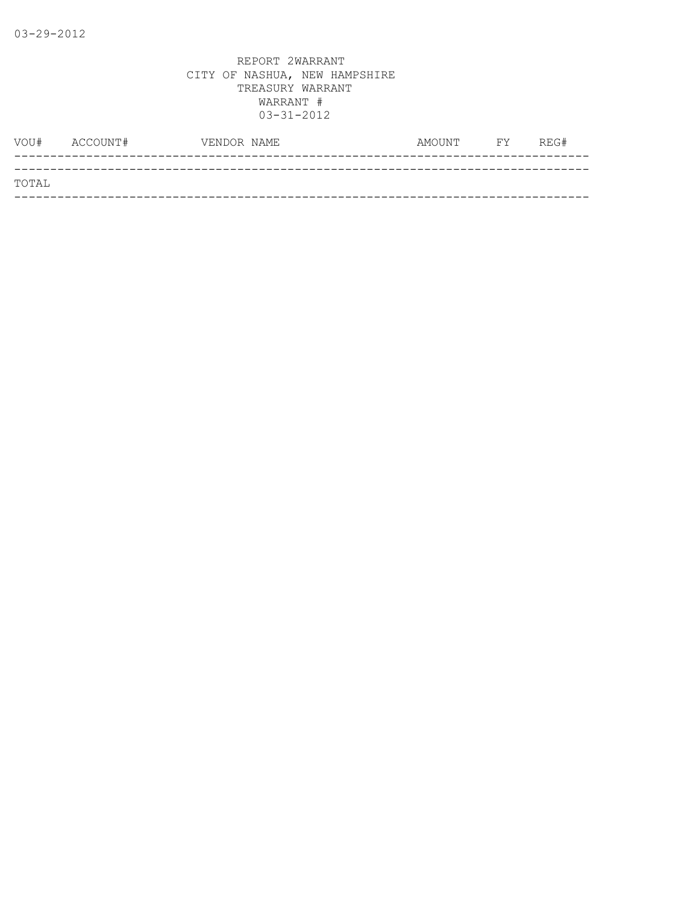| VOU#  | ACCOUNT# | VENDOR NAME | AMOUNT | <b>FY</b> | REG# |
|-------|----------|-------------|--------|-----------|------|
|       |          |             |        |           |      |
| TOTAL |          |             |        |           |      |
|       |          |             |        |           |      |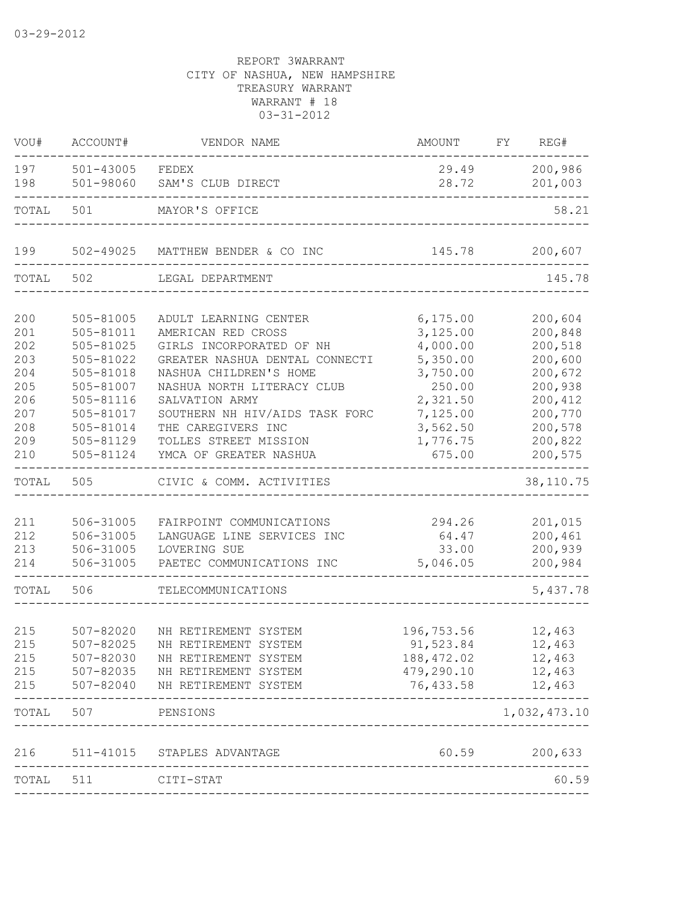| VOU#                                                                      | ACCOUNT#                                                                                                                                        | VENDOR NAME                                                                                                                                                                                                                                                                                    | AMOUNT                                                                                                                        | FY | REG#                                                                                                                  |
|---------------------------------------------------------------------------|-------------------------------------------------------------------------------------------------------------------------------------------------|------------------------------------------------------------------------------------------------------------------------------------------------------------------------------------------------------------------------------------------------------------------------------------------------|-------------------------------------------------------------------------------------------------------------------------------|----|-----------------------------------------------------------------------------------------------------------------------|
| 197<br>198                                                                | $501 - 43005$<br>501-98060                                                                                                                      | FEDEX<br>SAM'S CLUB DIRECT                                                                                                                                                                                                                                                                     | 29.49<br>28.72                                                                                                                |    | 200,986<br>201,003                                                                                                    |
| TOTAL                                                                     | 501                                                                                                                                             | MAYOR'S OFFICE                                                                                                                                                                                                                                                                                 |                                                                                                                               |    | 58.21                                                                                                                 |
| 199                                                                       | 502-49025                                                                                                                                       | MATTHEW BENDER & CO INC                                                                                                                                                                                                                                                                        | 145.78                                                                                                                        |    | 200,607                                                                                                               |
| TOTAL                                                                     | 502                                                                                                                                             | LEGAL DEPARTMENT                                                                                                                                                                                                                                                                               |                                                                                                                               |    | 145.78                                                                                                                |
| 200<br>201<br>202<br>203<br>204<br>205<br>206<br>207<br>208<br>209<br>210 | 505-81005<br>505-81011<br>$505 - 81025$<br>505-81022<br>505-81018<br>505-81007<br>505-81116<br>505-81017<br>505-81014<br>505-81129<br>505-81124 | ADULT LEARNING CENTER<br>AMERICAN RED CROSS<br>GIRLS INCORPORATED OF NH<br>GREATER NASHUA DENTAL CONNECTI<br>NASHUA CHILDREN'S HOME<br>NASHUA NORTH LITERACY CLUB<br>SALVATION ARMY<br>SOUTHERN NH HIV/AIDS TASK FORC<br>THE CAREGIVERS INC<br>TOLLES STREET MISSION<br>YMCA OF GREATER NASHUA | 6, 175.00<br>3,125.00<br>4,000.00<br>5,350.00<br>3,750.00<br>250.00<br>2,321.50<br>7,125.00<br>3,562.50<br>1,776.75<br>675.00 |    | 200,604<br>200,848<br>200,518<br>200,600<br>200,672<br>200,938<br>200,412<br>200,770<br>200,578<br>200,822<br>200,575 |
| TOTAL                                                                     | 505                                                                                                                                             | CIVIC & COMM. ACTIVITIES                                                                                                                                                                                                                                                                       |                                                                                                                               |    | 38, 110.75                                                                                                            |
| 211<br>212<br>213<br>214                                                  | 506-31005<br>506-31005<br>506-31005<br>506-31005                                                                                                | FAIRPOINT COMMUNICATIONS<br>LANGUAGE LINE SERVICES INC<br>LOVERING SUE<br>PAETEC COMMUNICATIONS INC                                                                                                                                                                                            | 294.26<br>64.47<br>33.00<br>5,046.05                                                                                          |    | 201,015<br>200,461<br>200,939<br>200,984                                                                              |
| TOTAL                                                                     | 506                                                                                                                                             | TELECOMMUNICATIONS                                                                                                                                                                                                                                                                             |                                                                                                                               |    | 5,437.78                                                                                                              |
| 215<br>215<br>215<br>215<br>215                                           | $507 - 82020$<br>507-82025                                                                                                                      | NH RETIREMENT SYSTEM<br>NH RETIREMENT SYSTEM<br>507-82030 NH RETIREMENT SYSTEM<br>507-82035 NH RETIREMENT SYSTEM<br>507-82040 NH RETIREMENT SYSTEM                                                                                                                                             | 196,753.56<br>91,523.84<br>188,472.02<br>479,290.10 12,463<br>76,433.58 12,463                                                |    | 12,463<br>12,463<br>12,463                                                                                            |
|                                                                           | TOTAL 507                                                                                                                                       | PENSIONS                                                                                                                                                                                                                                                                                       |                                                                                                                               |    | 1,032,473.10                                                                                                          |
|                                                                           |                                                                                                                                                 | 216 511-41015 STAPLES ADVANTAGE                                                                                                                                                                                                                                                                |                                                                                                                               |    | 60.59 200,633                                                                                                         |
| TOTAL 511                                                                 |                                                                                                                                                 | CITI-STAT                                                                                                                                                                                                                                                                                      |                                                                                                                               |    | 60.59                                                                                                                 |
|                                                                           |                                                                                                                                                 |                                                                                                                                                                                                                                                                                                |                                                                                                                               |    |                                                                                                                       |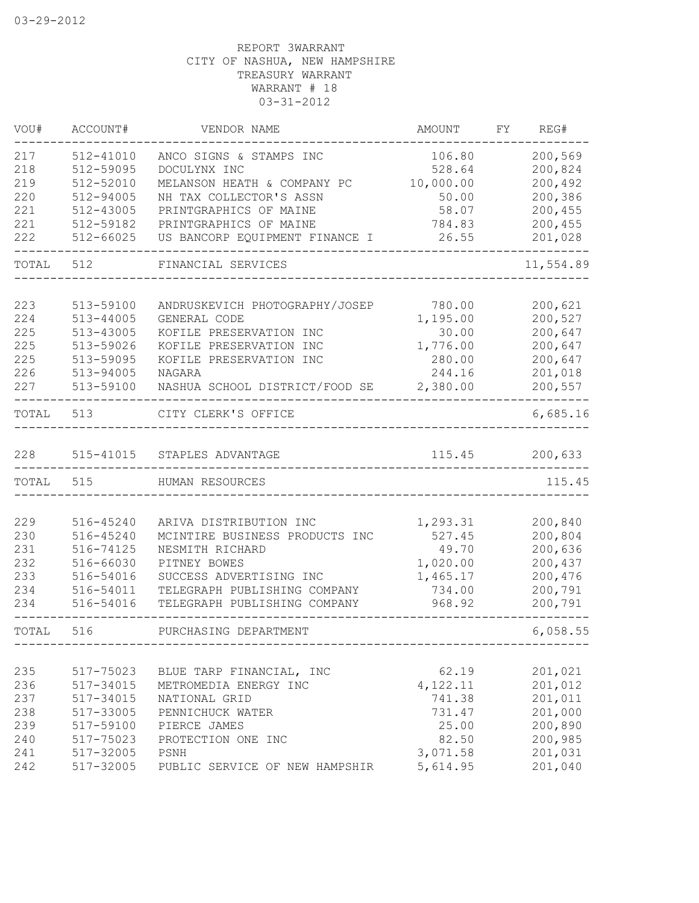| VOU#  | ACCOUNT#      | VENDOR NAME                    | AMOUNT    | FY. | REG#      |
|-------|---------------|--------------------------------|-----------|-----|-----------|
| 217   | 512-41010     | ANCO SIGNS & STAMPS INC        | 106.80    |     | 200,569   |
| 218   | 512-59095     | DOCULYNX INC                   | 528.64    |     | 200,824   |
| 219   | 512-52010     | MELANSON HEATH & COMPANY PC    | 10,000.00 |     | 200,492   |
| 220   | $512 - 94005$ | NH TAX COLLECTOR'S ASSN        | 50.00     |     | 200,386   |
| 221   | 512-43005     | PRINTGRAPHICS OF MAINE         | 58.07     |     | 200,455   |
| 221   | 512-59182     | PRINTGRAPHICS OF MAINE         | 784.83    |     | 200,455   |
| 222   | $512 - 66025$ | US BANCORP EQUIPMENT FINANCE I | 26.55     |     | 201,028   |
| TOTAL | 512           | FINANCIAL SERVICES             |           |     | 11,554.89 |
|       |               |                                |           |     |           |
| 223   | 513-59100     | ANDRUSKEVICH PHOTOGRAPHY/JOSEP | 780.00    |     | 200,621   |
| 224   | 513-44005     | GENERAL CODE                   | 1,195.00  |     | 200,527   |
| 225   | 513-43005     | KOFILE PRESERVATION INC        | 30.00     |     | 200,647   |
| 225   | 513-59026     | KOFILE PRESERVATION INC        | 1,776.00  |     | 200,647   |
| 225   | 513-59095     | KOFILE PRESERVATION INC        | 280.00    |     | 200,647   |
| 226   | 513-94005     | NAGARA                         | 244.16    |     | 201,018   |
| 227   | 513-59100     | NASHUA SCHOOL DISTRICT/FOOD SE | 2,380.00  |     | 200,557   |
| TOTAL | 513           | CITY CLERK'S OFFICE            |           |     | 6,685.16  |
| 228   | 515-41015     | STAPLES ADVANTAGE              | 115.45    |     | 200,633   |
| TOTAL | 515           | HUMAN RESOURCES                |           |     | 115.45    |
|       |               |                                |           |     |           |
| 229   | 516-45240     | ARIVA DISTRIBUTION INC         | 1,293.31  |     | 200,840   |
| 230   | 516-45240     | MCINTIRE BUSINESS PRODUCTS INC | 527.45    |     | 200,804   |
| 231   | 516-74125     | NESMITH RICHARD                | 49.70     |     | 200,636   |
| 232   | 516-66030     | PITNEY BOWES                   | 1,020.00  |     | 200,437   |
| 233   | 516-54016     | SUCCESS ADVERTISING INC        | 1,465.17  |     | 200,476   |
| 234   | 516-54011     | TELEGRAPH PUBLISHING COMPANY   | 734.00    |     | 200,791   |
| 234   | 516-54016     | TELEGRAPH PUBLISHING COMPANY   | 968.92    |     | 200,791   |
| TOTAL | 516           | PURCHASING DEPARTMENT          |           |     | 6,058.55  |
|       |               |                                |           |     |           |
| 235   | 517-75023     | BLUE TARP FINANCIAL, INC       | 62.19     |     | 201,021   |
| 236   | 517-34015     | METROMEDIA ENERGY INC          | 4,122.11  |     | 201,012   |
| 237   | 517-34015     | NATIONAL GRID                  | 741.38    |     | 201,011   |
| 238   | 517-33005     | PENNICHUCK WATER               | 731.47    |     | 201,000   |
| 239   | 517-59100     | PIERCE JAMES                   | 25.00     |     | 200,890   |
| 240   | 517-75023     | PROTECTION ONE INC             | 82.50     |     | 200,985   |
| 241   | 517-32005     | PSNH                           | 3,071.58  |     | 201,031   |
| 242   | 517-32005     | PUBLIC SERVICE OF NEW HAMPSHIR | 5,614.95  |     | 201,040   |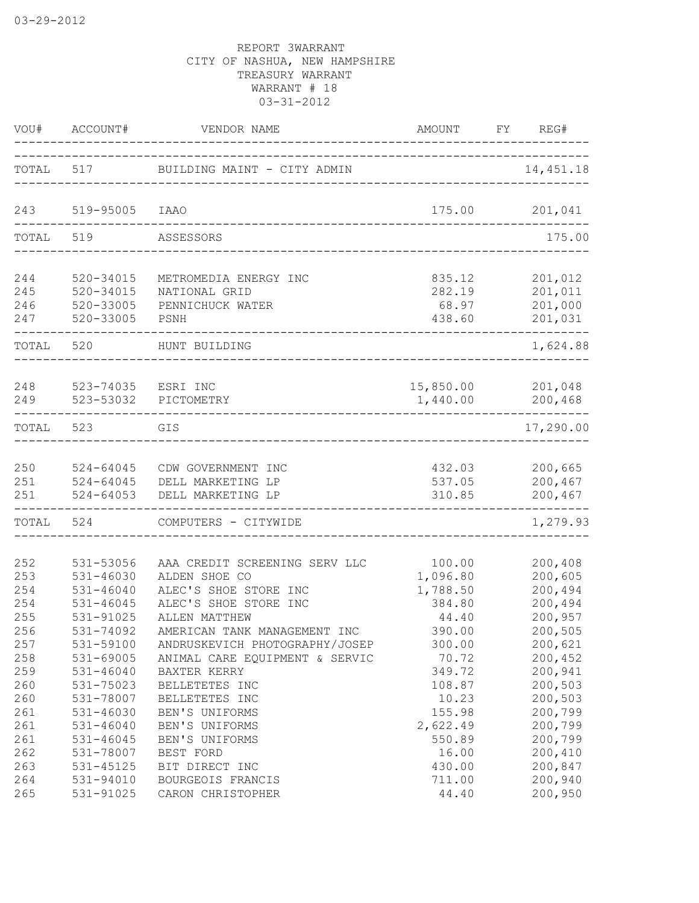| VOU#                     | ACCOUNT#                                                     | VENDOR NAME                                                                                      | AMOUNT                                   | FY. | REG#                                     |
|--------------------------|--------------------------------------------------------------|--------------------------------------------------------------------------------------------------|------------------------------------------|-----|------------------------------------------|
| TOTAL                    | 517                                                          | BUILDING MAINT - CITY ADMIN                                                                      |                                          |     | 14, 451.18                               |
| 243                      | 519-95005                                                    | IAAO                                                                                             | 175.00                                   |     | 201,041                                  |
| TOTAL                    | 519                                                          | ASSESSORS                                                                                        |                                          |     | 175.00                                   |
|                          |                                                              |                                                                                                  |                                          |     |                                          |
| 244<br>245<br>246<br>247 | 520-34015<br>$520 - 34015$<br>520-33005<br>520-33005         | METROMEDIA ENERGY INC<br>NATIONAL GRID<br>PENNICHUCK WATER<br>PSNH                               | 835.12<br>282.19<br>68.97<br>438.60      |     | 201,012<br>201,011<br>201,000<br>201,031 |
| TOTAL                    | 520                                                          | HUNT BUILDING                                                                                    |                                          |     | 1,624.88                                 |
| 248<br>249               | 523-74035<br>523-53032                                       | ESRI INC<br>PICTOMETRY                                                                           | 15,850.00<br>1,440.00                    |     | 201,048<br>200,468                       |
| TOTAL                    | 523                                                          | GIS                                                                                              |                                          |     | 17,290.00                                |
| 250<br>251<br>251        | $524 - 64045$<br>$524 - 64045$<br>$524 - 64053$              | CDW GOVERNMENT INC<br>DELL MARKETING LP<br>DELL MARKETING LP                                     | 432.03<br>537.05<br>310.85               |     | 200,665<br>200,467<br>200,467            |
| TOTAL                    | 524                                                          | COMPUTERS - CITYWIDE                                                                             |                                          |     | 1,279.93                                 |
|                          |                                                              |                                                                                                  |                                          |     |                                          |
| 252<br>253<br>254<br>254 | 531-53056<br>$531 - 46030$<br>$531 - 46040$<br>$531 - 46045$ | AAA CREDIT SCREENING SERV LLC<br>ALDEN SHOE CO<br>ALEC'S SHOE STORE INC<br>ALEC'S SHOE STORE INC | 100.00<br>1,096.80<br>1,788.50<br>384.80 |     | 200,408<br>200,605<br>200,494<br>200,494 |
| 255<br>256<br>257<br>258 | 531-91025<br>531-74092<br>531-59100<br>531-69005             | ALLEN MATTHEW<br>AMERICAN TANK MANAGEMENT INC<br>ANDRUSKEVICH PHOTOGRAPHY/JOSEP                  | 44.40<br>390.00<br>300.00<br>70.72       |     | 200,957<br>200,505<br>200,621<br>200,452 |
| 259<br>260<br>260        | $531 - 46040$<br>531-75023<br>531-78007                      | ANIMAL CARE EQUIPMENT & SERVIC<br>BAXTER KERRY<br>BELLETETES INC<br>BELLETETES INC               | 349.72<br>108.87<br>10.23                |     | 200,941<br>200,503<br>200,503            |
| 261<br>261<br>261        | 531-46030<br>$531 - 46040$<br>$531 - 46045$                  | BEN'S UNIFORMS<br>BEN'S UNIFORMS<br>BEN'S UNIFORMS                                               | 155.98<br>2,622.49<br>550.89             |     | 200,799<br>200,799<br>200,799            |
| 262<br>263<br>264<br>265 | 531-78007<br>531-45125<br>531-94010<br>531-91025             | BEST FORD<br>BIT DIRECT INC<br>BOURGEOIS FRANCIS<br>CARON CHRISTOPHER                            | 16.00<br>430.00<br>711.00<br>44.40       |     | 200,410<br>200,847<br>200,940<br>200,950 |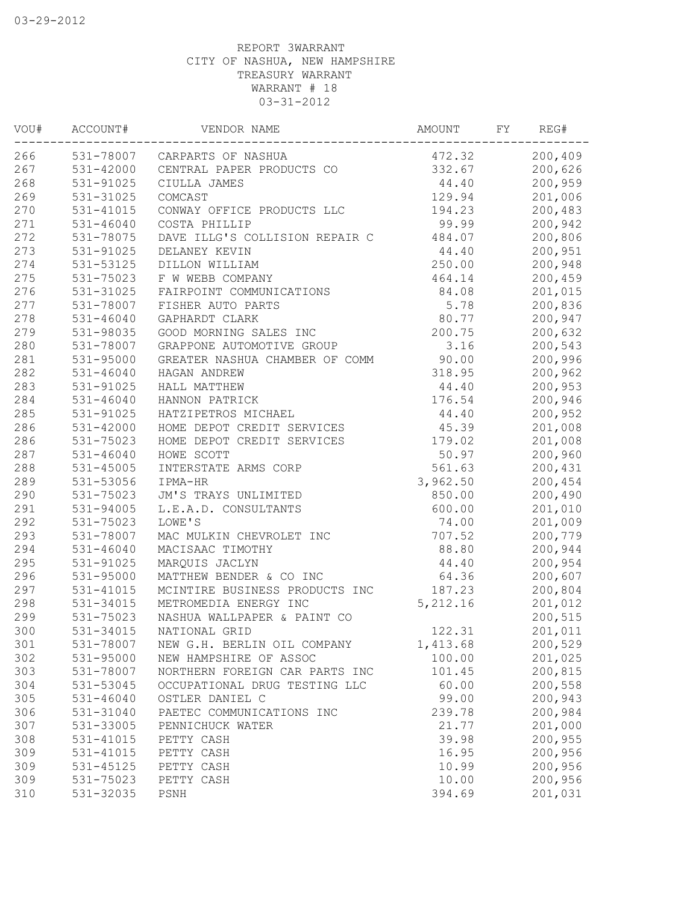| VOU# | ACCOUNT#      | VENDOR NAME                    | AMOUNT   | FΥ | REG#    |
|------|---------------|--------------------------------|----------|----|---------|
| 266  |               | 531-78007 CARPARTS OF NASHUA   | 472.32   |    | 200,409 |
| 267  | 531-42000     | CENTRAL PAPER PRODUCTS CO      | 332.67   |    | 200,626 |
| 268  | 531-91025     | CIULLA JAMES                   | 44.40    |    | 200,959 |
| 269  | 531-31025     | COMCAST                        | 129.94   |    | 201,006 |
| 270  | 531-41015     | CONWAY OFFICE PRODUCTS LLC     | 194.23   |    | 200,483 |
| 271  | $531 - 46040$ | COSTA PHILLIP                  | 99.99    |    | 200,942 |
| 272  | 531-78075     | DAVE ILLG'S COLLISION REPAIR C | 484.07   |    | 200,806 |
| 273  | 531-91025     | DELANEY KEVIN                  | 44.40    |    | 200,951 |
| 274  | 531-53125     | DILLON WILLIAM                 | 250.00   |    | 200,948 |
| 275  | 531-75023     | F W WEBB COMPANY               | 464.14   |    | 200,459 |
| 276  | 531-31025     | FAIRPOINT COMMUNICATIONS       | 84.08    |    | 201,015 |
| 277  | 531-78007     | FISHER AUTO PARTS              | 5.78     |    | 200,836 |
| 278  | 531-46040     | GAPHARDT CLARK                 | 80.77    |    | 200,947 |
| 279  | 531-98035     | GOOD MORNING SALES INC         | 200.75   |    | 200,632 |
| 280  | 531-78007     | GRAPPONE AUTOMOTIVE GROUP      | 3.16     |    | 200,543 |
| 281  | 531-95000     | GREATER NASHUA CHAMBER OF COMM | 90.00    |    | 200,996 |
| 282  | $531 - 46040$ | HAGAN ANDREW                   | 318.95   |    | 200,962 |
| 283  | 531-91025     | HALL MATTHEW                   | 44.40    |    | 200,953 |
| 284  | $531 - 46040$ | HANNON PATRICK                 | 176.54   |    | 200,946 |
| 285  | 531-91025     | HATZIPETROS MICHAEL            | 44.40    |    | 200,952 |
| 286  | 531-42000     | HOME DEPOT CREDIT SERVICES     | 45.39    |    | 201,008 |
| 286  | 531-75023     | HOME DEPOT CREDIT SERVICES     | 179.02   |    | 201,008 |
| 287  | $531 - 46040$ | HOWE SCOTT                     | 50.97    |    | 200,960 |
| 288  | 531-45005     | INTERSTATE ARMS CORP           | 561.63   |    | 200,431 |
| 289  | 531-53056     | IPMA-HR                        | 3,962.50 |    | 200,454 |
| 290  | 531-75023     | JM'S TRAYS UNLIMITED           | 850.00   |    | 200,490 |
| 291  | 531-94005     | L.E.A.D. CONSULTANTS           | 600.00   |    | 201,010 |
| 292  | 531-75023     | LOWE'S                         | 74.00    |    | 201,009 |
| 293  | 531-78007     | MAC MULKIN CHEVROLET INC       | 707.52   |    | 200,779 |
| 294  | $531 - 46040$ | MACISAAC TIMOTHY               | 88.80    |    | 200,944 |
| 295  | 531-91025     | MARQUIS JACLYN                 | 44.40    |    | 200,954 |
| 296  | 531-95000     | MATTHEW BENDER & CO INC        | 64.36    |    | 200,607 |
| 297  | 531-41015     | MCINTIRE BUSINESS PRODUCTS INC | 187.23   |    | 200,804 |
| 298  | 531-34015     | METROMEDIA ENERGY INC          | 5,212.16 |    | 201,012 |
| 299  | 531-75023     | NASHUA WALLPAPER & PAINT CO    |          |    | 200,515 |
| 300  | 531-34015     | NATIONAL GRID                  | 122.31   |    | 201,011 |
| 301  | 531-78007     | NEW G.H. BERLIN OIL COMPANY    | 1,413.68 |    | 200,529 |
| 302  | $531 - 95000$ | NEW HAMPSHIRE OF ASSOC         | 100.00   |    | 201,025 |
| 303  | 531-78007     | NORTHERN FOREIGN CAR PARTS INC | 101.45   |    | 200,815 |
| 304  | 531-53045     | OCCUPATIONAL DRUG TESTING LLC  | 60.00    |    | 200,558 |
| 305  | $531 - 46040$ | OSTLER DANIEL C                | 99.00    |    | 200,943 |
| 306  | 531-31040     | PAETEC COMMUNICATIONS INC      | 239.78   |    | 200,984 |
| 307  | 531-33005     | PENNICHUCK WATER               | 21.77    |    | 201,000 |
| 308  | 531-41015     | PETTY CASH                     | 39.98    |    | 200,955 |
| 309  | 531-41015     | PETTY CASH                     | 16.95    |    | 200,956 |
| 309  | 531-45125     | PETTY CASH                     | 10.99    |    | 200,956 |
| 309  | 531-75023     | PETTY CASH                     | 10.00    |    | 200,956 |
| 310  | 531-32035     | PSNH                           | 394.69   |    | 201,031 |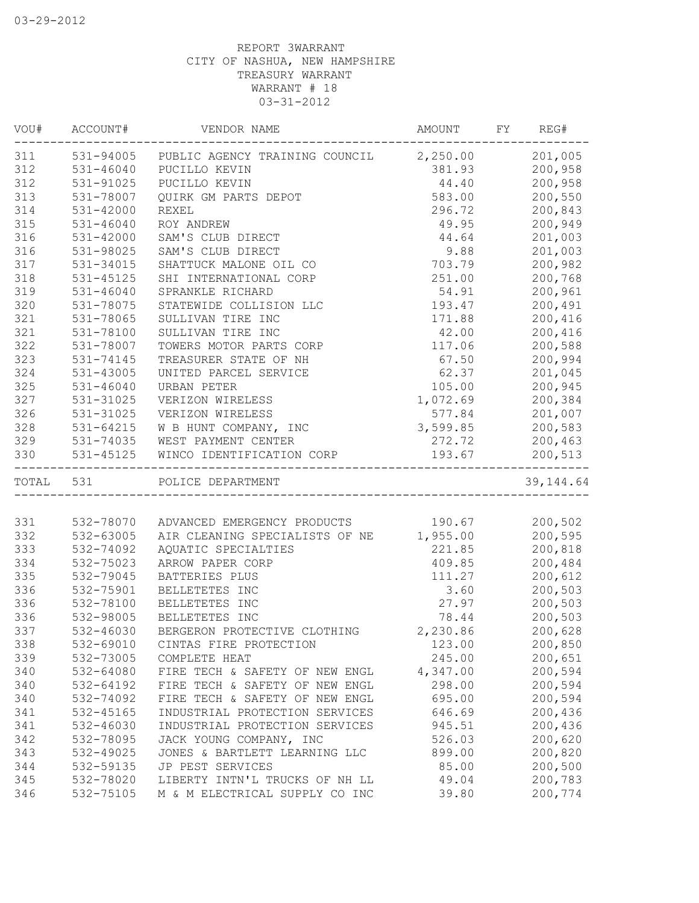| VOU#      | ACCOUNT#      | VENDOR NAME                                       | AMOUNT   | FY | REG#       |
|-----------|---------------|---------------------------------------------------|----------|----|------------|
| 311       |               | 531-94005 PUBLIC AGENCY TRAINING COUNCIL 2,250.00 |          |    | 201,005    |
| 312       | 531-46040     | PUCILLO KEVIN                                     | 381.93   |    | 200,958    |
| 312       | 531-91025     | PUCILLO KEVIN                                     | 44.40    |    | 200,958    |
| 313       | 531-78007     | QUIRK GM PARTS DEPOT                              | 583.00   |    | 200,550    |
| 314       | $531 - 42000$ | <b>REXEL</b>                                      | 296.72   |    | 200,843    |
| 315       | $531 - 46040$ | ROY ANDREW                                        | 49.95    |    | 200,949    |
| 316       | $531 - 42000$ | SAM'S CLUB DIRECT                                 | 44.64    |    | 201,003    |
| 316       | 531-98025     | SAM'S CLUB DIRECT                                 | 9.88     |    | 201,003    |
| 317       | 531-34015     | SHATTUCK MALONE OIL CO                            | 703.79   |    | 200,982    |
| 318       | 531-45125     | SHI INTERNATIONAL CORP                            | 251.00   |    | 200,768    |
| 319       | $531 - 46040$ | SPRANKLE RICHARD                                  | 54.91    |    | 200,961    |
| 320       | 531-78075     | STATEWIDE COLLISION LLC                           | 193.47   |    | 200,491    |
| 321       | 531-78065     | SULLIVAN TIRE INC                                 | 171.88   |    | 200,416    |
| 321       | 531-78100     | SULLIVAN TIRE INC                                 | 42.00    |    | 200,416    |
| 322       | 531-78007     | TOWERS MOTOR PARTS CORP                           | 117.06   |    | 200,588    |
| 323       | 531-74145     | TREASURER STATE OF NH                             | 67.50    |    | 200,994    |
| 324       | 531-43005     | UNITED PARCEL SERVICE                             | 62.37    |    | 201,045    |
| 325       | 531-46040     | URBAN PETER                                       | 105.00   |    | 200,945    |
| 327       | 531-31025     | VERIZON WIRELESS                                  | 1,072.69 |    | 200,384    |
| 326       | 531-31025     | VERIZON WIRELESS                                  | 577.84   |    | 201,007    |
| 328       | $531 - 64215$ | W B HUNT COMPANY, INC                             | 3,599.85 |    | 200,583    |
| 329       | 531-74035     | WEST PAYMENT CENTER                               | 272.72   |    | 200,463    |
| 330       | 531-45125     | WINCO IDENTIFICATION CORP                         | 193.67   |    | 200,513    |
| TOTAL 531 |               | POLICE DEPARTMENT                                 |          |    | 39, 144.64 |
|           |               |                                                   |          |    |            |
| 331       | 532-78070     | ADVANCED EMERGENCY PRODUCTS                       | 190.67   |    | 200,502    |
| 332       | 532-63005     | AIR CLEANING SPECIALISTS OF NE                    | 1,955.00 |    | 200,595    |
| 333       | 532-74092     | AQUATIC SPECIALTIES                               | 221.85   |    | 200,818    |
| 334       | 532-75023     | ARROW PAPER CORP                                  | 409.85   |    | 200,484    |
| 335       | 532-79045     | BATTERIES PLUS                                    | 111.27   |    | 200,612    |
| 336       | 532-75901     | BELLETETES INC                                    | 3.60     |    | 200,503    |
| 336       | 532-78100     | BELLETETES INC                                    | 27.97    |    | 200,503    |
| 336       | 532-98005     | BELLETETES INC                                    | 78.44    |    | 200,503    |
| 337       | 532-46030     | BERGERON PROTECTIVE CLOTHING                      | 2,230.86 |    | 200,628    |
| 338       | 532-69010     | CINTAS FIRE PROTECTION                            | 123.00   |    | 200,850    |
| 339       | 532-73005     | COMPLETE HEAT                                     | 245.00   |    | 200,651    |
| 340       | 532-64080     | FIRE TECH & SAFETY OF NEW ENGL                    | 4,347.00 |    | 200,594    |
| 340       | 532-64192     | FIRE TECH & SAFETY OF NEW ENGL                    | 298.00   |    | 200,594    |
| 340       | 532-74092     | FIRE TECH & SAFETY OF NEW ENGL                    | 695.00   |    | 200,594    |
| 341       | 532-45165     | INDUSTRIAL PROTECTION SERVICES                    | 646.69   |    | 200,436    |
| 341       | 532-46030     | INDUSTRIAL PROTECTION SERVICES                    | 945.51   |    | 200,436    |
| 342       | 532-78095     | JACK YOUNG COMPANY, INC                           | 526.03   |    | 200,620    |
| 343       | 532-49025     | JONES & BARTLETT LEARNING LLC                     | 899.00   |    | 200,820    |
| 344       | 532-59135     | JP PEST SERVICES                                  | 85.00    |    | 200,500    |
| 345       | 532-78020     | LIBERTY INTN'L TRUCKS OF NH LL                    | 49.04    |    | 200,783    |
| 346       | 532-75105     | M & M ELECTRICAL SUPPLY CO INC                    | 39.80    |    | 200,774    |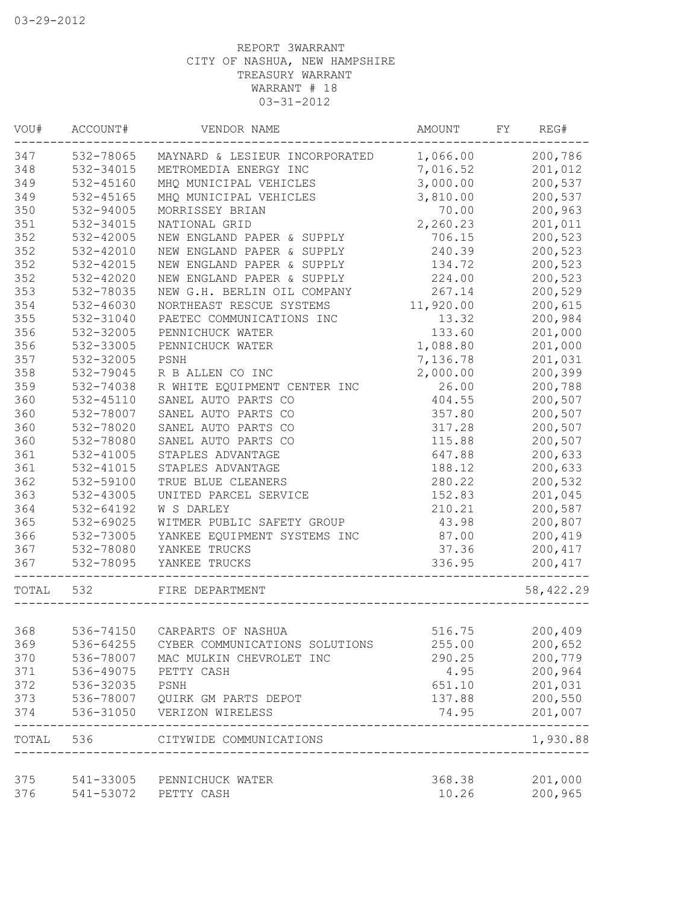| WOU#       | ACCOUNT#               | VENDOR NAME                    | AMOUNT          | FY | REG#               |
|------------|------------------------|--------------------------------|-----------------|----|--------------------|
| 347        | 532-78065              | MAYNARD & LESIEUR INCORPORATED | 1,066.00        |    | 200,786            |
| 348        | 532-34015              | METROMEDIA ENERGY INC          | 7,016.52        |    | 201,012            |
| 349        | 532-45160              | MHQ MUNICIPAL VEHICLES         | 3,000.00        |    | 200,537            |
| 349        | 532-45165              | MHQ MUNICIPAL VEHICLES         | 3,810.00        |    | 200,537            |
| 350        | 532-94005              | MORRISSEY BRIAN                | 70.00           |    | 200,963            |
| 351        | 532-34015              | NATIONAL GRID                  | 2,260.23        |    | 201,011            |
| 352        | 532-42005              | NEW ENGLAND PAPER & SUPPLY     | 706.15          |    | 200,523            |
| 352        | 532-42010              | NEW ENGLAND PAPER & SUPPLY     | 240.39          |    | 200,523            |
| 352        | 532-42015              | NEW ENGLAND PAPER & SUPPLY     | 134.72          |    | 200,523            |
| 352        | 532-42020              | NEW ENGLAND PAPER & SUPPLY     | 224.00          |    | 200,523            |
| 353        | 532-78035              | NEW G.H. BERLIN OIL COMPANY    | 267.14          |    | 200,529            |
| 354        | 532-46030              | NORTHEAST RESCUE SYSTEMS       | 11,920.00       |    | 200,615            |
| 355        | 532-31040              | PAETEC COMMUNICATIONS INC      | 13.32           |    | 200,984            |
| 356        | 532-32005              | PENNICHUCK WATER               | 133.60          |    | 201,000            |
| 356        | 532-33005              | PENNICHUCK WATER               | 1,088.80        |    | 201,000            |
| 357        | 532-32005              | PSNH                           | 7,136.78        |    | 201,031            |
| 358        | 532-79045              | R B ALLEN CO INC               | 2,000.00        |    | 200,399            |
| 359        | 532-74038              | R WHITE EQUIPMENT CENTER INC   | 26.00           |    | 200,788            |
| 360        | 532-45110              | SANEL AUTO PARTS CO            | 404.55          |    | 200,507            |
| 360        | 532-78007              | SANEL AUTO PARTS CO            | 357.80          |    | 200,507            |
| 360        | 532-78020              | SANEL AUTO PARTS CO            | 317.28          |    | 200,507            |
| 360        | 532-78080              | SANEL AUTO PARTS CO            | 115.88          |    | 200,507            |
| 361        | 532-41005              | STAPLES ADVANTAGE              | 647.88          |    | 200,633            |
| 361        | 532-41015              | STAPLES ADVANTAGE              | 188.12          |    | 200,633            |
| 362        | 532-59100              | TRUE BLUE CLEANERS             | 280.22          |    | 200,532            |
| 363        | 532-43005              | UNITED PARCEL SERVICE          | 152.83          |    | 201,045            |
| 364        | 532-64192              | W S DARLEY                     | 210.21          |    | 200,587            |
| 365        | 532-69025              | WITMER PUBLIC SAFETY GROUP     | 43.98           |    | 200,807            |
| 366        | 532-73005              | YANKEE EQUIPMENT SYSTEMS INC   | 87.00           |    | 200,419            |
| 367        | 532-78080              | YANKEE TRUCKS                  | 37.36           |    | 200,417            |
| 367        | 532-78095              | YANKEE TRUCKS                  | 336.95          |    | 200, 417           |
| TOTAL      | 532                    | FIRE DEPARTMENT                |                 |    | 58,422.29          |
|            |                        |                                |                 |    |                    |
| 368        | 536-74150              | CARPARTS OF NASHUA             | 516.75          |    | 200,409            |
| 369        | 536-64255              | CYBER COMMUNICATIONS SOLUTIONS | 255.00          |    | 200,652            |
| 370        | 536-78007              | MAC MULKIN CHEVROLET INC       | 290.25          |    | 200,779            |
| 371        | 536-49075              | PETTY CASH                     | 4.95            |    | 200,964            |
| 372        | 536-32035              | PSNH                           | 651.10          |    | 201,031            |
| 373        | 536-78007              | QUIRK GM PARTS DEPOT           | 137.88          |    | 200,550            |
| 374        | 536-31050              | VERIZON WIRELESS               | 74.95           |    | 201,007            |
| TOTAL      | 536                    | CITYWIDE COMMUNICATIONS        |                 |    | 1,930.88           |
|            |                        |                                |                 |    |                    |
| 375<br>376 | 541-33005<br>541-53072 | PENNICHUCK WATER<br>PETTY CASH | 368.38<br>10.26 |    | 201,000<br>200,965 |
|            |                        |                                |                 |    |                    |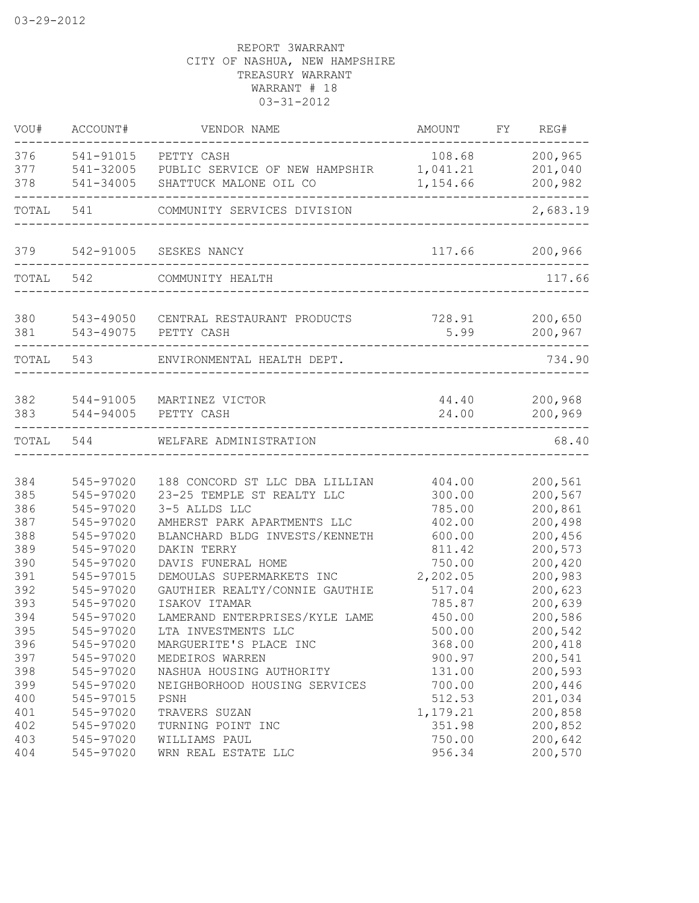| 376<br>541-91015<br>108.68<br>PETTY CASH<br>377<br>541-32005<br>1,041.21<br>PUBLIC SERVICE OF NEW HAMPSHIR<br>378<br>1,154.66<br>541-34005<br>SHATTUCK MALONE OIL CO<br>541<br>TOTAL<br>COMMUNITY SERVICES DIVISION<br>117.66<br>379<br>542-91005<br>SESKES NANCY<br>TOTAL 542<br>COMMUNITY HEALTH | REG#<br>FY         |
|----------------------------------------------------------------------------------------------------------------------------------------------------------------------------------------------------------------------------------------------------------------------------------------------------|--------------------|
|                                                                                                                                                                                                                                                                                                    | 200,965            |
|                                                                                                                                                                                                                                                                                                    | 201,040            |
|                                                                                                                                                                                                                                                                                                    | 200,982            |
|                                                                                                                                                                                                                                                                                                    | 2,683.19           |
|                                                                                                                                                                                                                                                                                                    | 200,966            |
|                                                                                                                                                                                                                                                                                                    | 117.66             |
| 380<br>543-49050 CENTRAL RESTAURANT PRODUCTS<br>728.91<br>543-49075<br>5.99<br>381<br>PETTY CASH                                                                                                                                                                                                   | 200,650<br>200,967 |
| TOTAL 543<br>ENVIRONMENTAL HEALTH DEPT.                                                                                                                                                                                                                                                            | 734.90             |
|                                                                                                                                                                                                                                                                                                    |                    |
| 382<br>44.40<br>544-91005<br>MARTINEZ VICTOR<br>383<br>544-94005<br>24.00<br>PETTY CASH                                                                                                                                                                                                            | 200,968<br>200,969 |
| TOTAL<br>544<br>WELFARE ADMINISTRATION                                                                                                                                                                                                                                                             | 68.40              |
|                                                                                                                                                                                                                                                                                                    |                    |
| 384<br>545-97020<br>188 CONCORD ST LLC DBA LILLIAN<br>404.00                                                                                                                                                                                                                                       | 200,561            |
| 385<br>545-97020<br>23-25 TEMPLE ST REALTY LLC<br>300.00                                                                                                                                                                                                                                           | 200,567            |
| 386<br>545-97020<br>3-5 ALLDS LLC<br>785.00                                                                                                                                                                                                                                                        | 200,861            |
| 387<br>545-97020<br>AMHERST PARK APARTMENTS LLC<br>402.00                                                                                                                                                                                                                                          | 200,498            |
| 388<br>545-97020<br>BLANCHARD BLDG INVESTS/KENNETH<br>600.00                                                                                                                                                                                                                                       | 200,456            |
| 389<br>545-97020<br>811.42<br>DAKIN TERRY                                                                                                                                                                                                                                                          | 200,573            |
| 390<br>DAVIS FUNERAL HOME<br>750.00<br>545-97020                                                                                                                                                                                                                                                   | 200,420            |
| 391<br>DEMOULAS SUPERMARKETS INC<br>2,202.05<br>545-97015                                                                                                                                                                                                                                          | 200,983            |
| 392<br>545-97020<br>GAUTHIER REALTY/CONNIE GAUTHIE<br>517.04                                                                                                                                                                                                                                       | 200,623            |
| 393<br>545-97020<br>ISAKOV ITAMAR<br>785.87                                                                                                                                                                                                                                                        | 200,639            |
| 394<br>LAMERAND ENTERPRISES/KYLE LAME<br>545-97020<br>450.00                                                                                                                                                                                                                                       | 200,586            |
| 395<br>545-97020<br>LTA INVESTMENTS LLC<br>500.00                                                                                                                                                                                                                                                  | 200,542            |
| 396<br>545-97020<br>MARGUERITE'S PLACE INC<br>368.00                                                                                                                                                                                                                                               | 200,418            |
| 397<br>545-97020<br>MEDEIROS WARREN<br>900.97                                                                                                                                                                                                                                                      | 200,541            |
| 398<br>545-97020<br>NASHUA HOUSING AUTHORITY<br>131.00                                                                                                                                                                                                                                             | 200,593            |
| 399<br>545-97020<br>NEIGHBORHOOD HOUSING SERVICES<br>700.00                                                                                                                                                                                                                                        | 200,446            |
| 400<br>545-97015<br>PSNH<br>512.53                                                                                                                                                                                                                                                                 | 201,034            |
| 401<br>545-97020<br>TRAVERS SUZAN<br>1,179.21                                                                                                                                                                                                                                                      | 200,858            |
| 402<br>545-97020<br>351.98<br>TURNING POINT INC                                                                                                                                                                                                                                                    |                    |
| 545-97020<br>750.00<br>403<br>WILLIAMS PAUL                                                                                                                                                                                                                                                        |                    |
| 545-97020<br>956.34<br>404<br>WRN REAL ESTATE LLC                                                                                                                                                                                                                                                  | 200,852<br>200,642 |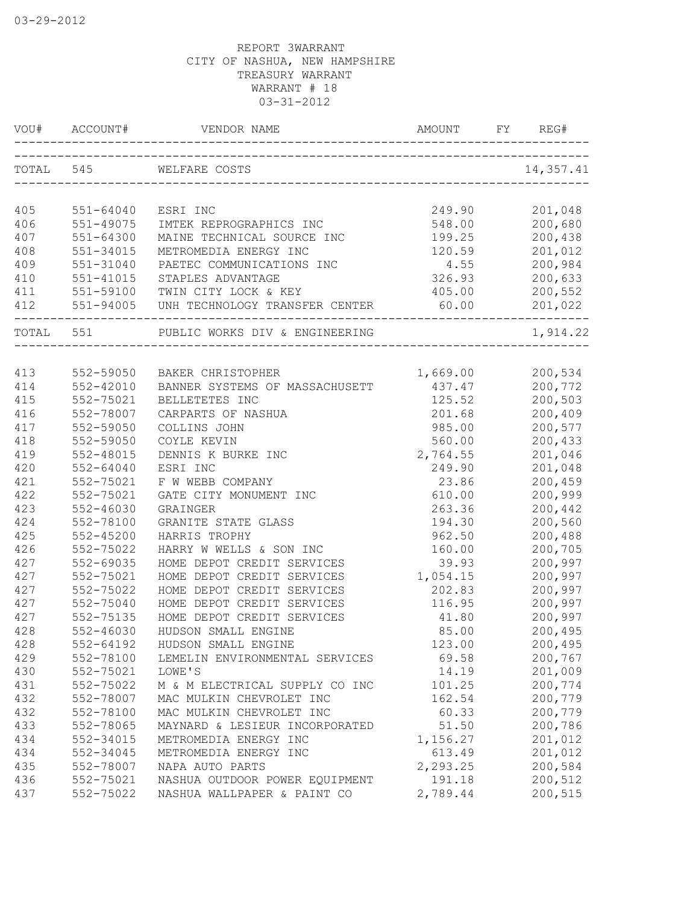| VOU#       | ACCOUNT#      | VENDOR NAME                    | <b>AMOUNT</b> | FY. | REG#               |
|------------|---------------|--------------------------------|---------------|-----|--------------------|
|            | TOTAL 545     | WELFARE COSTS                  |               |     | 14,357.41          |
|            |               |                                |               |     |                    |
| 405        | 551-64040     | ESRI INC                       | 249.90        |     | 201,048            |
| 406        | 551-49075     | IMTEK REPROGRAPHICS INC        | 548.00        |     | 200,680            |
| 407        | 551-64300     | MAINE TECHNICAL SOURCE INC     | 199.25        |     | 200,438            |
| 408        | 551-34015     | METROMEDIA ENERGY INC          | 120.59        |     | 201,012            |
| 409        | 551-31040     | PAETEC COMMUNICATIONS INC      | 4.55          |     | 200,984            |
| 410        | 551-41015     | STAPLES ADVANTAGE              | 326.93        |     | 200,633            |
| 411        | 551-59100     | TWIN CITY LOCK & KEY           | 405.00        |     | 200,552            |
| 412        | 551-94005     | UNH TECHNOLOGY TRANSFER CENTER | 60.00         |     | 201,022            |
| TOTAL 551  |               | PUBLIC WORKS DIV & ENGINEERING |               |     | 1,914.22           |
| 413        | 552-59050     | BAKER CHRISTOPHER              | 1,669.00      |     | 200,534            |
| 414        | $552 - 42010$ | BANNER SYSTEMS OF MASSACHUSETT | 437.47        |     | 200,772            |
| 415        | 552-75021     | BELLETETES INC                 | 125.52        |     | 200,503            |
| 416        | 552-78007     | CARPARTS OF NASHUA             | 201.68        |     | 200,409            |
| 417        | 552-59050     | COLLINS JOHN                   | 985.00        |     | 200,577            |
| 418        | 552-59050     | COYLE KEVIN                    | 560.00        |     | 200,433            |
| 419        | 552-48015     | DENNIS K BURKE INC             | 2,764.55      |     | 201,046            |
| 420        | $552 - 64040$ | ESRI INC                       | 249.90        |     | 201,048            |
| 421        | 552-75021     | F W WEBB COMPANY               | 23.86         |     | 200,459            |
| 422        | 552-75021     | GATE CITY MONUMENT INC         | 610.00        |     | 200,999            |
| 423        | 552-46030     | GRAINGER                       | 263.36        |     | 200,442            |
| 424        | 552-78100     | GRANITE STATE GLASS            | 194.30        |     | 200,560            |
| 425        | $552 - 45200$ | HARRIS TROPHY                  | 962.50        |     | 200,488            |
| 426        | 552-75022     | HARRY W WELLS & SON INC        | 160.00        |     | 200,705            |
| 427        | 552-69035     | HOME DEPOT CREDIT SERVICES     | 39.93         |     | 200,997            |
| 427        | 552-75021     | HOME DEPOT CREDIT SERVICES     | 1,054.15      |     | 200,997            |
| 427        | 552-75022     | HOME DEPOT CREDIT SERVICES     | 202.83        |     | 200,997            |
| 427        | 552-75040     | HOME DEPOT CREDIT SERVICES     | 116.95        |     | 200,997            |
| 427        | 552-75135     | HOME DEPOT CREDIT SERVICES     | 41.80         |     | 200,997            |
| 428        | 552-46030     | HUDSON SMALL ENGINE            | 85.00         |     | 200,495            |
| 428        | 552-64192     | HUDSON SMALL ENGINE            | 123.00        |     | 200,495            |
| 429        | 552-78100     | LEMELIN ENVIRONMENTAL SERVICES | 69.58         |     | 200,767            |
| 430        | 552-75021     | LOWE'S                         | 14.19         |     | 201,009            |
|            | 552-75022     |                                |               |     |                    |
| 431        |               | M & M ELECTRICAL SUPPLY CO INC | 101.25        |     | 200,774            |
| 432<br>432 | 552-78007     | MAC MULKIN CHEVROLET INC       | 162.54        |     | 200,779<br>200,779 |
|            | 552-78100     | MAC MULKIN CHEVROLET INC       | 60.33         |     |                    |
| 433        | 552-78065     | MAYNARD & LESIEUR INCORPORATED | 51.50         |     | 200,786            |
| 434        | 552-34015     | METROMEDIA ENERGY INC          | 1,156.27      |     | 201,012            |
| 434        | 552-34045     | METROMEDIA ENERGY INC          | 613.49        |     | 201,012            |
| 435        | 552-78007     | NAPA AUTO PARTS                | 2,293.25      |     | 200,584            |
| 436        | 552-75021     | NASHUA OUTDOOR POWER EQUIPMENT | 191.18        |     | 200,512            |
| 437        | 552-75022     | NASHUA WALLPAPER & PAINT CO    | 2,789.44      |     | 200,515            |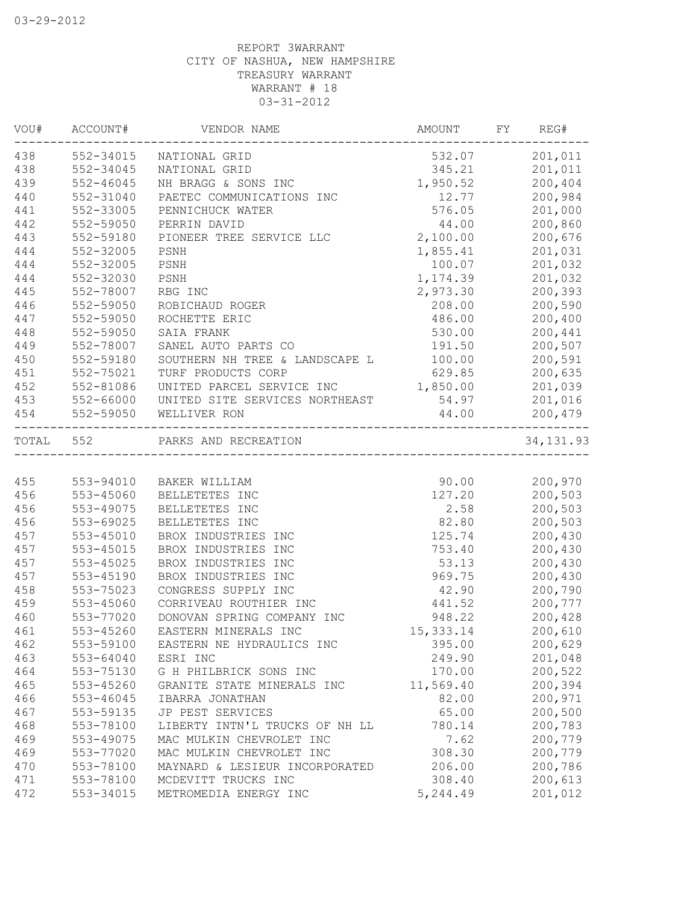| VOU#      | ACCOUNT#      | VENDOR NAME                    | AMOUNT     | FY | REG#       |
|-----------|---------------|--------------------------------|------------|----|------------|
| 438       | 552-34015     | NATIONAL GRID                  | 532.07     |    | 201,011    |
| 438       | 552-34045     | NATIONAL GRID                  | 345.21     |    | 201,011    |
| 439       | $552 - 46045$ | NH BRAGG & SONS INC            | 1,950.52   |    | 200,404    |
| 440       | 552-31040     | PAETEC COMMUNICATIONS INC      | 12.77      |    | 200,984    |
| 441       | 552-33005     | PENNICHUCK WATER               | 576.05     |    | 201,000    |
| 442       | 552-59050     | PERRIN DAVID                   | 44.00      |    | 200,860    |
| 443       | 552-59180     | PIONEER TREE SERVICE LLC       | 2,100.00   |    | 200,676    |
| 444       | 552-32005     | PSNH                           | 1,855.41   |    | 201,031    |
| 444       | 552-32005     | PSNH                           | 100.07     |    | 201,032    |
| 444       | 552-32030     | PSNH                           | 1,174.39   |    | 201,032    |
| 445       | 552-78007     | RBG INC                        | 2,973.30   |    | 200,393    |
| 446       | 552-59050     | ROBICHAUD ROGER                | 208.00     |    | 200,590    |
| 447       | 552-59050     | ROCHETTE ERIC                  | 486.00     |    | 200,400    |
| 448       | 552-59050     | SAIA FRANK                     | 530.00     |    | 200,441    |
| 449       | 552-78007     | SANEL AUTO PARTS CO            | 191.50     |    | 200,507    |
| 450       | 552-59180     | SOUTHERN NH TREE & LANDSCAPE L | 100.00     |    | 200,591    |
| 451       | 552-75021     | TURF PRODUCTS CORP             | 629.85     |    | 200,635    |
| 452       | 552-81086     | UNITED PARCEL SERVICE INC      | 1,850.00   |    | 201,039    |
| 453       | 552-66000     | UNITED SITE SERVICES NORTHEAST | 54.97      |    | 201,016    |
| 454       | 552-59050     | WELLIVER RON                   | 44.00      |    | 200,479    |
| TOTAL 552 |               | PARKS AND RECREATION           |            |    | 34, 131.93 |
|           |               |                                |            |    |            |
| 455       |               | 553-94010 BAKER WILLIAM        | 90.00      |    | 200,970    |
| 456       | 553-45060     | BELLETETES INC                 | 127.20     |    | 200,503    |
| 456       | 553-49075     | BELLETETES INC                 | 2.58       |    | 200,503    |
| 456       | 553-69025     | BELLETETES INC                 | 82.80      |    | 200,503    |
| 457       | 553-45010     | BROX INDUSTRIES INC            | 125.74     |    | 200,430    |
| 457       | 553-45015     | BROX INDUSTRIES INC            | 753.40     |    | 200,430    |
| 457       | 553-45025     | BROX INDUSTRIES INC            | 53.13      |    | 200,430    |
| 457       | 553-45190     | BROX INDUSTRIES INC            | 969.75     |    | 200,430    |
| 458       | 553-75023     | CONGRESS SUPPLY INC            | 42.90      |    | 200,790    |
| 459       | 553-45060     | CORRIVEAU ROUTHIER INC         | 441.52     |    | 200,777    |
| 460       | 553-77020     | DONOVAN SPRING COMPANY INC     | 948.22     |    | 200,428    |
| 461       | 553-45260     | EASTERN MINERALS INC           | 15, 333.14 |    | 200,610    |
| 462       | 553-59100     | EASTERN NE HYDRAULICS INC      | 395.00     |    | 200,629    |
| 463       | 553-64040     | ESRI INC                       | 249.90     |    | 201,048    |
| 464       | 553-75130     | G H PHILBRICK SONS INC         | 170.00     |    | 200,522    |
| 465       | 553-45260     | GRANITE STATE MINERALS INC     | 11,569.40  |    | 200,394    |
| 466       | 553-46045     | IBARRA JONATHAN                | 82.00      |    | 200,971    |
| 467       | 553-59135     | JP PEST SERVICES               | 65.00      |    | 200,500    |
| 468       | 553-78100     | LIBERTY INTN'L TRUCKS OF NH LL | 780.14     |    | 200,783    |
| 469       | 553-49075     | MAC MULKIN CHEVROLET INC       | 7.62       |    | 200,779    |
| 469       | 553-77020     | MAC MULKIN CHEVROLET INC       | 308.30     |    | 200,779    |
| 470       | 553-78100     | MAYNARD & LESIEUR INCORPORATED | 206.00     |    | 200,786    |
| 471       | 553-78100     | MCDEVITT TRUCKS INC            | 308.40     |    | 200,613    |
| 472       | 553-34015     | METROMEDIA ENERGY INC          | 5,244.49   |    | 201,012    |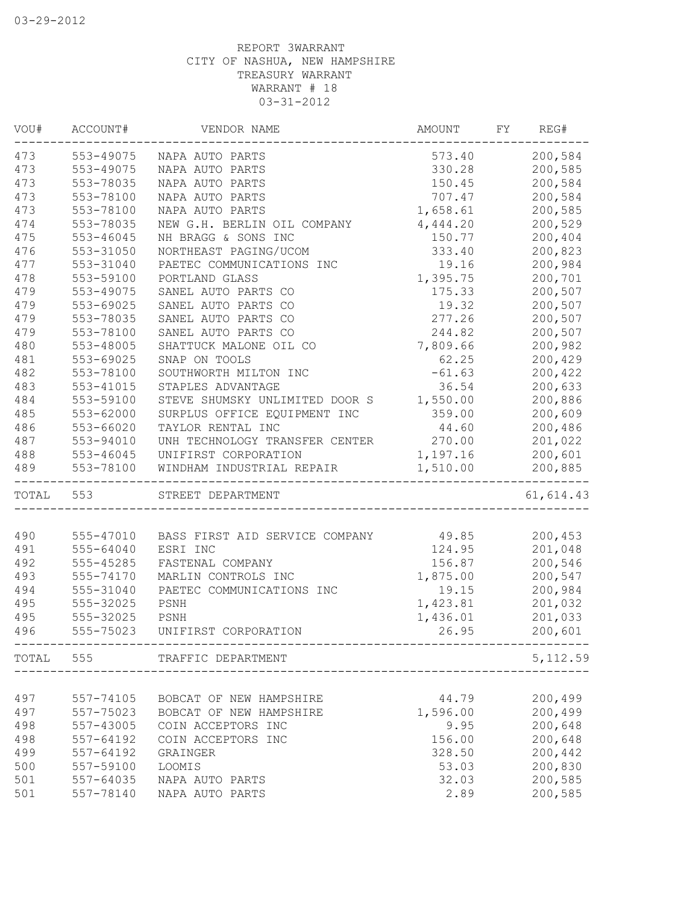| VOU#  | ACCOUNT#      | VENDOR NAME                          | AMOUNT   | FY | REG#       |
|-------|---------------|--------------------------------------|----------|----|------------|
| 473   | 553-49075     | NAPA AUTO PARTS                      | 573.40   |    | 200,584    |
| 473   | 553-49075     | NAPA AUTO PARTS                      | 330.28   |    | 200,585    |
| 473   | 553-78035     | NAPA AUTO PARTS                      | 150.45   |    | 200,584    |
| 473   | 553-78100     | NAPA AUTO PARTS                      | 707.47   |    | 200,584    |
| 473   | 553-78100     | NAPA AUTO PARTS                      | 1,658.61 |    | 200,585    |
| 474   | 553-78035     | NEW G.H. BERLIN OIL COMPANY          | 4,444.20 |    | 200,529    |
| 475   | $553 - 46045$ | NH BRAGG & SONS INC                  | 150.77   |    | 200,404    |
| 476   | 553-31050     | NORTHEAST PAGING/UCOM                | 333.40   |    | 200,823    |
| 477   | 553-31040     | PAETEC COMMUNICATIONS INC            | 19.16    |    | 200,984    |
| 478   | 553-59100     | PORTLAND GLASS                       | 1,395.75 |    | 200,701    |
| 479   | 553-49075     | SANEL AUTO PARTS CO                  | 175.33   |    | 200,507    |
| 479   | 553-69025     | SANEL AUTO PARTS CO                  | 19.32    |    | 200,507    |
| 479   | 553-78035     | SANEL AUTO PARTS CO                  | 277.26   |    | 200,507    |
| 479   | 553-78100     | SANEL AUTO PARTS CO                  | 244.82   |    | 200,507    |
| 480   | 553-48005     | SHATTUCK MALONE OIL CO               | 7,809.66 |    | 200,982    |
| 481   | 553-69025     | SNAP ON TOOLS                        | 62.25    |    | 200,429    |
| 482   | 553-78100     | SOUTHWORTH MILTON INC                | $-61.63$ |    | 200,422    |
| 483   | 553-41015     | STAPLES ADVANTAGE                    | 36.54    |    | 200,633    |
| 484   | 553-59100     | STEVE SHUMSKY UNLIMITED DOOR S       | 1,550.00 |    | 200,886    |
| 485   | 553-62000     | SURPLUS OFFICE EQUIPMENT INC         | 359.00   |    | 200,609    |
| 486   | 553-66020     | TAYLOR RENTAL INC                    | 44.60    |    | 200,486    |
| 487   | 553-94010     | UNH TECHNOLOGY TRANSFER CENTER       | 270.00   |    | 201,022    |
| 488   | 553-46045     | UNIFIRST CORPORATION                 | 1,197.16 |    | 200,601    |
| 489   | 553-78100     | WINDHAM INDUSTRIAL REPAIR            | 1,510.00 |    | 200,885    |
| TOTAL | 553           | STREET DEPARTMENT                    |          |    | 61, 614.43 |
|       |               |                                      |          |    |            |
| 490   | 555-47010     | BASS FIRST AID SERVICE COMPANY 49.85 |          |    | 200,453    |
| 491   | 555-64040     | ESRI INC                             | 124.95   |    | 201,048    |
| 492   | 555-45285     | FASTENAL COMPANY                     | 156.87   |    | 200,546    |
| 493   | 555-74170     | MARLIN CONTROLS INC                  | 1,875.00 |    | 200,547    |
| 494   | 555-31040     | PAETEC COMMUNICATIONS INC            | 19.15    |    | 200,984    |
| 495   | 555-32025     | PSNH                                 | 1,423.81 |    | 201,032    |
| 495   | 555-32025     | PSNH                                 | 1,436.01 |    | 201,033    |
| 496   | 555-75023     | UNIFIRST CORPORATION                 | 26.95    |    | 200,601    |
|       | TOTAL 555     | TRAFFIC DEPARTMENT                   |          |    | 5, 112.59  |
|       |               |                                      |          |    |            |
| 497   | 557-74105     | BOBCAT OF NEW HAMPSHIRE              | 44.79    |    | 200,499    |
| 497   | 557-75023     | BOBCAT OF NEW HAMPSHIRE              | 1,596.00 |    | 200,499    |
| 498   | 557-43005     | COIN ACCEPTORS INC                   | 9.95     |    | 200,648    |
| 498   | $557 - 64192$ | COIN ACCEPTORS INC                   | 156.00   |    | 200,648    |
| 499   | 557-64192     | GRAINGER                             | 328.50   |    | 200,442    |
| 500   | 557-59100     | <b>LOOMIS</b>                        | 53.03    |    | 200,830    |
| 501   | 557-64035     | NAPA AUTO PARTS                      | 32.03    |    | 200,585    |
| 501   | 557-78140     | NAPA AUTO PARTS                      | 2.89     |    | 200,585    |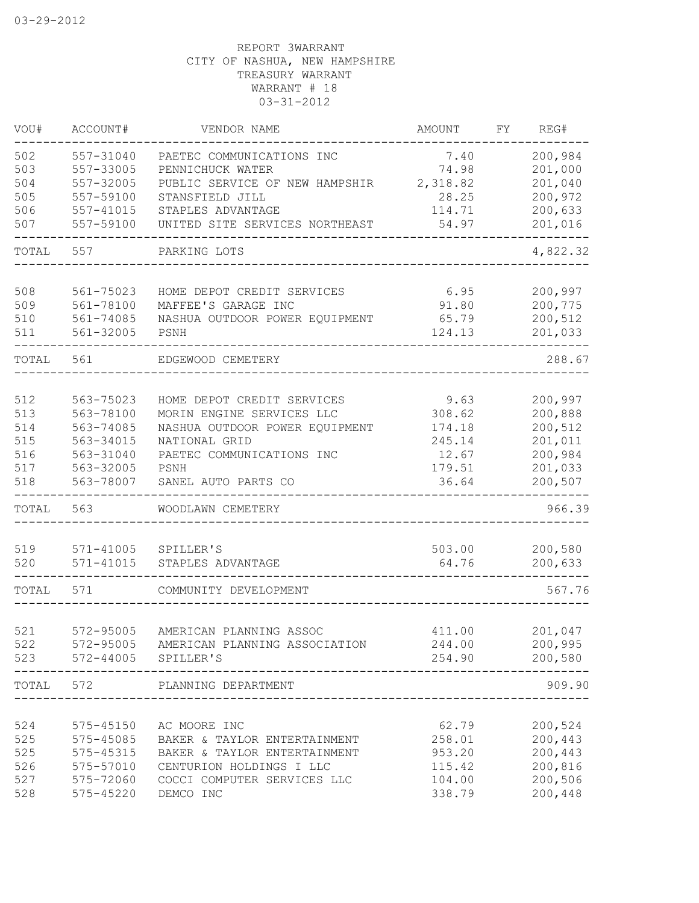| VOU#      | ACCOUNT#      | VENDOR NAME                             | AMOUNT   | FY | REG#     |
|-----------|---------------|-----------------------------------------|----------|----|----------|
| 502       | 557-31040     | PAETEC COMMUNICATIONS INC               | 7.40     |    | 200,984  |
| 503       | 557-33005     | PENNICHUCK WATER                        | 74.98    |    | 201,000  |
| 504       | 557-32005     | PUBLIC SERVICE OF NEW HAMPSHIR          | 2,318.82 |    | 201,040  |
| 505       | 557-59100     | STANSFIELD JILL                         | 28.25    |    | 200,972  |
| 506       | $557 - 41015$ | STAPLES ADVANTAGE                       | 114.71   |    | 200,633  |
| 507       | 557-59100     | UNITED SITE SERVICES NORTHEAST          | 54.97    |    | 201,016  |
| TOTAL     | 557           | PARKING LOTS                            |          |    | 4,822.32 |
|           |               |                                         |          |    |          |
| 508       | 561-75023     | HOME DEPOT CREDIT SERVICES              | 6.95     |    | 200,997  |
| 509       | 561-78100     | MAFFEE'S GARAGE INC                     | 91.80    |    | 200,775  |
| 510       | 561-74085     | NASHUA OUTDOOR POWER EQUIPMENT          | 65.79    |    | 200,512  |
| 511       | 561-32005     | PSNH                                    | 124.13   |    | 201,033  |
| TOTAL     | 561           | EDGEWOOD CEMETERY                       |          |    | 288.67   |
|           |               |                                         |          |    |          |
| 512       | 563-75023     | HOME DEPOT CREDIT SERVICES              | 9.63     |    | 200,997  |
| 513       | 563-78100     | MORIN ENGINE SERVICES LLC               | 308.62   |    | 200,888  |
| 514       | 563-74085     | NASHUA OUTDOOR POWER EQUIPMENT          | 174.18   |    | 200,512  |
| 515       | 563-34015     | NATIONAL GRID                           | 245.14   |    | 201,011  |
| 516       | 563-31040     | PAETEC COMMUNICATIONS INC               | 12.67    |    | 200,984  |
| 517       | 563-32005     | PSNH                                    | 179.51   |    | 201,033  |
| 518       | 563-78007     | SANEL AUTO PARTS CO                     | 36.64    |    | 200,507  |
| TOTAL     | 563           | WOODLAWN CEMETERY                       |          |    | 966.39   |
|           |               |                                         |          |    |          |
| 519       | 571-41005     | SPILLER'S                               | 503.00   |    | 200,580  |
| 520       | 571-41015     | STAPLES ADVANTAGE                       | 64.76    |    | 200,633  |
| TOTAL     | 571           | COMMUNITY DEVELOPMENT                   |          |    | 567.76   |
|           |               |                                         |          |    |          |
| 521       | 572-95005     | AMERICAN PLANNING ASSOC                 | 411.00   |    | 201,047  |
| 522       |               | 572-95005 AMERICAN PLANNING ASSOCIATION | 244.00   |    | 200,995  |
| 523       |               | 572-44005 SPILLER'S                     | 254.90   |    | 200,580  |
| TOTAL 572 |               | PLANNING DEPARTMENT                     |          |    | 909.90   |
|           |               |                                         |          |    |          |
| 524       | 575-45150     | AC MOORE INC                            | 62.79    |    | 200,524  |
| 525       | 575-45085     | BAKER & TAYLOR ENTERTAINMENT            | 258.01   |    | 200,443  |
| 525       | 575-45315     | BAKER & TAYLOR ENTERTAINMENT            | 953.20   |    | 200,443  |
| 526       | 575-57010     | CENTURION HOLDINGS I LLC                | 115.42   |    | 200,816  |
| 527       | 575-72060     | COCCI COMPUTER SERVICES LLC             | 104.00   |    | 200,506  |
| 528       | 575-45220     | DEMCO INC                               | 338.79   |    | 200,448  |
|           |               |                                         |          |    |          |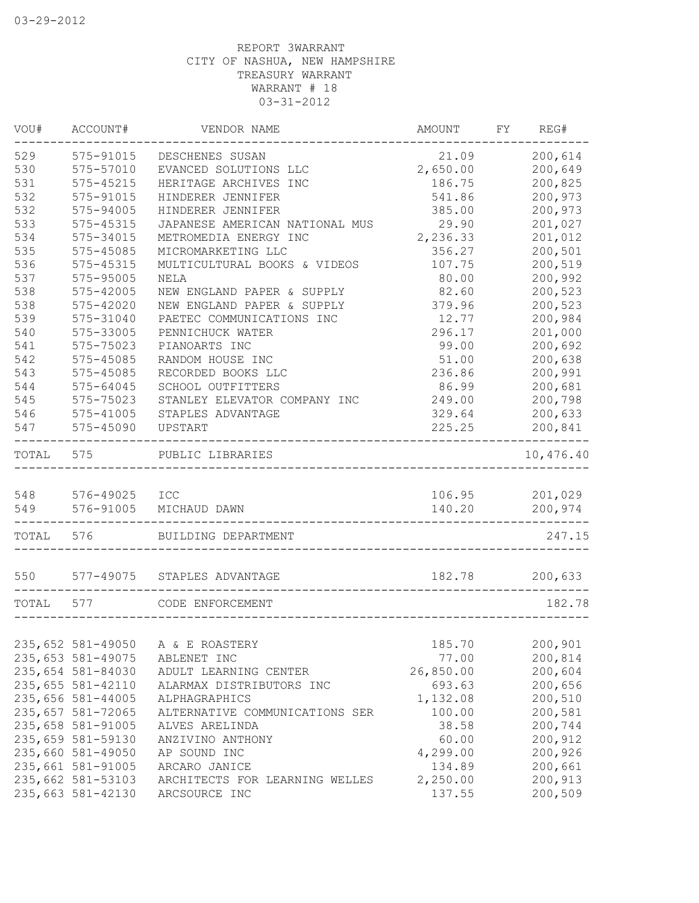| VOU#  | ACCOUNT#          | VENDOR NAME                    | AMOUNT    | FY | REG#           |
|-------|-------------------|--------------------------------|-----------|----|----------------|
| 529   | 575-91015         | DESCHENES SUSAN                | 21.09     |    | 200,614        |
| 530   | 575-57010         | EVANCED SOLUTIONS LLC          | 2,650.00  |    | 200,649        |
| 531   | 575-45215         | HERITAGE ARCHIVES INC          | 186.75    |    | 200,825        |
| 532   | 575-91015         | HINDERER JENNIFER              | 541.86    |    | 200,973        |
| 532   | 575-94005         | HINDERER JENNIFER              | 385.00    |    | 200,973        |
| 533   | 575-45315         | JAPANESE AMERICAN NATIONAL MUS | 29.90     |    | 201,027        |
| 534   | 575-34015         | METROMEDIA ENERGY INC          | 2,236.33  |    | 201,012        |
| 535   | 575-45085         | MICROMARKETING LLC             | 356.27    |    | 200,501        |
| 536   | 575-45315         | MULTICULTURAL BOOKS & VIDEOS   | 107.75    |    | 200,519        |
| 537   | 575-95005         | NELA                           | 80.00     |    | 200,992        |
| 538   | 575-42005         | NEW ENGLAND PAPER & SUPPLY     | 82.60     |    | 200,523        |
| 538   | 575-42020         | NEW ENGLAND PAPER & SUPPLY     | 379.96    |    | 200,523        |
| 539   | 575-31040         | PAETEC COMMUNICATIONS INC      | 12.77     |    | 200,984        |
| 540   | 575-33005         | PENNICHUCK WATER               | 296.17    |    | 201,000        |
| 541   | 575-75023         | PIANOARTS INC                  | 99.00     |    | 200,692        |
| 542   | 575-45085         | RANDOM HOUSE INC               | 51.00     |    | 200,638        |
| 543   | 575-45085         | RECORDED BOOKS LLC             | 236.86    |    | 200,991        |
| 544   | 575-64045         | SCHOOL OUTFITTERS              | 86.99     |    | 200,681        |
| 545   | 575-75023         | STANLEY ELEVATOR COMPANY INC   | 249.00    |    | 200,798        |
| 546   | 575-41005         | STAPLES ADVANTAGE              | 329.64    |    | 200,633        |
| 547   | 575-45090         | UPSTART                        | 225.25    |    | 200,841        |
| TOTAL | 575               | PUBLIC LIBRARIES               |           |    | 10,476.40      |
|       |                   |                                |           |    |                |
| 548   | 576-49025 ICC     |                                |           |    | 106.95 201,029 |
| 549   | 576-91005         | MICHAUD DAWN                   | 140.20    |    | 200,974        |
| TOTAL | 576               | BUILDING DEPARTMENT            |           |    | 247.15         |
| 550   |                   | 577-49075 STAPLES ADVANTAGE    | 182.78    |    | 200,633        |
| TOTAL | 577               | CODE ENFORCEMENT               |           |    | 182.78         |
|       |                   |                                |           |    |                |
|       | 235,652 581-49050 | A & E ROASTERY                 | 185.70    |    | 200,901        |
|       | 235,653 581-49075 | ABLENET INC                    | 77.00     |    | 200,814        |
|       | 235,654 581-84030 | ADULT LEARNING CENTER          | 26,850.00 |    | 200,604        |
|       | 235,655 581-42110 | ALARMAX DISTRIBUTORS INC       | 693.63    |    | 200,656        |
|       | 235,656 581-44005 | ALPHAGRAPHICS                  | 1,132.08  |    | 200,510        |
|       | 235,657 581-72065 | ALTERNATIVE COMMUNICATIONS SER | 100.00    |    | 200,581        |
|       | 235,658 581-91005 | ALVES ARELINDA                 | 38.58     |    | 200,744        |
|       | 235,659 581-59130 | ANZIVINO ANTHONY               | 60.00     |    | 200,912        |
|       | 235,660 581-49050 | AP SOUND INC                   | 4,299.00  |    | 200,926        |
|       | 235,661 581-91005 | ARCARO JANICE                  | 134.89    |    | 200,661        |
|       | 235,662 581-53103 | ARCHITECTS FOR LEARNING WELLES | 2,250.00  |    | 200,913        |
|       | 235,663 581-42130 | ARCSOURCE INC                  | 137.55    |    | 200,509        |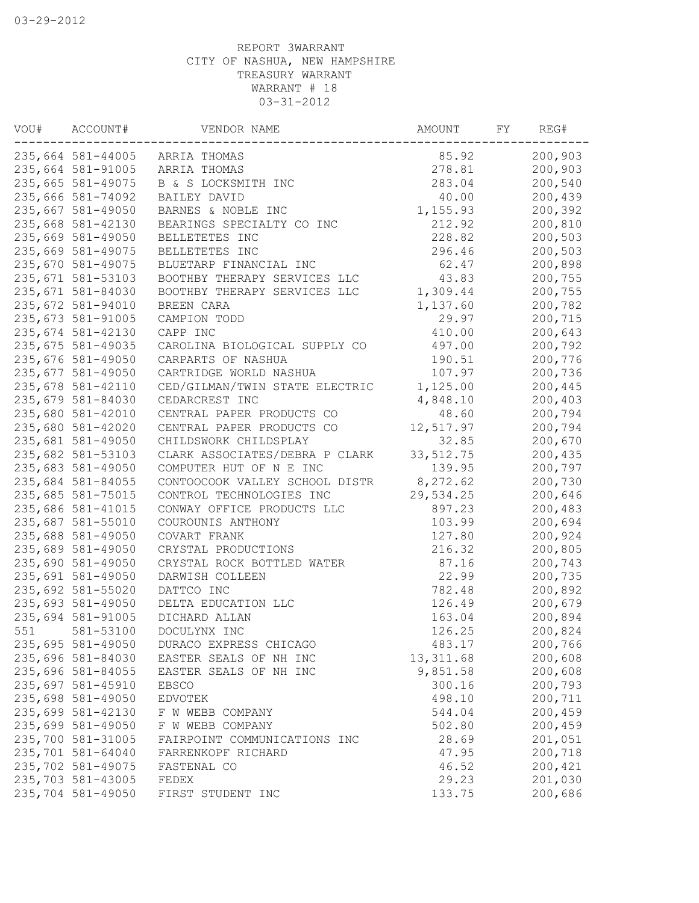| ACCOUNT# | VENDOR NAME                                                                                                                                                                                                                                                                                                                                                                                                                                                                                                                                                                                                                                                                                                                                                                                                                                                                                                                                                                                                                          | AMOUNT                                                                                                                                                                                                                                                                                                                                                                                                                                                                                                                                                                                                                                                                                                                                                                             | FY.                                                                                                                                                                                                                                                                                                                                              | REG#     |
|----------|--------------------------------------------------------------------------------------------------------------------------------------------------------------------------------------------------------------------------------------------------------------------------------------------------------------------------------------------------------------------------------------------------------------------------------------------------------------------------------------------------------------------------------------------------------------------------------------------------------------------------------------------------------------------------------------------------------------------------------------------------------------------------------------------------------------------------------------------------------------------------------------------------------------------------------------------------------------------------------------------------------------------------------------|------------------------------------------------------------------------------------------------------------------------------------------------------------------------------------------------------------------------------------------------------------------------------------------------------------------------------------------------------------------------------------------------------------------------------------------------------------------------------------------------------------------------------------------------------------------------------------------------------------------------------------------------------------------------------------------------------------------------------------------------------------------------------------|--------------------------------------------------------------------------------------------------------------------------------------------------------------------------------------------------------------------------------------------------------------------------------------------------------------------------------------------------|----------|
|          | ARRIA THOMAS                                                                                                                                                                                                                                                                                                                                                                                                                                                                                                                                                                                                                                                                                                                                                                                                                                                                                                                                                                                                                         | 85.92                                                                                                                                                                                                                                                                                                                                                                                                                                                                                                                                                                                                                                                                                                                                                                              |                                                                                                                                                                                                                                                                                                                                                  | 200,903  |
|          | ARRIA THOMAS                                                                                                                                                                                                                                                                                                                                                                                                                                                                                                                                                                                                                                                                                                                                                                                                                                                                                                                                                                                                                         | 278.81                                                                                                                                                                                                                                                                                                                                                                                                                                                                                                                                                                                                                                                                                                                                                                             |                                                                                                                                                                                                                                                                                                                                                  | 200,903  |
|          | B & S LOCKSMITH INC                                                                                                                                                                                                                                                                                                                                                                                                                                                                                                                                                                                                                                                                                                                                                                                                                                                                                                                                                                                                                  | 283.04                                                                                                                                                                                                                                                                                                                                                                                                                                                                                                                                                                                                                                                                                                                                                                             |                                                                                                                                                                                                                                                                                                                                                  | 200,540  |
|          | BAILEY DAVID                                                                                                                                                                                                                                                                                                                                                                                                                                                                                                                                                                                                                                                                                                                                                                                                                                                                                                                                                                                                                         | 40.00                                                                                                                                                                                                                                                                                                                                                                                                                                                                                                                                                                                                                                                                                                                                                                              |                                                                                                                                                                                                                                                                                                                                                  | 200,439  |
|          | BARNES & NOBLE INC                                                                                                                                                                                                                                                                                                                                                                                                                                                                                                                                                                                                                                                                                                                                                                                                                                                                                                                                                                                                                   | 1,155.93                                                                                                                                                                                                                                                                                                                                                                                                                                                                                                                                                                                                                                                                                                                                                                           |                                                                                                                                                                                                                                                                                                                                                  | 200,392  |
|          | BEARINGS SPECIALTY CO INC                                                                                                                                                                                                                                                                                                                                                                                                                                                                                                                                                                                                                                                                                                                                                                                                                                                                                                                                                                                                            | 212.92                                                                                                                                                                                                                                                                                                                                                                                                                                                                                                                                                                                                                                                                                                                                                                             |                                                                                                                                                                                                                                                                                                                                                  | 200,810  |
|          | BELLETETES INC                                                                                                                                                                                                                                                                                                                                                                                                                                                                                                                                                                                                                                                                                                                                                                                                                                                                                                                                                                                                                       | 228.82                                                                                                                                                                                                                                                                                                                                                                                                                                                                                                                                                                                                                                                                                                                                                                             |                                                                                                                                                                                                                                                                                                                                                  | 200,503  |
|          | BELLETETES INC                                                                                                                                                                                                                                                                                                                                                                                                                                                                                                                                                                                                                                                                                                                                                                                                                                                                                                                                                                                                                       | 296.46                                                                                                                                                                                                                                                                                                                                                                                                                                                                                                                                                                                                                                                                                                                                                                             |                                                                                                                                                                                                                                                                                                                                                  | 200,503  |
|          |                                                                                                                                                                                                                                                                                                                                                                                                                                                                                                                                                                                                                                                                                                                                                                                                                                                                                                                                                                                                                                      |                                                                                                                                                                                                                                                                                                                                                                                                                                                                                                                                                                                                                                                                                                                                                                                    |                                                                                                                                                                                                                                                                                                                                                  | 200,898  |
|          |                                                                                                                                                                                                                                                                                                                                                                                                                                                                                                                                                                                                                                                                                                                                                                                                                                                                                                                                                                                                                                      | 43.83                                                                                                                                                                                                                                                                                                                                                                                                                                                                                                                                                                                                                                                                                                                                                                              |                                                                                                                                                                                                                                                                                                                                                  | 200,755  |
|          |                                                                                                                                                                                                                                                                                                                                                                                                                                                                                                                                                                                                                                                                                                                                                                                                                                                                                                                                                                                                                                      |                                                                                                                                                                                                                                                                                                                                                                                                                                                                                                                                                                                                                                                                                                                                                                                    |                                                                                                                                                                                                                                                                                                                                                  | 200,755  |
|          |                                                                                                                                                                                                                                                                                                                                                                                                                                                                                                                                                                                                                                                                                                                                                                                                                                                                                                                                                                                                                                      |                                                                                                                                                                                                                                                                                                                                                                                                                                                                                                                                                                                                                                                                                                                                                                                    |                                                                                                                                                                                                                                                                                                                                                  | 200,782  |
|          |                                                                                                                                                                                                                                                                                                                                                                                                                                                                                                                                                                                                                                                                                                                                                                                                                                                                                                                                                                                                                                      |                                                                                                                                                                                                                                                                                                                                                                                                                                                                                                                                                                                                                                                                                                                                                                                    |                                                                                                                                                                                                                                                                                                                                                  | 200,715  |
|          |                                                                                                                                                                                                                                                                                                                                                                                                                                                                                                                                                                                                                                                                                                                                                                                                                                                                                                                                                                                                                                      |                                                                                                                                                                                                                                                                                                                                                                                                                                                                                                                                                                                                                                                                                                                                                                                    |                                                                                                                                                                                                                                                                                                                                                  | 200,643  |
|          |                                                                                                                                                                                                                                                                                                                                                                                                                                                                                                                                                                                                                                                                                                                                                                                                                                                                                                                                                                                                                                      |                                                                                                                                                                                                                                                                                                                                                                                                                                                                                                                                                                                                                                                                                                                                                                                    |                                                                                                                                                                                                                                                                                                                                                  | 200,792  |
|          |                                                                                                                                                                                                                                                                                                                                                                                                                                                                                                                                                                                                                                                                                                                                                                                                                                                                                                                                                                                                                                      |                                                                                                                                                                                                                                                                                                                                                                                                                                                                                                                                                                                                                                                                                                                                                                                    |                                                                                                                                                                                                                                                                                                                                                  | 200,776  |
|          |                                                                                                                                                                                                                                                                                                                                                                                                                                                                                                                                                                                                                                                                                                                                                                                                                                                                                                                                                                                                                                      |                                                                                                                                                                                                                                                                                                                                                                                                                                                                                                                                                                                                                                                                                                                                                                                    |                                                                                                                                                                                                                                                                                                                                                  | 200,736  |
|          |                                                                                                                                                                                                                                                                                                                                                                                                                                                                                                                                                                                                                                                                                                                                                                                                                                                                                                                                                                                                                                      |                                                                                                                                                                                                                                                                                                                                                                                                                                                                                                                                                                                                                                                                                                                                                                                    |                                                                                                                                                                                                                                                                                                                                                  | 200,445  |
|          |                                                                                                                                                                                                                                                                                                                                                                                                                                                                                                                                                                                                                                                                                                                                                                                                                                                                                                                                                                                                                                      |                                                                                                                                                                                                                                                                                                                                                                                                                                                                                                                                                                                                                                                                                                                                                                                    |                                                                                                                                                                                                                                                                                                                                                  | 200,403  |
|          |                                                                                                                                                                                                                                                                                                                                                                                                                                                                                                                                                                                                                                                                                                                                                                                                                                                                                                                                                                                                                                      |                                                                                                                                                                                                                                                                                                                                                                                                                                                                                                                                                                                                                                                                                                                                                                                    |                                                                                                                                                                                                                                                                                                                                                  | 200,794  |
|          |                                                                                                                                                                                                                                                                                                                                                                                                                                                                                                                                                                                                                                                                                                                                                                                                                                                                                                                                                                                                                                      |                                                                                                                                                                                                                                                                                                                                                                                                                                                                                                                                                                                                                                                                                                                                                                                    |                                                                                                                                                                                                                                                                                                                                                  | 200,794  |
|          |                                                                                                                                                                                                                                                                                                                                                                                                                                                                                                                                                                                                                                                                                                                                                                                                                                                                                                                                                                                                                                      |                                                                                                                                                                                                                                                                                                                                                                                                                                                                                                                                                                                                                                                                                                                                                                                    |                                                                                                                                                                                                                                                                                                                                                  | 200,670  |
|          |                                                                                                                                                                                                                                                                                                                                                                                                                                                                                                                                                                                                                                                                                                                                                                                                                                                                                                                                                                                                                                      |                                                                                                                                                                                                                                                                                                                                                                                                                                                                                                                                                                                                                                                                                                                                                                                    |                                                                                                                                                                                                                                                                                                                                                  | 200,435  |
|          |                                                                                                                                                                                                                                                                                                                                                                                                                                                                                                                                                                                                                                                                                                                                                                                                                                                                                                                                                                                                                                      |                                                                                                                                                                                                                                                                                                                                                                                                                                                                                                                                                                                                                                                                                                                                                                                    |                                                                                                                                                                                                                                                                                                                                                  | 200,797  |
|          |                                                                                                                                                                                                                                                                                                                                                                                                                                                                                                                                                                                                                                                                                                                                                                                                                                                                                                                                                                                                                                      |                                                                                                                                                                                                                                                                                                                                                                                                                                                                                                                                                                                                                                                                                                                                                                                    |                                                                                                                                                                                                                                                                                                                                                  | 200,730  |
|          |                                                                                                                                                                                                                                                                                                                                                                                                                                                                                                                                                                                                                                                                                                                                                                                                                                                                                                                                                                                                                                      |                                                                                                                                                                                                                                                                                                                                                                                                                                                                                                                                                                                                                                                                                                                                                                                    |                                                                                                                                                                                                                                                                                                                                                  |          |
|          |                                                                                                                                                                                                                                                                                                                                                                                                                                                                                                                                                                                                                                                                                                                                                                                                                                                                                                                                                                                                                                      |                                                                                                                                                                                                                                                                                                                                                                                                                                                                                                                                                                                                                                                                                                                                                                                    |                                                                                                                                                                                                                                                                                                                                                  | 200,646  |
|          |                                                                                                                                                                                                                                                                                                                                                                                                                                                                                                                                                                                                                                                                                                                                                                                                                                                                                                                                                                                                                                      |                                                                                                                                                                                                                                                                                                                                                                                                                                                                                                                                                                                                                                                                                                                                                                                    |                                                                                                                                                                                                                                                                                                                                                  | 200,483  |
|          |                                                                                                                                                                                                                                                                                                                                                                                                                                                                                                                                                                                                                                                                                                                                                                                                                                                                                                                                                                                                                                      |                                                                                                                                                                                                                                                                                                                                                                                                                                                                                                                                                                                                                                                                                                                                                                                    |                                                                                                                                                                                                                                                                                                                                                  | 200,694  |
|          |                                                                                                                                                                                                                                                                                                                                                                                                                                                                                                                                                                                                                                                                                                                                                                                                                                                                                                                                                                                                                                      |                                                                                                                                                                                                                                                                                                                                                                                                                                                                                                                                                                                                                                                                                                                                                                                    |                                                                                                                                                                                                                                                                                                                                                  | 200,924  |
|          |                                                                                                                                                                                                                                                                                                                                                                                                                                                                                                                                                                                                                                                                                                                                                                                                                                                                                                                                                                                                                                      |                                                                                                                                                                                                                                                                                                                                                                                                                                                                                                                                                                                                                                                                                                                                                                                    |                                                                                                                                                                                                                                                                                                                                                  | 200,805  |
|          |                                                                                                                                                                                                                                                                                                                                                                                                                                                                                                                                                                                                                                                                                                                                                                                                                                                                                                                                                                                                                                      |                                                                                                                                                                                                                                                                                                                                                                                                                                                                                                                                                                                                                                                                                                                                                                                    |                                                                                                                                                                                                                                                                                                                                                  | 200,743  |
|          |                                                                                                                                                                                                                                                                                                                                                                                                                                                                                                                                                                                                                                                                                                                                                                                                                                                                                                                                                                                                                                      |                                                                                                                                                                                                                                                                                                                                                                                                                                                                                                                                                                                                                                                                                                                                                                                    |                                                                                                                                                                                                                                                                                                                                                  | 200,735  |
|          |                                                                                                                                                                                                                                                                                                                                                                                                                                                                                                                                                                                                                                                                                                                                                                                                                                                                                                                                                                                                                                      |                                                                                                                                                                                                                                                                                                                                                                                                                                                                                                                                                                                                                                                                                                                                                                                    |                                                                                                                                                                                                                                                                                                                                                  | 200,892  |
|          |                                                                                                                                                                                                                                                                                                                                                                                                                                                                                                                                                                                                                                                                                                                                                                                                                                                                                                                                                                                                                                      |                                                                                                                                                                                                                                                                                                                                                                                                                                                                                                                                                                                                                                                                                                                                                                                    |                                                                                                                                                                                                                                                                                                                                                  | 200,679  |
|          |                                                                                                                                                                                                                                                                                                                                                                                                                                                                                                                                                                                                                                                                                                                                                                                                                                                                                                                                                                                                                                      |                                                                                                                                                                                                                                                                                                                                                                                                                                                                                                                                                                                                                                                                                                                                                                                    |                                                                                                                                                                                                                                                                                                                                                  | 200,894  |
|          |                                                                                                                                                                                                                                                                                                                                                                                                                                                                                                                                                                                                                                                                                                                                                                                                                                                                                                                                                                                                                                      |                                                                                                                                                                                                                                                                                                                                                                                                                                                                                                                                                                                                                                                                                                                                                                                    |                                                                                                                                                                                                                                                                                                                                                  | 200,824  |
|          |                                                                                                                                                                                                                                                                                                                                                                                                                                                                                                                                                                                                                                                                                                                                                                                                                                                                                                                                                                                                                                      |                                                                                                                                                                                                                                                                                                                                                                                                                                                                                                                                                                                                                                                                                                                                                                                    |                                                                                                                                                                                                                                                                                                                                                  | 200,766  |
|          |                                                                                                                                                                                                                                                                                                                                                                                                                                                                                                                                                                                                                                                                                                                                                                                                                                                                                                                                                                                                                                      |                                                                                                                                                                                                                                                                                                                                                                                                                                                                                                                                                                                                                                                                                                                                                                                    |                                                                                                                                                                                                                                                                                                                                                  | 200,608  |
|          |                                                                                                                                                                                                                                                                                                                                                                                                                                                                                                                                                                                                                                                                                                                                                                                                                                                                                                                                                                                                                                      |                                                                                                                                                                                                                                                                                                                                                                                                                                                                                                                                                                                                                                                                                                                                                                                    |                                                                                                                                                                                                                                                                                                                                                  | 200,608  |
|          | <b>EBSCO</b>                                                                                                                                                                                                                                                                                                                                                                                                                                                                                                                                                                                                                                                                                                                                                                                                                                                                                                                                                                                                                         |                                                                                                                                                                                                                                                                                                                                                                                                                                                                                                                                                                                                                                                                                                                                                                                    |                                                                                                                                                                                                                                                                                                                                                  | 200,793  |
|          | <b>EDVOTEK</b>                                                                                                                                                                                                                                                                                                                                                                                                                                                                                                                                                                                                                                                                                                                                                                                                                                                                                                                                                                                                                       |                                                                                                                                                                                                                                                                                                                                                                                                                                                                                                                                                                                                                                                                                                                                                                                    |                                                                                                                                                                                                                                                                                                                                                  | 200,711  |
|          | F W WEBB COMPANY                                                                                                                                                                                                                                                                                                                                                                                                                                                                                                                                                                                                                                                                                                                                                                                                                                                                                                                                                                                                                     | 544.04                                                                                                                                                                                                                                                                                                                                                                                                                                                                                                                                                                                                                                                                                                                                                                             |                                                                                                                                                                                                                                                                                                                                                  | 200, 459 |
|          | F W WEBB COMPANY                                                                                                                                                                                                                                                                                                                                                                                                                                                                                                                                                                                                                                                                                                                                                                                                                                                                                                                                                                                                                     | 502.80                                                                                                                                                                                                                                                                                                                                                                                                                                                                                                                                                                                                                                                                                                                                                                             |                                                                                                                                                                                                                                                                                                                                                  | 200,459  |
|          | FAIRPOINT COMMUNICATIONS INC                                                                                                                                                                                                                                                                                                                                                                                                                                                                                                                                                                                                                                                                                                                                                                                                                                                                                                                                                                                                         | 28.69                                                                                                                                                                                                                                                                                                                                                                                                                                                                                                                                                                                                                                                                                                                                                                              |                                                                                                                                                                                                                                                                                                                                                  | 201,051  |
|          | FARRENKOPF RICHARD                                                                                                                                                                                                                                                                                                                                                                                                                                                                                                                                                                                                                                                                                                                                                                                                                                                                                                                                                                                                                   | 47.95                                                                                                                                                                                                                                                                                                                                                                                                                                                                                                                                                                                                                                                                                                                                                                              |                                                                                                                                                                                                                                                                                                                                                  | 200,718  |
|          | FASTENAL CO                                                                                                                                                                                                                                                                                                                                                                                                                                                                                                                                                                                                                                                                                                                                                                                                                                                                                                                                                                                                                          | 46.52                                                                                                                                                                                                                                                                                                                                                                                                                                                                                                                                                                                                                                                                                                                                                                              |                                                                                                                                                                                                                                                                                                                                                  | 200,421  |
|          | FEDEX                                                                                                                                                                                                                                                                                                                                                                                                                                                                                                                                                                                                                                                                                                                                                                                                                                                                                                                                                                                                                                | 29.23                                                                                                                                                                                                                                                                                                                                                                                                                                                                                                                                                                                                                                                                                                                                                                              |                                                                                                                                                                                                                                                                                                                                                  | 201,030  |
|          | FIRST STUDENT INC                                                                                                                                                                                                                                                                                                                                                                                                                                                                                                                                                                                                                                                                                                                                                                                                                                                                                                                                                                                                                    | 133.75                                                                                                                                                                                                                                                                                                                                                                                                                                                                                                                                                                                                                                                                                                                                                                             |                                                                                                                                                                                                                                                                                                                                                  | 200,686  |
|          | 235,664 581-44005<br>235,664 581-91005<br>235,665 581-49075<br>235,666 581-74092<br>235,667 581-49050<br>235,668 581-42130<br>235,669 581-49050<br>235,669 581-49075<br>235,670 581-49075<br>235,671 581-53103<br>235,671 581-84030<br>235,672 581-94010<br>235,673 581-91005<br>235,674 581-42130<br>235,675 581-49035<br>235,676 581-49050<br>235,677 581-49050<br>235,678 581-42110<br>235,679 581-84030<br>235,680 581-42010<br>235,680 581-42020<br>235,681 581-49050<br>235,682 581-53103<br>235,683 581-49050<br>235,684 581-84055<br>235,685 581-75015<br>235,686 581-41015<br>235,687 581-55010<br>235,688 581-49050<br>235,689 581-49050<br>235,690 581-49050<br>235,691 581-49050<br>235,692 581-55020<br>235,693 581-49050<br>235,694 581-91005<br>581-53100<br>235,695 581-49050<br>235,696 581-84030<br>235,696 581-84055<br>235,697 581-45910<br>235,698 581-49050<br>235,699 581-42130<br>235,699 581-49050<br>235,700 581-31005<br>235,701 581-64040<br>235,702 581-49075<br>235,703 581-43005<br>235,704 581-49050 | BLUETARP FINANCIAL INC<br>BOOTHBY THERAPY SERVICES LLC<br>BOOTHBY THERAPY SERVICES LLC<br>BREEN CARA<br>CAMPION TODD<br>CAPP INC<br>CAROLINA BIOLOGICAL SUPPLY CO<br>CARPARTS OF NASHUA<br>CARTRIDGE WORLD NASHUA<br>CED/GILMAN/TWIN STATE ELECTRIC<br>CEDARCREST INC<br>CENTRAL PAPER PRODUCTS CO<br>CENTRAL PAPER PRODUCTS CO<br>CHILDSWORK CHILDSPLAY<br>CLARK ASSOCIATES/DEBRA P CLARK<br>COMPUTER HUT OF N E INC<br>CONTOOCOOK VALLEY SCHOOL DISTR<br>CONTROL TECHNOLOGIES INC<br>CONWAY OFFICE PRODUCTS LLC<br>COUROUNIS ANTHONY<br>COVART FRANK<br>CRYSTAL PRODUCTIONS<br>CRYSTAL ROCK BOTTLED WATER<br>DARWISH COLLEEN<br>DATTCO INC<br>DELTA EDUCATION LLC<br>DICHARD ALLAN<br>DOCULYNX INC<br>DURACO EXPRESS CHICAGO<br>EASTER SEALS OF NH INC<br>EASTER SEALS OF NH INC | 62.47<br>1,309.44<br>1,137.60<br>29.97<br>410.00<br>497.00<br>190.51<br>107.97<br>1,125.00<br>4,848.10<br>48.60<br>12,517.97<br>32.85<br>33, 512.75<br>139.95<br>8,272.62<br>29,534.25<br>897.23<br>103.99<br>127.80<br>216.32<br>87.16<br>22.99<br>782.48<br>126.49<br>163.04<br>126.25<br>483.17<br>13, 311.68<br>9,851.58<br>300.16<br>498.10 |          |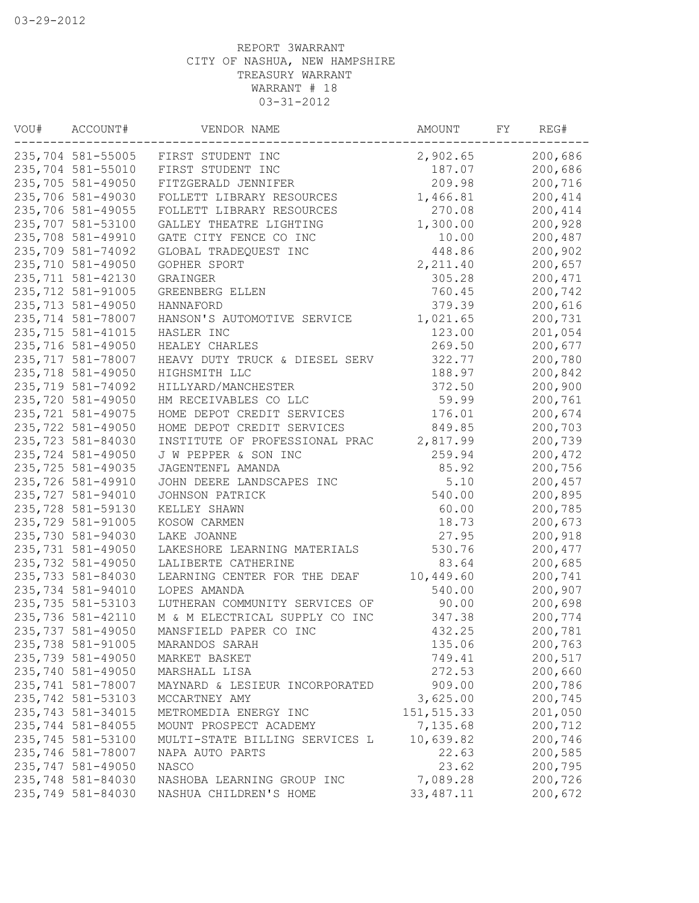| VOU# | ACCOUNT#           | VENDOR NAME                    | AMOUNT      | FΥ | REG#    |
|------|--------------------|--------------------------------|-------------|----|---------|
|      | 235,704 581-55005  | FIRST STUDENT INC              | 2,902.65    |    | 200,686 |
|      | 235,704 581-55010  | FIRST STUDENT INC              | 187.07      |    | 200,686 |
|      | 235,705 581-49050  | FITZGERALD JENNIFER            | 209.98      |    | 200,716 |
|      | 235,706 581-49030  | FOLLETT LIBRARY RESOURCES      | 1,466.81    |    | 200,414 |
|      | 235,706 581-49055  | FOLLETT LIBRARY RESOURCES      | 270.08      |    | 200,414 |
|      | 235,707 581-53100  | GALLEY THEATRE LIGHTING        | 1,300.00    |    | 200,928 |
|      | 235,708 581-49910  | GATE CITY FENCE CO INC         | 10.00       |    | 200,487 |
|      | 235,709 581-74092  | GLOBAL TRADEQUEST INC          | 448.86      |    | 200,902 |
|      | 235,710 581-49050  | GOPHER SPORT                   | 2,211.40    |    | 200,657 |
|      | 235,711 581-42130  | GRAINGER                       | 305.28      |    | 200,471 |
|      | 235,712 581-91005  | GREENBERG ELLEN                | 760.45      |    | 200,742 |
|      | 235,713 581-49050  | HANNAFORD                      | 379.39      |    | 200,616 |
|      | 235,714 581-78007  | HANSON'S AUTOMOTIVE SERVICE    | 1,021.65    |    | 200,731 |
|      | 235, 715 581-41015 | HASLER INC                     | 123.00      |    | 201,054 |
|      | 235,716 581-49050  | HEALEY CHARLES                 | 269.50      |    | 200,677 |
|      | 235,717 581-78007  | HEAVY DUTY TRUCK & DIESEL SERV | 322.77      |    | 200,780 |
|      | 235,718 581-49050  | HIGHSMITH LLC                  | 188.97      |    | 200,842 |
|      | 235,719 581-74092  | HILLYARD/MANCHESTER            | 372.50      |    | 200,900 |
|      | 235,720 581-49050  | HM RECEIVABLES CO LLC          | 59.99       |    | 200,761 |
|      | 235, 721 581-49075 | HOME DEPOT CREDIT SERVICES     | 176.01      |    | 200,674 |
|      | 235,722 581-49050  | HOME DEPOT CREDIT SERVICES     | 849.85      |    | 200,703 |
|      | 235,723 581-84030  | INSTITUTE OF PROFESSIONAL PRAC | 2,817.99    |    | 200,739 |
|      | 235,724 581-49050  | J W PEPPER & SON INC           | 259.94      |    | 200,472 |
|      | 235,725 581-49035  |                                | 85.92       |    | 200,756 |
|      |                    | JAGENTENFL AMANDA              |             |    |         |
|      | 235,726 581-49910  | JOHN DEERE LANDSCAPES INC      | 5.10        |    | 200,457 |
|      | 235,727 581-94010  | JOHNSON PATRICK                | 540.00      |    | 200,895 |
|      | 235,728 581-59130  | KELLEY SHAWN                   | 60.00       |    | 200,785 |
|      | 235,729 581-91005  | KOSOW CARMEN                   | 18.73       |    | 200,673 |
|      | 235,730 581-94030  | LAKE JOANNE                    | 27.95       |    | 200,918 |
|      | 235,731 581-49050  | LAKESHORE LEARNING MATERIALS   | 530.76      |    | 200,477 |
|      | 235,732 581-49050  | LALIBERTE CATHERINE            | 83.64       |    | 200,685 |
|      | 235,733 581-84030  | LEARNING CENTER FOR THE DEAF   | 10,449.60   |    | 200,741 |
|      | 235,734 581-94010  | LOPES AMANDA                   | 540.00      |    | 200,907 |
|      | 235,735 581-53103  | LUTHERAN COMMUNITY SERVICES OF | 90.00       |    | 200,698 |
|      | 235,736 581-42110  | M & M ELECTRICAL SUPPLY CO INC | 347.38      |    | 200,774 |
|      | 235,737 581-49050  | MANSFIELD PAPER CO INC         | 432.25      |    | 200,781 |
|      | 235,738 581-91005  | MARANDOS SARAH                 | 135.06      |    | 200,763 |
|      | 235,739 581-49050  | MARKET BASKET                  | 749.41      |    | 200,517 |
|      | 235,740 581-49050  | MARSHALL LISA                  | 272.53      |    | 200,660 |
|      | 235,741 581-78007  | MAYNARD & LESIEUR INCORPORATED | 909.00      |    | 200,786 |
|      | 235,742 581-53103  | MCCARTNEY AMY                  | 3,625.00    |    | 200,745 |
|      | 235,743 581-34015  | METROMEDIA ENERGY INC          | 151,515.33  |    | 201,050 |
|      | 235,744 581-84055  | MOUNT PROSPECT ACADEMY         | 7,135.68    |    | 200,712 |
|      | 235,745 581-53100  | MULTI-STATE BILLING SERVICES L | 10,639.82   |    | 200,746 |
|      | 235,746 581-78007  | NAPA AUTO PARTS                | 22.63       |    | 200,585 |
|      | 235,747 581-49050  | NASCO                          | 23.62       |    | 200,795 |
|      | 235,748 581-84030  | NASHOBA LEARNING GROUP INC     | 7,089.28    |    | 200,726 |
|      | 235,749 581-84030  | NASHUA CHILDREN'S HOME         | 33, 487. 11 |    | 200,672 |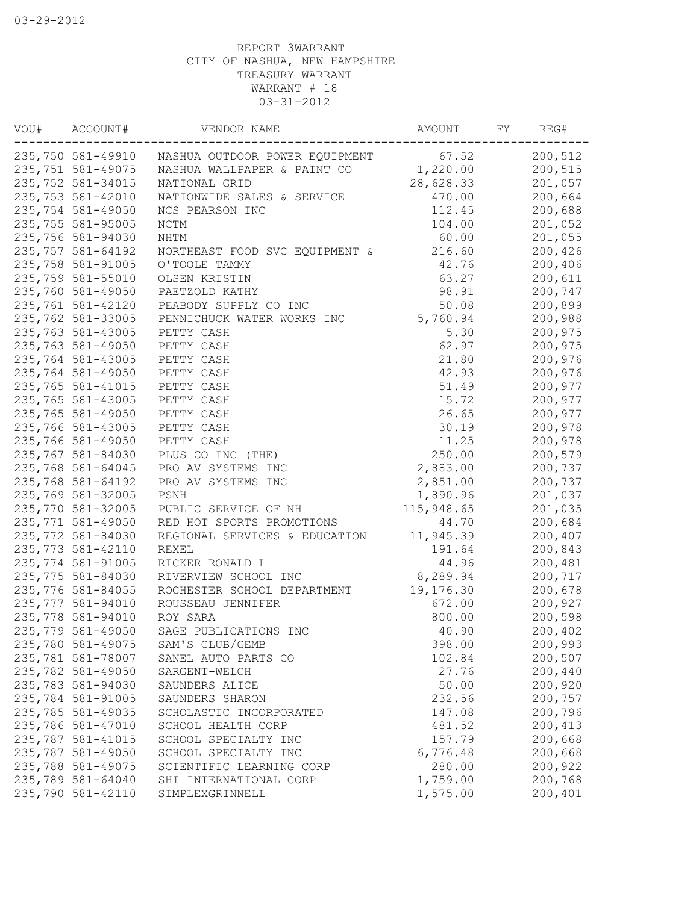| VOU# | ACCOUNT#           | VENDOR NAME                    | AMOUNT     | FΥ | REG#    |
|------|--------------------|--------------------------------|------------|----|---------|
|      | 235,750 581-49910  | NASHUA OUTDOOR POWER EQUIPMENT | 67.52      |    | 200,512 |
|      | 235,751 581-49075  | NASHUA WALLPAPER & PAINT CO    | 1,220.00   |    | 200,515 |
|      | 235,752 581-34015  | NATIONAL GRID                  | 28,628.33  |    | 201,057 |
|      | 235,753 581-42010  | NATIONWIDE SALES & SERVICE     | 470.00     |    | 200,664 |
|      | 235,754 581-49050  | NCS PEARSON INC                | 112.45     |    | 200,688 |
|      | 235,755 581-95005  | $\rm{NCTM}$                    | 104.00     |    | 201,052 |
|      | 235,756 581-94030  | NHTM                           | 60.00      |    | 201,055 |
|      | 235,757 581-64192  | NORTHEAST FOOD SVC EQUIPMENT & | 216.60     |    | 200,426 |
|      | 235,758 581-91005  | O'TOOLE TAMMY                  | 42.76      |    | 200,406 |
|      | 235,759 581-55010  | OLSEN KRISTIN                  | 63.27      |    | 200,611 |
|      | 235,760 581-49050  | PAETZOLD KATHY                 | 98.91      |    | 200,747 |
|      | 235,761 581-42120  | PEABODY SUPPLY CO INC          | 50.08      |    | 200,899 |
|      | 235,762 581-33005  | PENNICHUCK WATER WORKS INC     | 5,760.94   |    | 200,988 |
|      | 235,763 581-43005  | PETTY CASH                     | 5.30       |    | 200,975 |
|      | 235,763 581-49050  | PETTY CASH                     | 62.97      |    | 200,975 |
|      | 235,764 581-43005  | PETTY CASH                     | 21.80      |    | 200,976 |
|      | 235,764 581-49050  | PETTY CASH                     | 42.93      |    | 200,976 |
|      | 235,765 581-41015  | PETTY CASH                     | 51.49      |    | 200,977 |
|      | 235,765 581-43005  | PETTY CASH                     | 15.72      |    | 200,977 |
|      | 235,765 581-49050  | PETTY CASH                     | 26.65      |    | 200,977 |
|      | 235,766 581-43005  | PETTY CASH                     | 30.19      |    | 200,978 |
|      | 235,766 581-49050  | PETTY CASH                     | 11.25      |    | 200,978 |
|      | 235,767 581-84030  | PLUS CO INC (THE)              | 250.00     |    | 200,579 |
|      | 235,768 581-64045  | PRO AV SYSTEMS INC             | 2,883.00   |    | 200,737 |
|      | 235,768 581-64192  | PRO AV SYSTEMS INC             | 2,851.00   |    | 200,737 |
|      | 235,769 581-32005  | PSNH                           | 1,890.96   |    | 201,037 |
|      | 235,770 581-32005  | PUBLIC SERVICE OF NH           | 115,948.65 |    | 201,035 |
|      | 235,771 581-49050  | RED HOT SPORTS PROMOTIONS      |            |    | 200,684 |
|      |                    |                                | 44.70      |    |         |
|      | 235,772 581-84030  | REGIONAL SERVICES & EDUCATION  | 11,945.39  |    | 200,407 |
|      | 235, 773 581-42110 | <b>REXEL</b>                   | 191.64     |    | 200,843 |
|      | 235,774 581-91005  | RICKER RONALD L                | 44.96      |    | 200,481 |
|      | 235,775 581-84030  | RIVERVIEW SCHOOL INC           | 8,289.94   |    | 200,717 |
|      | 235,776 581-84055  | ROCHESTER SCHOOL DEPARTMENT    | 19,176.30  |    | 200,678 |
|      | 235,777 581-94010  | ROUSSEAU JENNIFER              | 672.00     |    | 200,927 |
|      | 235,778 581-94010  | ROY SARA                       | 800.00     |    | 200,598 |
|      | 235,779 581-49050  | SAGE PUBLICATIONS INC          | 40.90      |    | 200,402 |
|      | 235,780 581-49075  | SAM'S CLUB/GEMB                | 398.00     |    | 200,993 |
|      | 235,781 581-78007  | SANEL AUTO PARTS CO            | 102.84     |    | 200,507 |
|      | 235,782 581-49050  | SARGENT-WELCH                  | 27.76      |    | 200,440 |
|      | 235,783 581-94030  | SAUNDERS ALICE                 | 50.00      |    | 200,920 |
|      | 235,784 581-91005  | SAUNDERS SHARON                | 232.56     |    | 200,757 |
|      | 235,785 581-49035  | SCHOLASTIC INCORPORATED        | 147.08     |    | 200,796 |
|      | 235,786 581-47010  | SCHOOL HEALTH CORP             | 481.52     |    | 200,413 |
|      | 235,787 581-41015  | SCHOOL SPECIALTY INC           | 157.79     |    | 200,668 |
|      | 235,787 581-49050  | SCHOOL SPECIALTY INC           | 6,776.48   |    | 200,668 |
|      | 235,788 581-49075  | SCIENTIFIC LEARNING CORP       | 280.00     |    | 200,922 |
|      | 235,789 581-64040  | SHI INTERNATIONAL CORP         | 1,759.00   |    | 200,768 |
|      | 235,790 581-42110  | SIMPLEXGRINNELL                | 1,575.00   |    | 200,401 |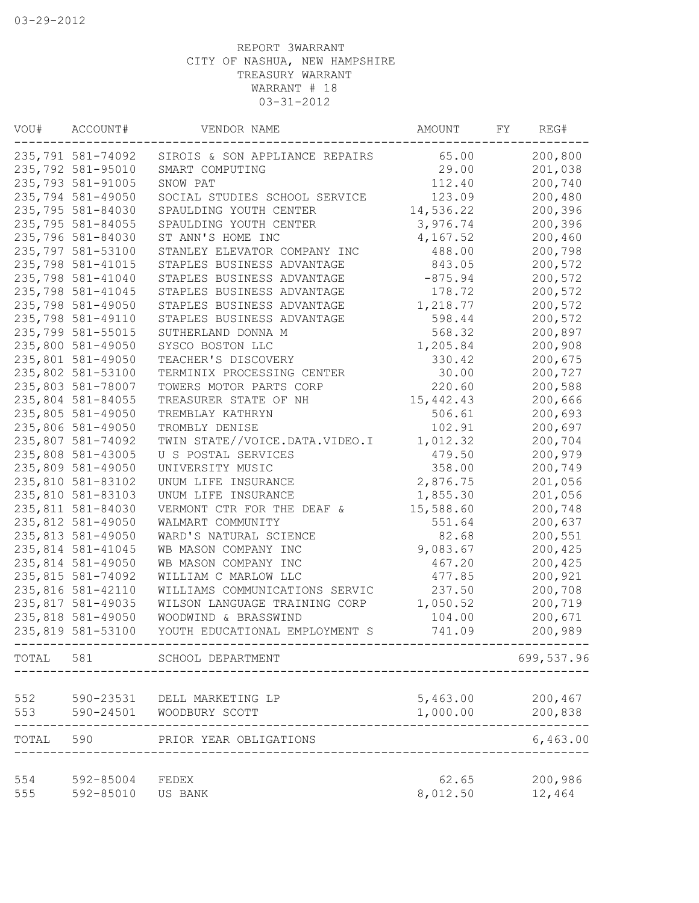| VOU#  | ACCOUNT#          | VENDOR NAME                    | AMOUNT    | FΥ | REG#       |
|-------|-------------------|--------------------------------|-----------|----|------------|
|       | 235,791 581-74092 | SIROIS & SON APPLIANCE REPAIRS | 65.00     |    | 200,800    |
|       | 235,792 581-95010 | SMART COMPUTING                | 29.00     |    | 201,038    |
|       | 235,793 581-91005 | SNOW PAT                       | 112.40    |    | 200,740    |
|       | 235,794 581-49050 | SOCIAL STUDIES SCHOOL SERVICE  | 123.09    |    | 200,480    |
|       | 235,795 581-84030 | SPAULDING YOUTH CENTER         | 14,536.22 |    | 200,396    |
|       | 235,795 581-84055 | SPAULDING YOUTH CENTER         | 3,976.74  |    | 200,396    |
|       | 235,796 581-84030 | ST ANN'S HOME INC              | 4,167.52  |    | 200,460    |
|       | 235,797 581-53100 | STANLEY ELEVATOR COMPANY INC   | 488.00    |    | 200,798    |
|       | 235,798 581-41015 | STAPLES BUSINESS ADVANTAGE     | 843.05    |    | 200,572    |
|       | 235,798 581-41040 | STAPLES BUSINESS ADVANTAGE     | $-875.94$ |    | 200,572    |
|       | 235,798 581-41045 | STAPLES BUSINESS ADVANTAGE     | 178.72    |    | 200,572    |
|       | 235,798 581-49050 | STAPLES BUSINESS ADVANTAGE     | 1,218.77  |    | 200,572    |
|       | 235,798 581-49110 | STAPLES BUSINESS ADVANTAGE     | 598.44    |    | 200,572    |
|       | 235,799 581-55015 | SUTHERLAND DONNA M             | 568.32    |    | 200,897    |
|       | 235,800 581-49050 | SYSCO BOSTON LLC               | 1,205.84  |    | 200,908    |
|       | 235,801 581-49050 | TEACHER'S DISCOVERY            | 330.42    |    | 200,675    |
|       | 235,802 581-53100 | TERMINIX PROCESSING CENTER     | 30.00     |    | 200,727    |
|       | 235,803 581-78007 | TOWERS MOTOR PARTS CORP        | 220.60    |    | 200,588    |
|       | 235,804 581-84055 | TREASURER STATE OF NH          | 15,442.43 |    | 200,666    |
|       | 235,805 581-49050 | TREMBLAY KATHRYN               | 506.61    |    | 200,693    |
|       | 235,806 581-49050 | TROMBLY DENISE                 | 102.91    |    | 200,697    |
|       | 235,807 581-74092 | TWIN STATE//VOICE.DATA.VIDEO.I | 1,012.32  |    | 200,704    |
|       | 235,808 581-43005 | U S POSTAL SERVICES            | 479.50    |    | 200,979    |
|       | 235,809 581-49050 | UNIVERSITY MUSIC               | 358.00    |    | 200,749    |
|       | 235,810 581-83102 | UNUM LIFE INSURANCE            |           |    | 201,056    |
|       |                   |                                | 2,876.75  |    |            |
|       | 235,810 581-83103 | UNUM LIFE INSURANCE            | 1,855.30  |    | 201,056    |
|       | 235,811 581-84030 | VERMONT CTR FOR THE DEAF &     | 15,588.60 |    | 200,748    |
|       | 235,812 581-49050 | WALMART COMMUNITY              | 551.64    |    | 200,637    |
|       | 235,813 581-49050 | WARD'S NATURAL SCIENCE         | 82.68     |    | 200,551    |
|       | 235,814 581-41045 | WB MASON COMPANY INC           | 9,083.67  |    | 200,425    |
|       | 235,814 581-49050 | WB MASON COMPANY INC           | 467.20    |    | 200,425    |
|       | 235,815 581-74092 | WILLIAM C MARLOW LLC           | 477.85    |    | 200,921    |
|       | 235,816 581-42110 | WILLIAMS COMMUNICATIONS SERVIC | 237.50    |    | 200,708    |
|       | 235,817 581-49035 | WILSON LANGUAGE TRAINING CORP  | 1,050.52  |    | 200,719    |
|       | 235,818 581-49050 | WOODWIND & BRASSWIND           | 104.00    |    | 200,671    |
|       | 235,819 581-53100 | YOUTH EDUCATIONAL EMPLOYMENT S | 741.09    |    | 200,989    |
|       |                   | TOTAL 581 SCHOOL DEPARTMENT    |           |    | 699,537.96 |
| 552   | 590-23531         | DELL MARKETING LP              | 5,463.00  |    | 200,467    |
| 553   | 590-24501         | WOODBURY SCOTT                 | 1,000.00  |    | 200,838    |
| TOTAL | 590               | PRIOR YEAR OBLIGATIONS         |           |    | 6,463.00   |
| 554   | 592-85004         | FEDEX                          | 62.65     |    | 200,986    |
| 555   | 592-85010         | US BANK                        | 8,012.50  |    | 12,464     |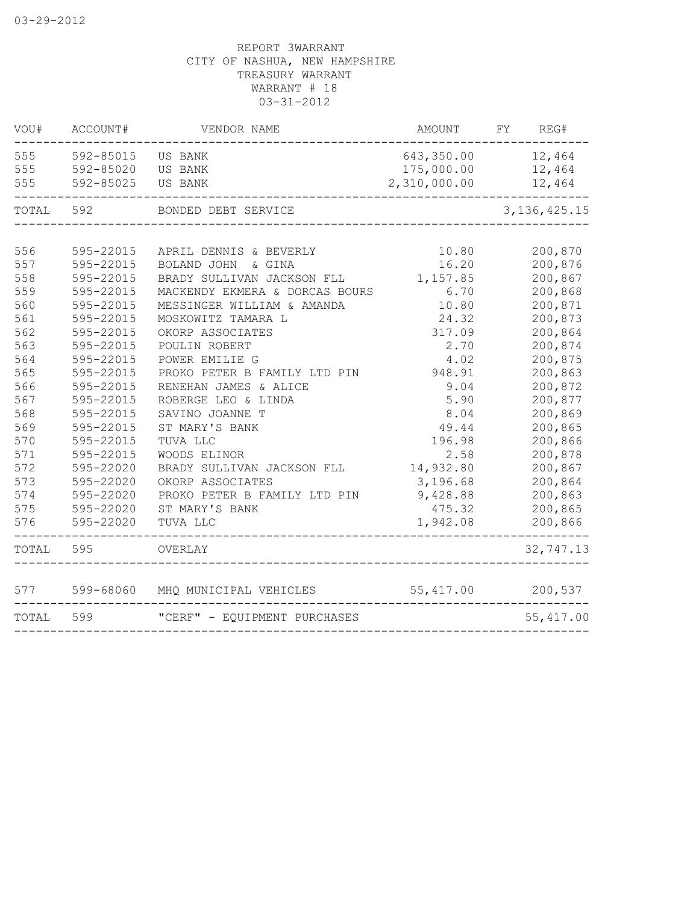| VOU#              | ACCOUNT#                            | VENDOR NAME                                | AMOUNT                                   | FY | REG#                       |
|-------------------|-------------------------------------|--------------------------------------------|------------------------------------------|----|----------------------------|
| 555<br>555<br>555 | 592-85015<br>592-85020<br>592-85025 | US BANK<br>US BANK<br>US BANK              | 643,350.00<br>175,000.00<br>2,310,000.00 |    | 12,464<br>12,464<br>12,464 |
| TOTAL 592         |                                     | BONDED DEBT SERVICE                        |                                          |    | 3, 136, 425. 15            |
|                   |                                     |                                            |                                          |    |                            |
| 556               | 595-22015                           | APRIL DENNIS & BEVERLY                     | 10.80                                    |    | 200,870                    |
| 557               | 595-22015                           | BOLAND JOHN & GINA                         | 16.20                                    |    | 200,876                    |
| 558               | 595-22015                           | BRADY SULLIVAN JACKSON FLL                 | 1,157.85                                 |    | 200,867                    |
| 559               | 595-22015                           | MACKENDY EKMERA & DORCAS BOURS             | 6.70                                     |    | 200,868                    |
| 560               | 595-22015                           | MESSINGER WILLIAM & AMANDA                 | 10.80                                    |    | 200,871                    |
| 561               | 595-22015                           | MOSKOWITZ TAMARA L                         | 24.32                                    |    | 200,873                    |
| 562               | 595-22015                           | OKORP ASSOCIATES                           | 317.09                                   |    | 200,864                    |
| 563               | 595-22015                           | POULIN ROBERT                              | 2.70                                     |    | 200,874                    |
| 564               | 595-22015                           | POWER EMILIE G                             | 4.02                                     |    | 200,875                    |
| 565               | 595-22015                           | PROKO PETER B FAMILY LTD PIN               | 948.91                                   |    | 200,863                    |
| 566               | 595-22015                           | RENEHAN JAMES & ALICE                      | 9.04                                     |    | 200,872                    |
| 567               | 595-22015                           | ROBERGE LEO & LINDA                        | 5.90                                     |    | 200,877                    |
| 568               | 595-22015                           | SAVINO JOANNE T                            | 8.04                                     |    | 200,869                    |
| 569<br>570        | 595-22015<br>595-22015              | ST MARY'S BANK                             | 49.44<br>196.98                          |    | 200,865                    |
| 571               | 595-22015                           | TUVA LLC                                   |                                          |    | 200,866<br>200,878         |
| 572               | 595-22020                           | WOODS ELINOR<br>BRADY SULLIVAN JACKSON FLL | 2.58<br>14,932.80                        |    | 200,867                    |
| 573               | 595-22020                           | OKORP ASSOCIATES                           | 3,196.68                                 |    | 200,864                    |
| 574               | 595-22020                           | PROKO PETER B FAMILY LTD PIN               | 9,428.88                                 |    | 200,863                    |
| 575               | 595-22020                           | ST MARY'S BANK                             | 475.32                                   |    | 200,865                    |
| 576               | 595-22020                           | TUVA LLC                                   | 1,942.08                                 |    | 200,866                    |
| TOTAL             | 595                                 | OVERLAY                                    |                                          |    | 32,747.13                  |
| 577               | 599-68060                           | MHQ MUNICIPAL VEHICLES                     | 55,417.00                                |    | 200,537                    |
| TOTAL             | 599                                 | "CERF" - EQUIPMENT PURCHASES               |                                          |    | 55,417.00                  |
|                   |                                     |                                            |                                          |    |                            |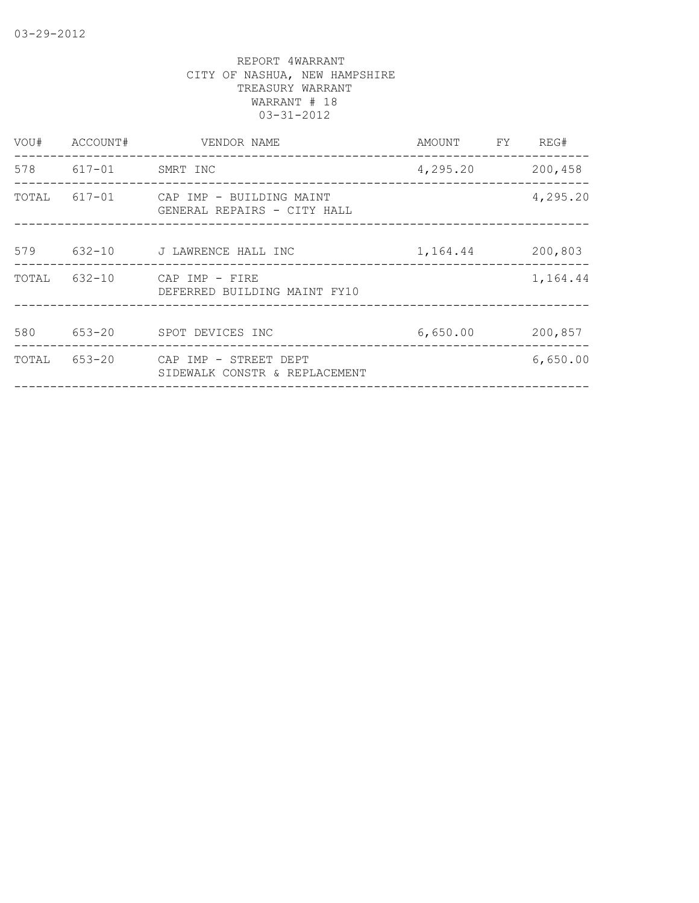| VOU#  | ACCOUNT#            | VENDOR NAME                                                    | AMOUNT   | FY | REG#     |
|-------|---------------------|----------------------------------------------------------------|----------|----|----------|
|       | 578 617-01 SMRT INC |                                                                | 4,295.20 |    | 200,458  |
| TOTAL |                     | 617-01 CAP IMP - BUILDING MAINT<br>GENERAL REPAIRS - CITY HALL |          |    | 4,295.20 |
| 579   | $632 - 10$          | J LAWRENCE HALL INC                                            | 1,164.44 |    | 200,803  |
| TOTAL | $632 - 10$          | CAP IMP - FIRE<br>DEFERRED BUILDING MAINT FY10                 |          |    | 1,164.44 |
| 580   |                     | 653-20 SPOT DEVICES INC                                        | 6,650.00 |    | 200,857  |
| TOTAL | 653-20              | CAP IMP - STREET DEPT<br>SIDEWALK CONSTR & REPLACEMENT         |          |    | 6,650.00 |
|       |                     |                                                                |          |    |          |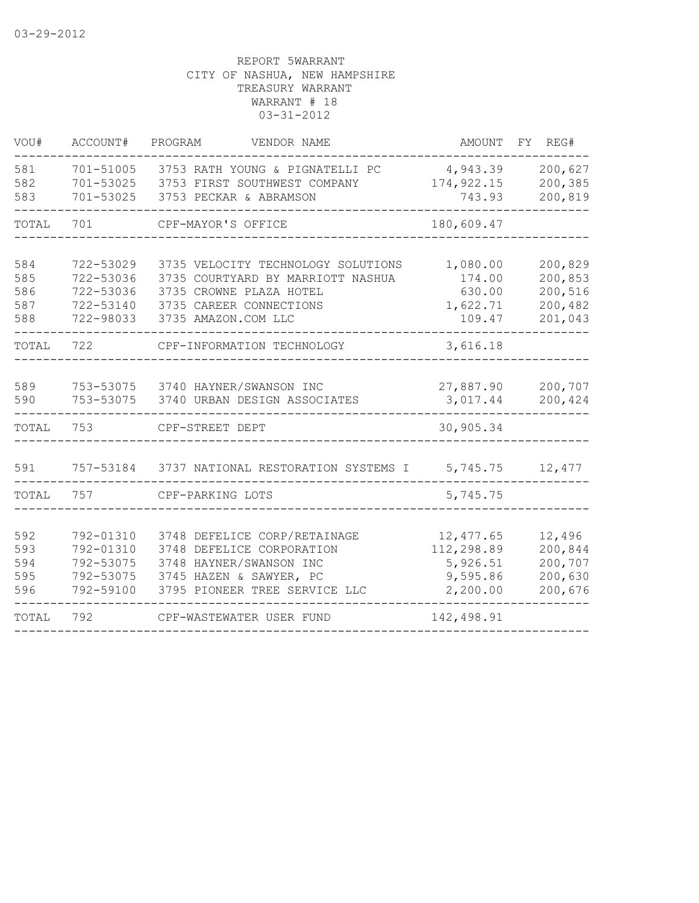| VOU#                            | ACCOUNT#                                                      | PROGRAM<br>VENDOR NAME                                                                                                                               | AMOUNT                                                       | FY.<br>REG#                                         |
|---------------------------------|---------------------------------------------------------------|------------------------------------------------------------------------------------------------------------------------------------------------------|--------------------------------------------------------------|-----------------------------------------------------|
| 581<br>582<br>583               | 701-51005<br>701-53025<br>701-53025                           | 3753 RATH YOUNG & PIGNATELLI PC<br>3753 FIRST SOUTHWEST COMPANY<br>3753 PECKAR & ABRAMSON                                                            | 4,943.39<br>174, 922.15<br>743.93                            | 200,627<br>200,385<br>200,819                       |
| TOTAL                           | 701                                                           | CPF-MAYOR'S OFFICE                                                                                                                                   | 180,609.47                                                   |                                                     |
| 584<br>585<br>586<br>587<br>588 | 722-53029<br>722-53036<br>722-53036<br>722-53140<br>722-98033 | 3735 VELOCITY TECHNOLOGY SOLUTIONS<br>3735 COURTYARD BY MARRIOTT NASHUA<br>3735 CROWNE PLAZA HOTEL<br>3735 CAREER CONNECTIONS<br>3735 AMAZON.COM LLC | 1,080.00<br>174.00<br>630.00<br>1,622.71<br>109.47           | 200,829<br>200,853<br>200,516<br>200,482<br>201,043 |
| TOTAL                           | 722                                                           | CPF-INFORMATION TECHNOLOGY                                                                                                                           | 3,616.18                                                     |                                                     |
| 589<br>590                      | 753-53075<br>753-53075                                        | 3740 HAYNER/SWANSON INC<br>3740 URBAN DESIGN ASSOCIATES                                                                                              | 27,887.90<br>3,017.44                                        | 200,707<br>200,424                                  |
| TOTAL                           | 753                                                           | CPF-STREET DEPT                                                                                                                                      | 30,905.34                                                    |                                                     |
| 591                             | 757-53184                                                     | 3737 NATIONAL RESTORATION SYSTEMS I                                                                                                                  | 5,745.75                                                     | 12,477                                              |
| TOTAL                           | 757                                                           | CPF-PARKING LOTS                                                                                                                                     | 5,745.75                                                     |                                                     |
| 592<br>593<br>594<br>595<br>596 | 792-01310<br>792-01310<br>792-53075<br>792-53075<br>792-59100 | 3748 DEFELICE CORP/RETAINAGE<br>3748 DEFELICE CORPORATION<br>3748 HAYNER/SWANSON INC<br>3745 HAZEN & SAWYER, PC<br>3795 PIONEER TREE SERVICE LLC     | 12, 477.65<br>112,298.89<br>5,926.51<br>9,595.86<br>2,200.00 | 12,496<br>200,844<br>200,707<br>200,630<br>200,676  |
| TOTAL                           | 792                                                           | CPF-WASTEWATER USER FUND                                                                                                                             | 142,498.91                                                   |                                                     |
|                                 |                                                               |                                                                                                                                                      |                                                              |                                                     |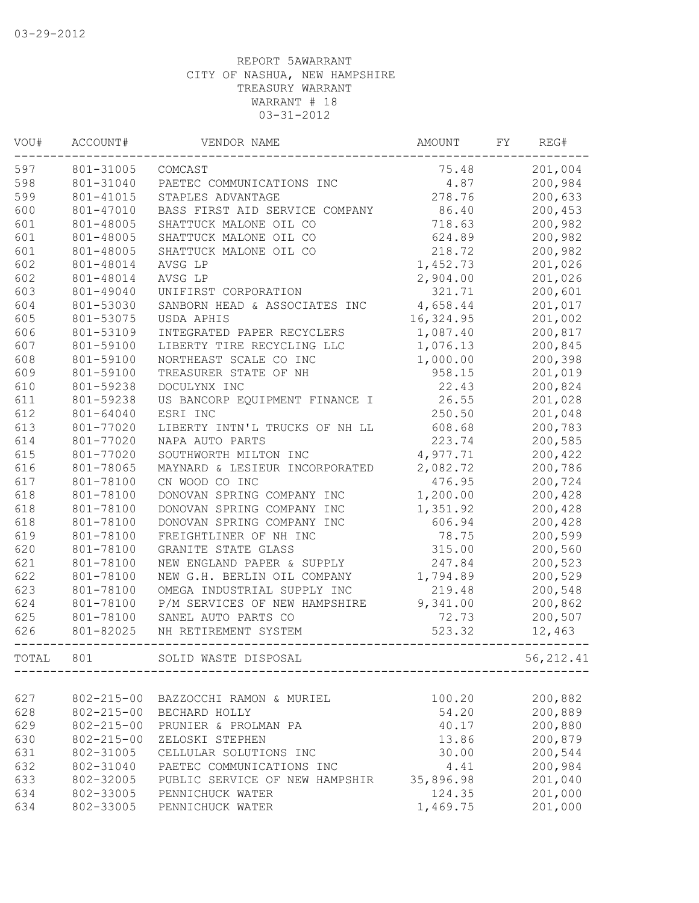| VOU#  | ACCOUNT#         | VENDOR NAME                    | AMOUNT    | FΥ | REG#       |
|-------|------------------|--------------------------------|-----------|----|------------|
| 597   | 801-31005        | COMCAST                        | 75.48     |    | 201,004    |
| 598   | 801-31040        | PAETEC COMMUNICATIONS INC      | 4.87      |    | 200,984    |
| 599   | 801-41015        | STAPLES ADVANTAGE              | 278.76    |    | 200,633    |
| 600   | 801-47010        | BASS FIRST AID SERVICE COMPANY | 86.40     |    | 200,453    |
| 601   | 801-48005        | SHATTUCK MALONE OIL CO         | 718.63    |    | 200,982    |
| 601   | 801-48005        | SHATTUCK MALONE OIL CO         | 624.89    |    | 200,982    |
| 601   | 801-48005        | SHATTUCK MALONE OIL CO         | 218.72    |    | 200,982    |
| 602   | 801-48014        | AVSG LP                        | 1,452.73  |    | 201,026    |
| 602   | 801-48014        | AVSG LP                        | 2,904.00  |    | 201,026    |
| 603   | 801-49040        | UNIFIRST CORPORATION           | 321.71    |    | 200,601    |
| 604   | 801-53030        | SANBORN HEAD & ASSOCIATES INC  | 4,658.44  |    | 201,017    |
| 605   | 801-53075        | USDA APHIS                     | 16,324.95 |    | 201,002    |
| 606   | 801-53109        | INTEGRATED PAPER RECYCLERS     | 1,087.40  |    | 200,817    |
| 607   | 801-59100        | LIBERTY TIRE RECYCLING LLC     | 1,076.13  |    | 200,845    |
| 608   | 801-59100        | NORTHEAST SCALE CO INC         | 1,000.00  |    | 200,398    |
| 609   | 801-59100        | TREASURER STATE OF NH          | 958.15    |    | 201,019    |
| 610   | 801-59238        | DOCULYNX INC                   | 22.43     |    | 200,824    |
| 611   | 801-59238        | US BANCORP EQUIPMENT FINANCE I | 26.55     |    | 201,028    |
| 612   | 801-64040        | ESRI INC                       | 250.50    |    | 201,048    |
| 613   | 801-77020        | LIBERTY INTN'L TRUCKS OF NH LL | 608.68    |    | 200,783    |
| 614   | 801-77020        | NAPA AUTO PARTS                | 223.74    |    | 200,585    |
| 615   | 801-77020        | SOUTHWORTH MILTON INC          | 4,977.71  |    | 200,422    |
| 616   | 801-78065        | MAYNARD & LESIEUR INCORPORATED | 2,082.72  |    | 200,786    |
| 617   | 801-78100        | CN WOOD CO INC                 | 476.95    |    | 200,724    |
| 618   | 801-78100        | DONOVAN SPRING COMPANY INC     | 1,200.00  |    | 200,428    |
| 618   | 801-78100        | DONOVAN SPRING COMPANY INC     | 1,351.92  |    | 200,428    |
| 618   | 801-78100        | DONOVAN SPRING COMPANY INC     | 606.94    |    | 200,428    |
| 619   | 801-78100        | FREIGHTLINER OF NH INC         | 78.75     |    | 200,599    |
| 620   | 801-78100        | GRANITE STATE GLASS            | 315.00    |    | 200,560    |
| 621   | 801-78100        | NEW ENGLAND PAPER & SUPPLY     | 247.84    |    | 200,523    |
| 622   | 801-78100        | NEW G.H. BERLIN OIL COMPANY    | 1,794.89  |    | 200,529    |
| 623   | 801-78100        | OMEGA INDUSTRIAL SUPPLY INC    | 219.48    |    | 200,548    |
| 624   | 801-78100        | P/M SERVICES OF NEW HAMPSHIRE  | 9,341.00  |    | 200,862    |
| 625   | 801-78100        | SANEL AUTO PARTS CO            | 72.73     |    | 200,507    |
| 626   | 801-82025        | NH RETIREMENT SYSTEM           | 523.32    |    | 12,463     |
| TOTAL | 801              | SOLID WASTE DISPOSAL           |           |    | 56, 212.41 |
|       |                  |                                |           |    |            |
| 627   | $802 - 215 - 00$ | BAZZOCCHI RAMON & MURIEL       | 100.20    |    | 200,882    |
| 628   | $802 - 215 - 00$ | BECHARD HOLLY                  | 54.20     |    | 200,889    |
| 629   | $802 - 215 - 00$ | PRUNIER & PROLMAN PA           | 40.17     |    | 200,880    |
| 630   | $802 - 215 - 00$ | ZELOSKI STEPHEN                | 13.86     |    | 200,879    |
| 631   | 802-31005        | CELLULAR SOLUTIONS INC         | 30.00     |    | 200,544    |
| 632   | 802-31040        | PAETEC COMMUNICATIONS INC      | 4.41      |    | 200,984    |
| 633   | 802-32005        | PUBLIC SERVICE OF NEW HAMPSHIR | 35,896.98 |    | 201,040    |
| 634   | 802-33005        | PENNICHUCK WATER               | 124.35    |    | 201,000    |
| 634   | 802-33005        | PENNICHUCK WATER               | 1,469.75  |    | 201,000    |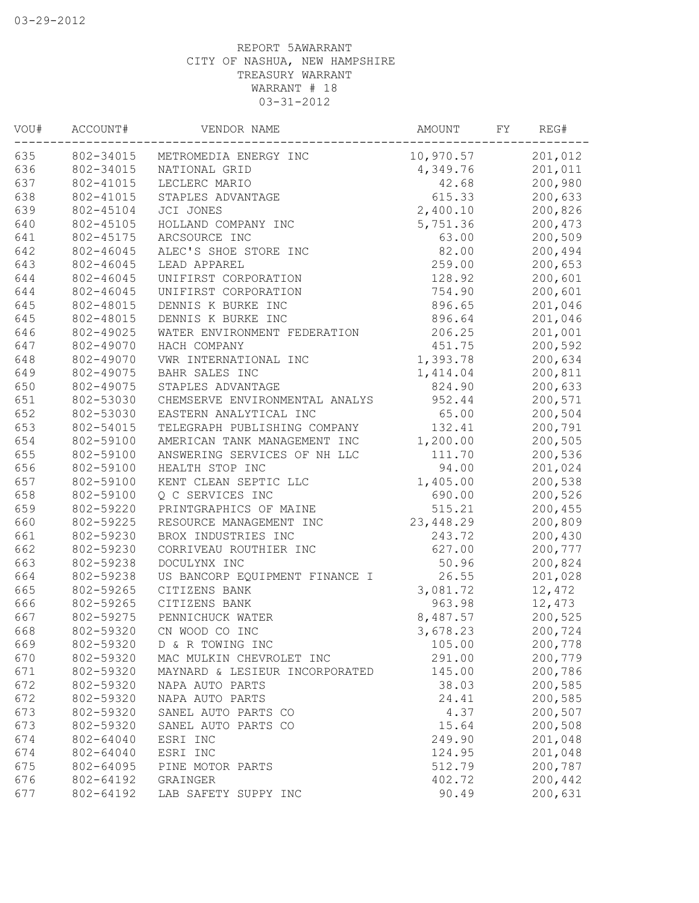| VOU# | ACCOUNT#  | VENDOR NAME                     | AMOUNT             | FY | REG#    |
|------|-----------|---------------------------------|--------------------|----|---------|
| 635  |           | 802-34015 METROMEDIA ENERGY INC | 10,970.57          |    | 201,012 |
| 636  | 802-34015 | NATIONAL GRID                   | 4,349.76           |    | 201,011 |
| 637  | 802-41015 | LECLERC MARIO                   | 42.68              |    | 200,980 |
| 638  | 802-41015 | STAPLES ADVANTAGE               | 615.33             |    | 200,633 |
| 639  | 802-45104 | JCI JONES                       | 2,400.10           |    | 200,826 |
| 640  | 802-45105 | HOLLAND COMPANY INC             | 5,751.36           |    | 200,473 |
| 641  | 802-45175 | ARCSOURCE INC                   | 63.00              |    | 200,509 |
| 642  | 802-46045 | ALEC'S SHOE STORE INC           | 82.00              |    | 200,494 |
| 643  | 802-46045 | LEAD APPAREL                    | 259.00             |    | 200,653 |
| 644  | 802-46045 | UNIFIRST CORPORATION            | 128.92             |    | 200,601 |
| 644  | 802-46045 | UNIFIRST CORPORATION            | 754.90             |    | 200,601 |
| 645  | 802-48015 | DENNIS K BURKE INC              | 896.65             |    | 201,046 |
| 645  | 802-48015 | DENNIS K BURKE INC              | 896.64             |    | 201,046 |
| 646  | 802-49025 | WATER ENVIRONMENT FEDERATION    | 206.25             |    | 201,001 |
| 647  | 802-49070 | HACH COMPANY                    | 451.75             |    | 200,592 |
| 648  | 802-49070 | VWR INTERNATIONAL INC           | 1,393.78           |    | 200,634 |
| 649  | 802-49075 | BAHR SALES INC                  | 1,414.04           |    | 200,811 |
| 650  | 802-49075 | STAPLES ADVANTAGE               | 824.90             |    | 200,633 |
| 651  | 802-53030 | CHEMSERVE ENVIRONMENTAL ANALYS  | 952.44             |    | 200,571 |
| 652  | 802-53030 | EASTERN ANALYTICAL INC          | 65.00              |    | 200,504 |
| 653  | 802-54015 | TELEGRAPH PUBLISHING COMPANY    | 132.41             |    | 200,791 |
| 654  | 802-59100 | AMERICAN TANK MANAGEMENT INC    | 1,200.00           |    | 200,505 |
| 655  | 802-59100 | ANSWERING SERVICES OF NH LLC    | 111.70             |    | 200,536 |
| 656  | 802-59100 | HEALTH STOP INC                 | 94.00              |    | 201,024 |
| 657  | 802-59100 | KENT CLEAN SEPTIC LLC           | 1,405.00           |    | 200,538 |
| 658  | 802-59100 | Q C SERVICES INC                | 690.00             |    | 200,526 |
| 659  | 802-59220 | PRINTGRAPHICS OF MAINE          | 515.21             |    | 200,455 |
| 660  | 802-59225 | RESOURCE MANAGEMENT INC         | 23,448.29          |    | 200,809 |
| 661  | 802-59230 | BROX INDUSTRIES INC             | 243.72             |    | 200,430 |
| 662  | 802-59230 | CORRIVEAU ROUTHIER INC          | 627.00             |    | 200,777 |
| 663  | 802-59238 | DOCULYNX INC                    | 50.96              |    |         |
| 664  | 802-59238 | US BANCORP EQUIPMENT FINANCE I  | 26.55              |    | 200,824 |
| 665  | 802-59265 |                                 |                    |    | 201,028 |
|      |           | CITIZENS BANK                   | 3,081.72<br>963.98 |    | 12,472  |
| 666  | 802-59265 | CITIZENS BANK                   |                    |    | 12,473  |
| 667  | 802-59275 | PENNICHUCK WATER                | 8,487.57           |    | 200,525 |
| 668  |           | 802-59320 CN WOOD CO INC        | 3,678.23           |    | 200,724 |
| 669  | 802-59320 | D & R TOWING INC                | 105.00             |    | 200,778 |
| 670  | 802-59320 | MAC MULKIN CHEVROLET INC        | 291.00             |    | 200,779 |
| 671  | 802-59320 | MAYNARD & LESIEUR INCORPORATED  | 145.00             |    | 200,786 |
| 672  | 802-59320 | NAPA AUTO PARTS                 | 38.03              |    | 200,585 |
| 672  | 802-59320 | NAPA AUTO PARTS                 | 24.41              |    | 200,585 |
| 673  | 802-59320 | SANEL AUTO PARTS CO             | 4.37               |    | 200,507 |
| 673  | 802-59320 | SANEL AUTO PARTS CO             | 15.64              |    | 200,508 |
| 674  | 802-64040 | ESRI INC                        | 249.90             |    | 201,048 |
| 674  | 802-64040 | ESRI INC                        | 124.95             |    | 201,048 |
| 675  | 802-64095 | PINE MOTOR PARTS                | 512.79             |    | 200,787 |
| 676  | 802-64192 | GRAINGER                        | 402.72             |    | 200,442 |
| 677  | 802-64192 | LAB SAFETY SUPPY INC            | 90.49              |    | 200,631 |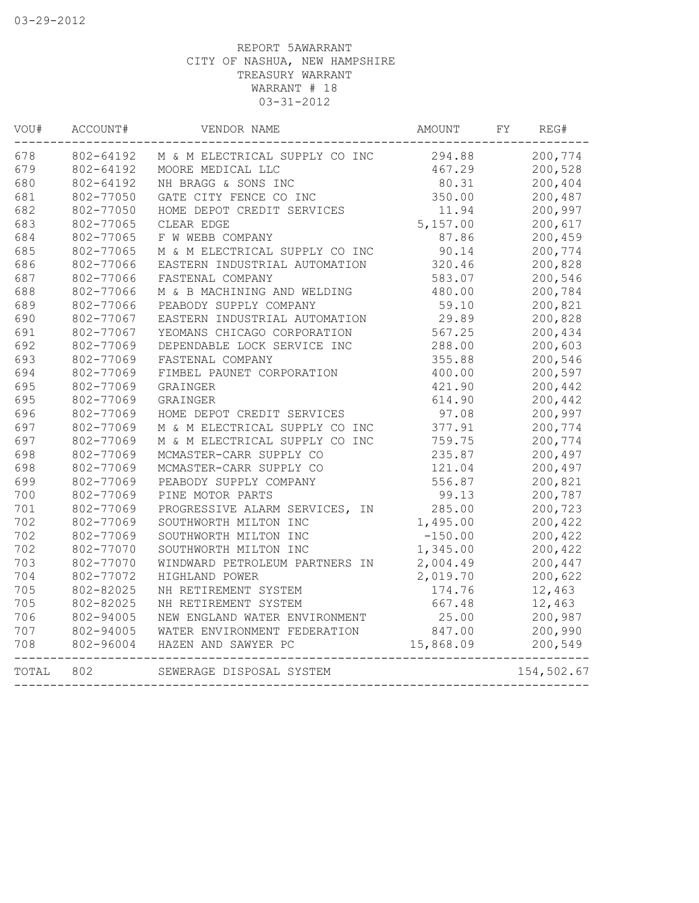| VOU#  | ACCOUNT#  | VENDOR NAME                                     | AMOUNT    | FY. | REG#       |
|-------|-----------|-------------------------------------------------|-----------|-----|------------|
| 678   | 802-64192 | M & M ELECTRICAL SUPPLY CO INC                  | 294.88    |     | 200,774    |
| 679   | 802-64192 | MOORE MEDICAL LLC                               | 467.29    |     | 200,528    |
| 680   | 802-64192 | NH BRAGG & SONS INC                             | 80.31     |     | 200,404    |
| 681   | 802-77050 | GATE CITY FENCE CO INC                          | 350.00    |     | 200,487    |
| 682   | 802-77050 | HOME DEPOT CREDIT SERVICES                      | 11.94     |     | 200,997    |
| 683   | 802-77065 | CLEAR EDGE                                      | 5,157.00  |     | 200,617    |
| 684   | 802-77065 | F W WEBB COMPANY                                | 87.86     |     | 200,459    |
| 685   | 802-77065 | M & M ELECTRICAL SUPPLY CO INC                  | 90.14     |     | 200,774    |
| 686   | 802-77066 | EASTERN INDUSTRIAL AUTOMATION                   | 320.46    |     | 200,828    |
| 687   | 802-77066 | FASTENAL COMPANY                                | 583.07    |     | 200,546    |
| 688   | 802-77066 | M & B MACHINING AND WELDING                     | 480.00    |     | 200,784    |
| 689   | 802-77066 | PEABODY SUPPLY COMPANY                          | 59.10     |     | 200,821    |
| 690   | 802-77067 | EASTERN INDUSTRIAL AUTOMATION                   | 29.89     |     | 200,828    |
| 691   | 802-77067 | YEOMANS CHICAGO CORPORATION                     | 567.25    |     | 200,434    |
| 692   | 802-77069 | DEPENDABLE LOCK SERVICE INC                     | 288.00    |     | 200,603    |
| 693   | 802-77069 | FASTENAL COMPANY                                | 355.88    |     | 200,546    |
| 694   | 802-77069 | FIMBEL PAUNET CORPORATION                       | 400.00    |     | 200,597    |
| 695   | 802-77069 | GRAINGER                                        | 421.90    |     | 200,442    |
| 695   | 802-77069 | GRAINGER                                        | 614.90    |     | 200,442    |
| 696   | 802-77069 | HOME DEPOT CREDIT SERVICES                      | 97.08     |     | 200,997    |
| 697   | 802-77069 | M & M ELECTRICAL SUPPLY CO INC                  | 377.91    |     | 200,774    |
| 697   | 802-77069 | M & M ELECTRICAL SUPPLY CO INC                  | 759.75    |     | 200,774    |
| 698   | 802-77069 | MCMASTER-CARR SUPPLY CO                         | 235.87    |     | 200,497    |
| 698   | 802-77069 | MCMASTER-CARR SUPPLY CO                         | 121.04    |     | 200,497    |
| 699   | 802-77069 | PEABODY SUPPLY COMPANY                          | 556.87    |     | 200,821    |
| 700   | 802-77069 | PINE MOTOR PARTS                                | 99.13     |     | 200,787    |
| 701   | 802-77069 | PROGRESSIVE ALARM SERVICES,<br>IN               | 285.00    |     | 200,723    |
| 702   | 802-77069 | SOUTHWORTH MILTON INC                           | 1,495.00  |     | 200,422    |
| 702   | 802-77069 | SOUTHWORTH MILTON INC                           | $-150.00$ |     | 200,422    |
| 702   | 802-77070 | SOUTHWORTH MILTON INC                           | 1,345.00  |     | 200,422    |
| 703   | 802-77070 | WINDWARD PETROLEUM PARTNERS IN                  | 2,004.49  |     | 200,447    |
| 704   | 802-77072 | HIGHLAND POWER                                  | 2,019.70  |     | 200,622    |
| 705   | 802-82025 | NH RETIREMENT SYSTEM                            | 174.76    |     | 12,463     |
| 705   | 802-82025 | NH RETIREMENT SYSTEM                            | 667.48    |     | 12,463     |
| 706   | 802-94005 | NEW ENGLAND WATER ENVIRONMENT                   | 25.00     |     | 200,987    |
| 707   | 802-94005 | WATER ENVIRONMENT FEDERATION                    | 847.00    |     | 200,990    |
| 708   | 802-96004 | HAZEN AND SAWYER PC                             | 15,868.09 |     | 200,549    |
| TOTAL | 802       | -------------------<br>SEWERAGE DISPOSAL SYSTEM |           |     | 154,502.67 |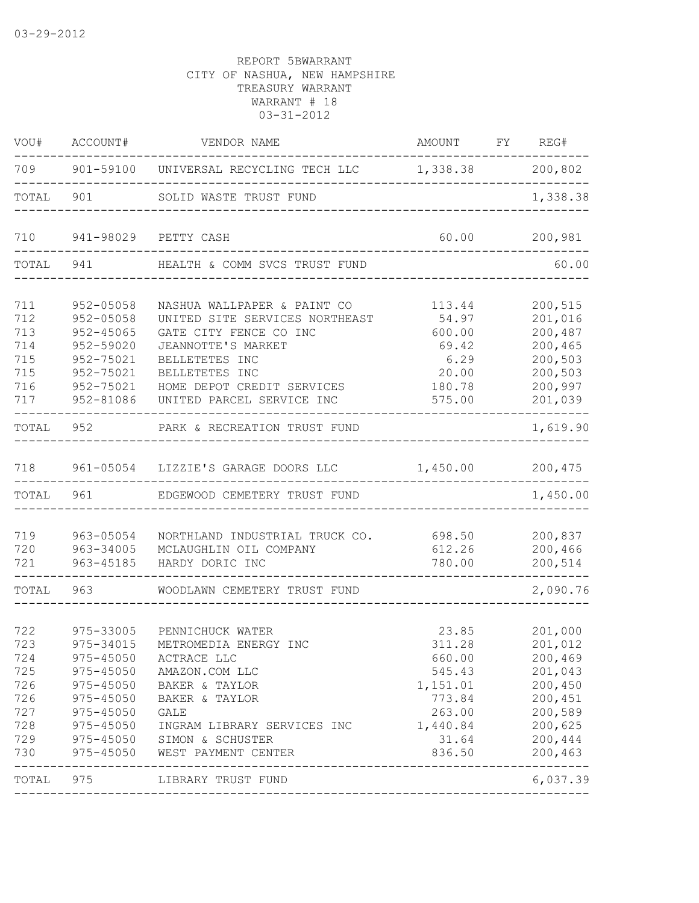| VOU#                                                               | ACCOUNT#                                                                                                                      | VENDOR NAME                                                                                                                                                                                                  | AMOUNT                                                                                             | FY | REG#                                                                                                       |
|--------------------------------------------------------------------|-------------------------------------------------------------------------------------------------------------------------------|--------------------------------------------------------------------------------------------------------------------------------------------------------------------------------------------------------------|----------------------------------------------------------------------------------------------------|----|------------------------------------------------------------------------------------------------------------|
| 709                                                                | 901-59100                                                                                                                     | UNIVERSAL RECYCLING TECH LLC                                                                                                                                                                                 | 1,338.38                                                                                           |    | 200,802                                                                                                    |
| TOTAL                                                              | 901                                                                                                                           | SOLID WASTE TRUST FUND                                                                                                                                                                                       |                                                                                                    |    | 1,338.38                                                                                                   |
| 710                                                                | 941-98029                                                                                                                     | PETTY CASH                                                                                                                                                                                                   | 60.00                                                                                              |    | 200,981                                                                                                    |
| TOTAL                                                              | 941                                                                                                                           | HEALTH & COMM SVCS TRUST FUND                                                                                                                                                                                |                                                                                                    |    | 60.00                                                                                                      |
| 711<br>712<br>713<br>714<br>715<br>715<br>716<br>717               | $952 - 05058$<br>$952 - 05058$<br>$952 - 45065$<br>952-59020<br>952-75021<br>952-75021<br>952-75021<br>952-81086              | NASHUA WALLPAPER & PAINT CO<br>UNITED SITE SERVICES NORTHEAST<br>GATE CITY FENCE CO INC<br>JEANNOTTE'S MARKET<br>BELLETETES INC<br>BELLETETES INC<br>HOME DEPOT CREDIT SERVICES<br>UNITED PARCEL SERVICE INC | 113.44<br>54.97<br>600.00<br>69.42<br>6.29<br>20.00<br>180.78<br>575.00                            |    | 200,515<br>201,016<br>200,487<br>200,465<br>200,503<br>200,503<br>200,997<br>201,039                       |
| TOTAL                                                              | 952                                                                                                                           | PARK & RECREATION TRUST FUND                                                                                                                                                                                 |                                                                                                    |    | 1,619.90                                                                                                   |
| 718                                                                |                                                                                                                               | 961-05054 LIZZIE'S GARAGE DOORS LLC                                                                                                                                                                          | 1,450.00                                                                                           |    | 200,475                                                                                                    |
| TOTAL                                                              | 961                                                                                                                           | EDGEWOOD CEMETERY TRUST FUND                                                                                                                                                                                 |                                                                                                    |    | 1,450.00                                                                                                   |
| 719<br>720<br>721                                                  | 963-05054<br>963-34005<br>963-45185                                                                                           | NORTHLAND INDUSTRIAL TRUCK CO.<br>MCLAUGHLIN OIL COMPANY<br>HARDY DORIC INC                                                                                                                                  | 698.50<br>612.26<br>780.00                                                                         |    | 200,837<br>200,466<br>200,514<br>------                                                                    |
| TOTAL                                                              | 963                                                                                                                           | WOODLAWN CEMETERY TRUST FUND                                                                                                                                                                                 |                                                                                                    |    | 2,090.76                                                                                                   |
| 722<br>723<br>724<br>725<br>726<br>726<br>727<br>728<br>729<br>730 | 975-33005<br>975-34015<br>975-45050<br>975-45050<br>$975 - 45050$<br>$975 - 45050$<br>$975 - 45050$<br>975-45050<br>975-45050 | PENNICHUCK WATER<br>METROMEDIA ENERGY INC<br>ACTRACE LLC<br>AMAZON.COM LLC<br>BAKER & TAYLOR<br>BAKER & TAYLOR<br>GALE<br>INGRAM LIBRARY SERVICES INC<br>975-45050 SIMON & SCHUSTER<br>WEST PAYMENT CENTER   | 23.85<br>311.28<br>660.00<br>545.43<br>1,151.01<br>773.84<br>263.00<br>1,440.84<br>31.64<br>836.50 |    | 201,000<br>201,012<br>200,469<br>201,043<br>200,450<br>200,451<br>200,589<br>200,625<br>200,444<br>200,463 |
| TOTAL                                                              | 975                                                                                                                           | LIBRARY TRUST FUND                                                                                                                                                                                           |                                                                                                    |    | 6,037.39                                                                                                   |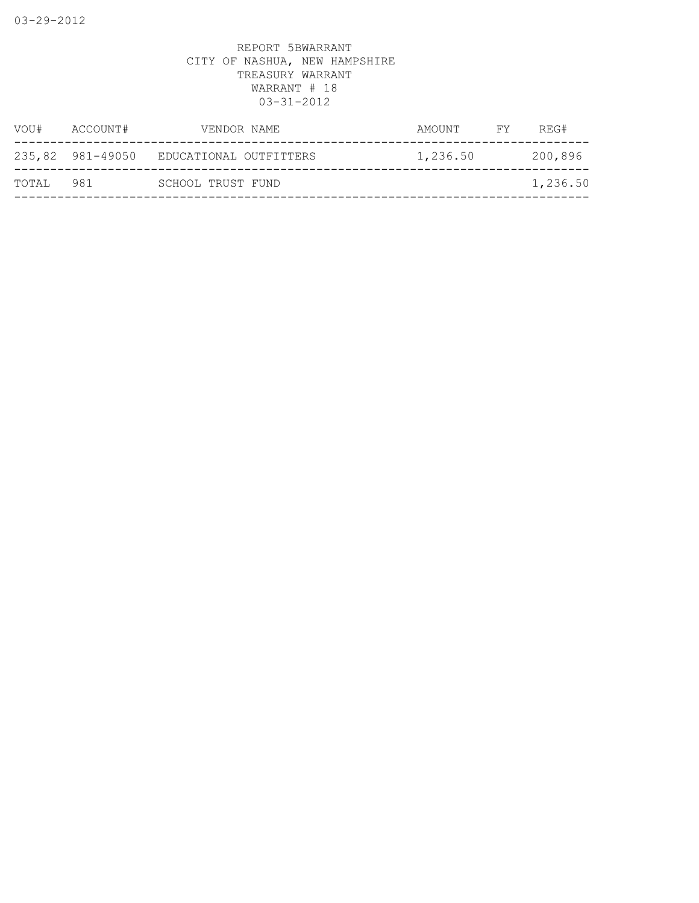| VOU#  | ACCOUNT#         | VENDOR NAME            | AMOUNT   | FY | REG#     |
|-------|------------------|------------------------|----------|----|----------|
|       | 235,82 981-49050 | EDUCATIONAL OUTFITTERS | 1,236.50 |    | 200,896  |
| TOTAL | 981              | SCHOOL TRUST FUND      |          |    | 1,236.50 |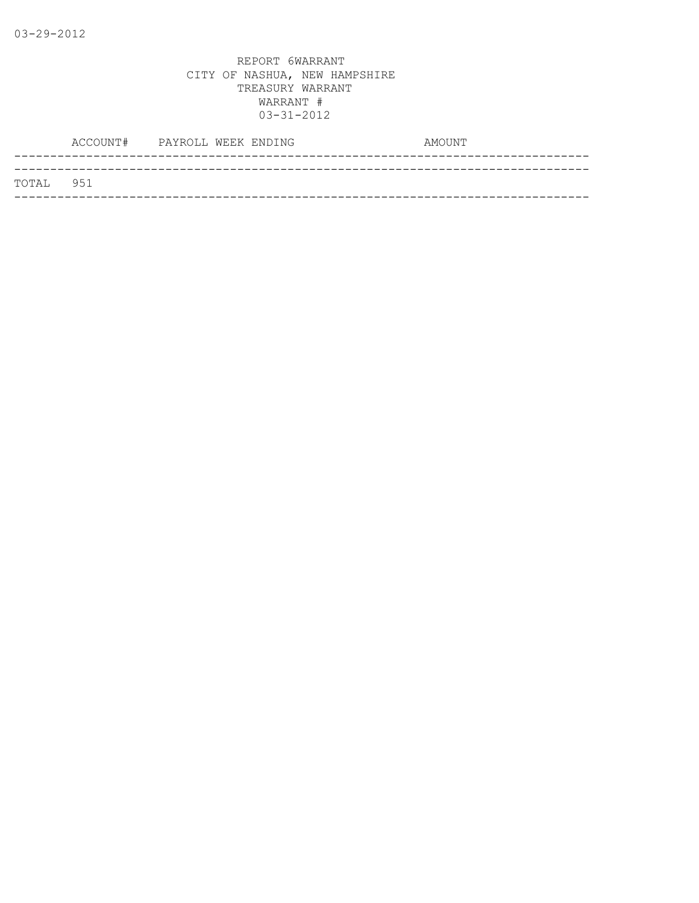|           | ACCOUNT# PAYROLL WEEK ENDING |  | AMOUNT |  |
|-----------|------------------------------|--|--------|--|
|           |                              |  |        |  |
| TOTAL 951 |                              |  |        |  |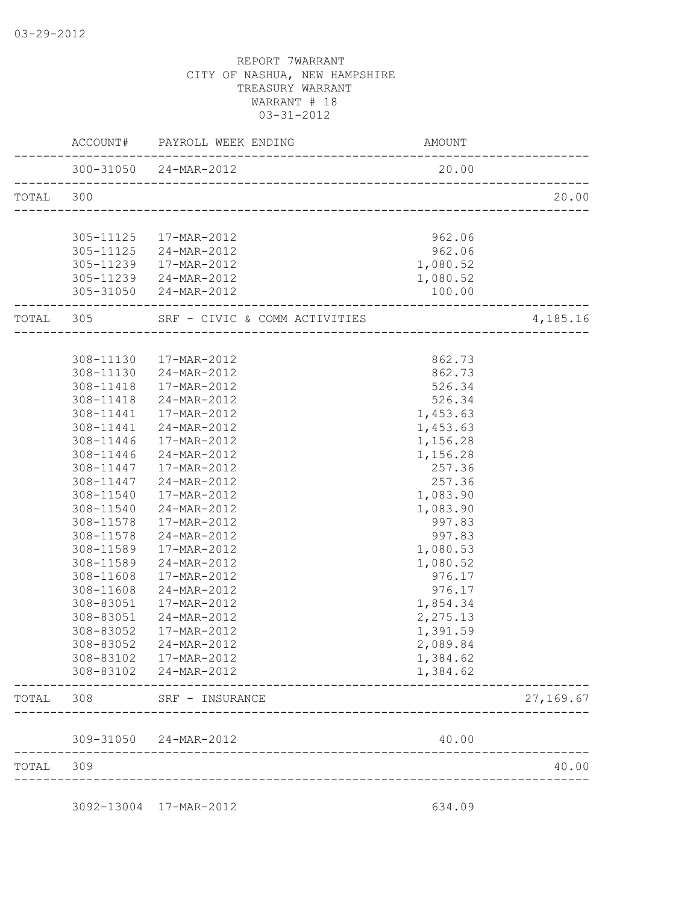|           | AMOUNT   | ACCOUNT# PAYROLL WEEK ENDING                              |               |           |
|-----------|----------|-----------------------------------------------------------|---------------|-----------|
|           | 20.00    | 300-31050 24-MAR-2012<br>________________________________ |               |           |
| 20.00     |          |                                                           |               | TOTAL 300 |
|           |          |                                                           |               |           |
|           | 962.06   | 17-MAR-2012                                               | 305-11125     |           |
|           | 962.06   | 24-MAR-2012                                               | 305-11125     |           |
|           | 1,080.52 | 17-MAR-2012                                               | 305-11239     |           |
|           | 1,080.52 | 24-MAR-2012                                               | 305-11239     |           |
|           | 100.00   | 305-31050 24-MAR-2012                                     |               |           |
| 4,185.16  |          | SRF - CIVIC & COMM ACTIVITIES                             |               | TOTAL 305 |
|           |          |                                                           |               |           |
|           | 862.73   | 308-11130  17-MAR-2012                                    |               |           |
|           | 862.73   | 308-11130 24-MAR-2012                                     |               |           |
|           | 526.34   | 17-MAR-2012                                               | 308-11418     |           |
|           | 526.34   | 24-MAR-2012                                               | 308-11418     |           |
|           | 1,453.63 | 17-MAR-2012                                               | $308 - 11441$ |           |
|           | 1,453.63 | 24-MAR-2012                                               | 308-11441     |           |
|           | 1,156.28 | 17-MAR-2012                                               | 308-11446     |           |
|           | 1,156.28 | 24-MAR-2012                                               | 308-11446     |           |
|           | 257.36   | 17-MAR-2012                                               | 308-11447     |           |
|           | 257.36   | 24-MAR-2012                                               | 308-11447     |           |
|           | 1,083.90 | 17-MAR-2012                                               | 308-11540     |           |
|           | 1,083.90 | 24-MAR-2012                                               | 308-11540     |           |
|           | 997.83   | 17-MAR-2012                                               | 308-11578     |           |
|           | 997.83   | 24-MAR-2012                                               | 308-11578     |           |
|           | 1,080.53 | 17-MAR-2012                                               | 308-11589     |           |
|           | 1,080.52 | 24-MAR-2012                                               | 308-11589     |           |
|           | 976.17   | 17-MAR-2012                                               | 308-11608     |           |
|           | 976.17   | 24-MAR-2012                                               | 308-11608     |           |
|           | 1,854.34 | 17-MAR-2012                                               | 308-83051     |           |
|           | 2,275.13 | 24-MAR-2012                                               | 308-83051     |           |
|           | 1,391.59 | 17-MAR-2012                                               | 308-83052     |           |
|           | 2,089.84 | 24-MAR-2012                                               | 308-83052     |           |
|           | 1,384.62 | 17-MAR-2012                                               | 308-83102     |           |
|           | 1,384.62 | 24-MAR-2012                                               | 308-83102     |           |
| 27,169.67 |          | SRF - INSURANCE                                           | 308           | TOTAL     |
|           | 40.00    | 309-31050 24-MAR-2012                                     |               |           |
| 40.00     |          |                                                           | 309           | TOTAL     |

3092-13004 17-MAR-2012 634.09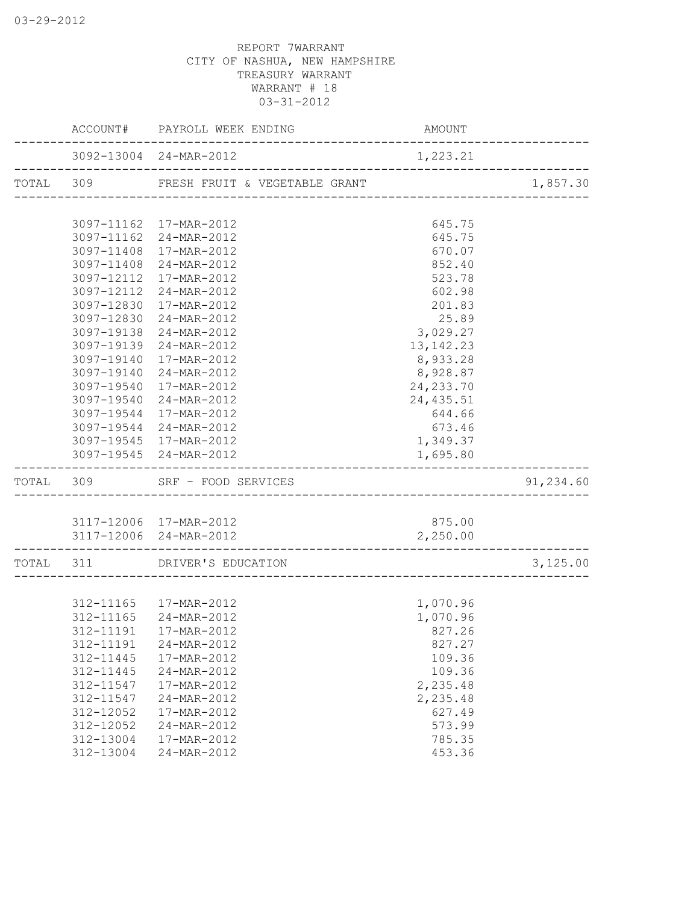|           |            | ACCOUNT# PAYROLL WEEK ENDING                                                          | AMOUNT      |                  |
|-----------|------------|---------------------------------------------------------------------------------------|-------------|------------------|
|           |            | 3092-13004 24-MAR-2012                                                                | 1,223.21    | ---------------- |
|           |            | TOTAL 309 FRESH FRUIT & VEGETABLE GRANT                                               |             | 1,857.30         |
|           |            |                                                                                       |             |                  |
|           |            | 3097-11162 17-MAR-2012                                                                | 645.75      |                  |
|           |            | 3097-11162 24-MAR-2012                                                                | 645.75      |                  |
|           |            | 3097-11408 17-MAR-2012                                                                | 670.07      |                  |
|           |            | 3097-11408 24-MAR-2012                                                                | 852.40      |                  |
|           |            | 3097-12112 17-MAR-2012                                                                | 523.78      |                  |
|           | 3097-12112 | 24-MAR-2012                                                                           | 602.98      |                  |
|           |            | 3097-12830 17-MAR-2012                                                                | 201.83      |                  |
|           |            | 3097-12830 24-MAR-2012                                                                | 25.89       |                  |
|           | 3097-19138 | 24-MAR-2012                                                                           | 3,029.27    |                  |
|           |            | 3097-19139 24-MAR-2012                                                                | 13, 142. 23 |                  |
|           |            | 3097-19140 17-MAR-2012                                                                | 8,933.28    |                  |
|           |            | 3097-19140 24-MAR-2012                                                                | 8,928.87    |                  |
|           |            | 3097-19540 17-MAR-2012                                                                | 24, 233.70  |                  |
|           |            | 3097-19540 24-MAR-2012                                                                | 24, 435.51  |                  |
|           |            | 3097-19544 17-MAR-2012                                                                | 644.66      |                  |
|           |            | 3097-19544 24-MAR-2012                                                                | 673.46      |                  |
|           |            | 3097-19545 17-MAR-2012                                                                | 1,349.37    |                  |
|           |            | 3097-19545 24-MAR-2012                                                                | 1,695.80    |                  |
|           |            | TOTAL 309 SRF - FOOD SERVICES                                                         |             | 91,234.60        |
|           |            |                                                                                       |             |                  |
|           |            | 3117-12006 17-MAR-2012                                                                | 875.00      |                  |
|           |            | 3117-12006 24-MAR-2012<br>----------------------<br>--------------------------------- | 2,250.00    |                  |
| TOTAL 311 |            | DRIVER'S EDUCATION                                                                    |             | 3,125.00         |
|           |            |                                                                                       |             |                  |
|           |            | 312-11165  17-MAR-2012                                                                | 1,070.96    |                  |
|           |            | 312-11165 24-MAR-2012                                                                 | 1,070.96    |                  |
|           | 312-11191  | 17-MAR-2012                                                                           | 827.26      |                  |
|           | 312-11191  | 24-MAR-2012                                                                           | 827.27      |                  |
|           | 312-11445  | 17-MAR-2012                                                                           | 109.36      |                  |
|           | 312-11445  | 24-MAR-2012                                                                           | 109.36      |                  |
|           | 312-11547  | 17-MAR-2012                                                                           | 2,235.48    |                  |
|           | 312-11547  | 24-MAR-2012                                                                           | 2,235.48    |                  |
|           | 312-12052  | 17-MAR-2012                                                                           | 627.49      |                  |
|           | 312-12052  | 24-MAR-2012                                                                           | 573.99      |                  |
|           | 312-13004  | 17-MAR-2012                                                                           | 785.35      |                  |
|           | 312-13004  | 24-MAR-2012                                                                           | 453.36      |                  |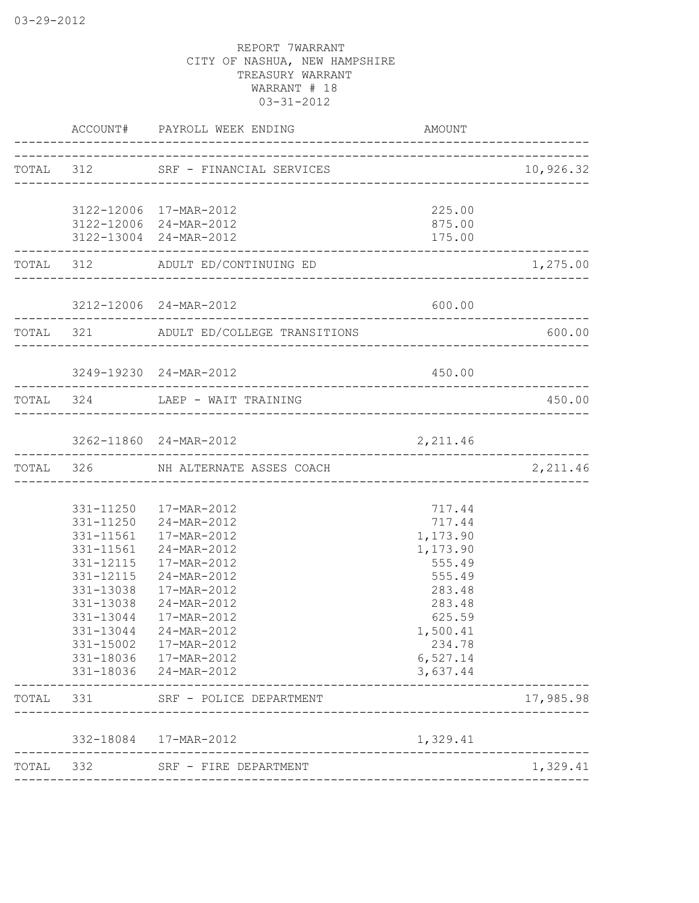|       |           | ACCOUNT# PAYROLL WEEK ENDING                     | AMOUNT           |                    |
|-------|-----------|--------------------------------------------------|------------------|--------------------|
|       |           | TOTAL 312 SRF - FINANCIAL SERVICES               |                  | 10,926.32          |
|       |           |                                                  |                  |                    |
|       |           | 3122-12006 17-MAR-2012                           | 225.00           |                    |
|       |           | 3122-12006 24-MAR-2012<br>3122-13004 24-MAR-2012 | 875.00<br>175.00 |                    |
|       |           | TOTAL 312 ADULT ED/CONTINUING ED                 |                  | 1,275.00           |
|       |           |                                                  |                  |                    |
|       |           | 3212-12006 24-MAR-2012                           | 600.00           |                    |
|       |           | TOTAL 321 ADULT ED/COLLEGE TRANSITIONS           |                  | 600.00             |
|       |           | 3249-19230 24-MAR-2012                           | 450.00           |                    |
|       |           | TOTAL 324 LAEP - WAIT TRAINING                   |                  | 450.00             |
|       |           |                                                  |                  |                    |
|       |           | 3262-11860 24-MAR-2012                           | 2,211.46         | ------------------ |
|       |           | TOTAL 326 NH ALTERNATE ASSES COACH               |                  | 2,211.46           |
|       |           |                                                  |                  |                    |
|       |           | 331-11250  17-MAR-2012<br>331-11250 24-MAR-2012  | 717.44<br>717.44 |                    |
|       |           | 331-11561  17-MAR-2012                           | 1,173.90         |                    |
|       | 331-11561 | 24-MAR-2012                                      | 1,173.90         |                    |
|       | 331-12115 | 17-MAR-2012                                      | 555.49           |                    |
|       | 331-12115 | 24-MAR-2012                                      | 555.49           |                    |
|       | 331-13038 | $17 - \text{MAR} - 2012$                         | 283.48           |                    |
|       | 331-13038 | 24-MAR-2012                                      | 283.48           |                    |
|       | 331-13044 | 17-MAR-2012                                      | 625.59           |                    |
|       | 331-13044 | 24-MAR-2012                                      | 1,500.41         |                    |
|       | 331-15002 | 17-MAR-2012                                      | 234.78           |                    |
|       |           | 331-18036  17-MAR-2012                           | 6,527.14         |                    |
|       |           | 331-18036 24-MAR-2012                            | 3,637.44         |                    |
| TOTAL | 331       | SRF - POLICE DEPARTMENT                          |                  | 17,985.98          |
|       |           | 332-18084  17-MAR-2012                           | 1,329.41         |                    |
| TOTAL | 332       | SRF - FIRE DEPARTMENT                            |                  | 1,329.41           |
|       |           | ____________________                             |                  |                    |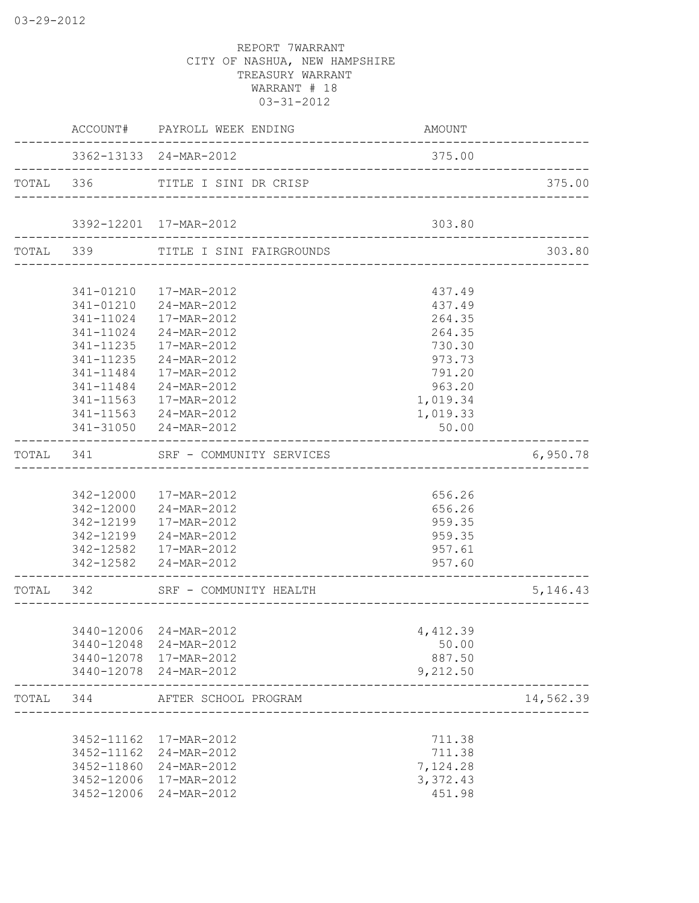|           |                        | ACCOUNT# PAYROLL WEEK ENDING                     | AMOUNT             |            |
|-----------|------------------------|--------------------------------------------------|--------------------|------------|
|           |                        | 3362-13133 24-MAR-2012                           | 375.00             |            |
|           |                        | TOTAL 336 TITLE I SINI DR CRISP                  |                    | 375.00     |
|           |                        | 3392-12201 17-MAR-2012                           | 303.80             |            |
|           |                        | TOTAL 339 TITLE I SINI FAIRGROUNDS               |                    | 303.80     |
|           |                        |                                                  |                    |            |
|           | 341-01210              | 17-MAR-2012                                      | 437.49             |            |
|           | 341-01210<br>341-11024 | 24-MAR-2012<br>17-MAR-2012                       | 437.49<br>264.35   |            |
|           | 341-11024              | 24-MAR-2012                                      | 264.35             |            |
|           | 341-11235              | 17-MAR-2012                                      | 730.30             |            |
|           | 341-11235              | 24-MAR-2012                                      | 973.73             |            |
|           | 341-11484              | 17-MAR-2012                                      | 791.20             |            |
|           | $341 - 11484$          | 24-MAR-2012                                      | 963.20             |            |
|           | 341-11563              | 17-MAR-2012                                      | 1,019.34           |            |
|           |                        | 341-11563 24-MAR-2012                            | 1,019.33           |            |
|           |                        | 341-31050 24-MAR-2012                            | 50.00              |            |
|           |                        | TOTAL 341 SRF - COMMUNITY SERVICES               |                    | 6,950.78   |
|           |                        |                                                  |                    |            |
|           |                        | 342-12000 17-MAR-2012                            | 656.26             |            |
|           |                        | 342-12000 24-MAR-2012                            | 656.26             |            |
|           | 342-12199              | 17-MAR-2012                                      | 959.35             |            |
|           |                        | 342-12199 24-MAR-2012                            | 959.35             |            |
|           |                        | 342-12582  17-MAR-2012<br>342-12582 24-MAR-2012  | 957.61<br>957.60   |            |
|           |                        |                                                  |                    |            |
| TOTAL 342 |                        | SRF - COMMUNITY HEALTH                           |                    | 5, 146. 43 |
|           |                        |                                                  |                    |            |
|           |                        | 3440-12006 24-MAR-2012                           | 4,412.39           |            |
|           |                        | 3440-12048 24-MAR-2012                           | 50.00              |            |
|           |                        | 3440-12078 17-MAR-2012<br>3440-12078 24-MAR-2012 | 887.50<br>9,212.50 |            |
|           |                        |                                                  |                    |            |
| TOTAL     | 344                    | AFTER SCHOOL PROGRAM                             |                    | 14,562.39  |
|           |                        | 3452-11162 17-MAR-2012                           | 711.38             |            |
|           | 3452-11162             | 24-MAR-2012                                      | 711.38             |            |
|           |                        | 3452-11860 24-MAR-2012                           | 7,124.28           |            |
|           | 3452-12006             | 17-MAR-2012                                      | 3,372.43           |            |
|           |                        | 3452-12006 24-MAR-2012                           | 451.98             |            |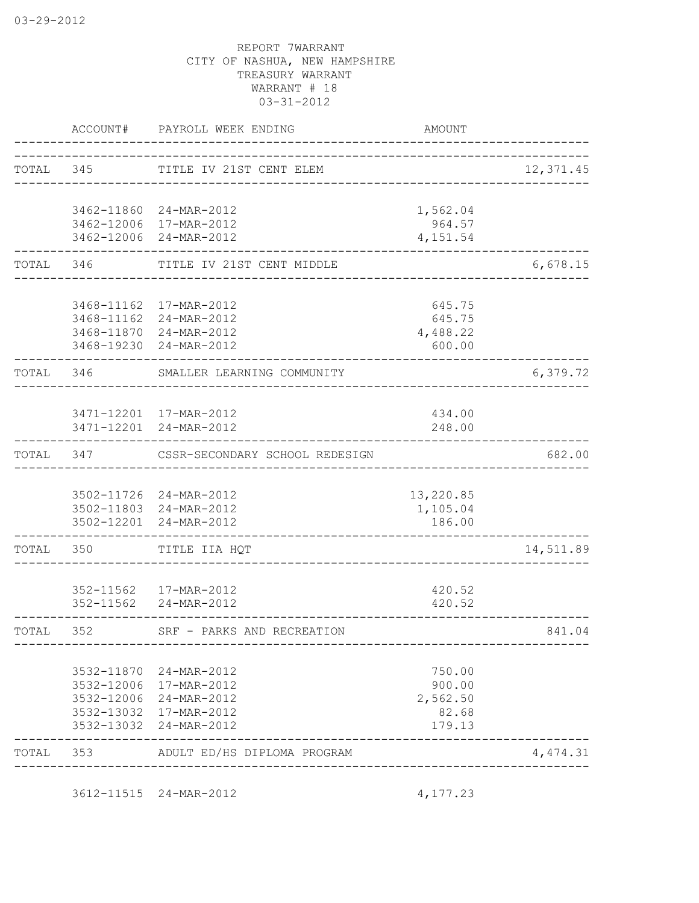|           | ACCOUNT#                 | PAYROLL WEEK ENDING                               | <b>AMOUNT</b>                         |           |
|-----------|--------------------------|---------------------------------------------------|---------------------------------------|-----------|
|           |                          | TOTAL 345 TITLE IV 21ST CENT ELEM                 |                                       | 12,371.45 |
|           |                          |                                                   |                                       |           |
|           |                          | 3462-11860 24-MAR-2012                            | 1,562.04                              |           |
|           |                          | 3462-12006 17-MAR-2012                            | 964.57                                |           |
|           |                          | 3462-12006 24-MAR-2012                            | 4, 151.54                             |           |
| TOTAL     | 346                      | TITLE IV 21ST CENT MIDDLE                         |                                       | 6,678.15  |
|           |                          |                                                   |                                       |           |
|           |                          | 3468-11162  17-MAR-2012<br>3468-11162 24-MAR-2012 | 645.75<br>645.75                      |           |
|           |                          | 3468-11870 24-MAR-2012                            | 4,488.22                              |           |
|           |                          | 3468-19230 24-MAR-2012                            | 600.00                                |           |
| TOTAL 346 |                          | SMALLER LEARNING COMMUNITY                        |                                       | 6,379.72  |
|           |                          |                                                   |                                       |           |
|           |                          | 3471-12201 17-MAR-2012                            | 434.00                                |           |
|           |                          | 3471-12201 24-MAR-2012                            | 248.00<br><u> Le Le Le Le Le Le L</u> |           |
| TOTAL     | 347                      | CSSR-SECONDARY SCHOOL REDESIGN                    |                                       | 682.00    |
|           |                          |                                                   |                                       |           |
|           |                          | 3502-11726 24-MAR-2012<br>3502-11803 24-MAR-2012  | 13,220.85<br>1,105.04                 |           |
|           |                          | 3502-12201 24-MAR-2012                            | 186.00                                |           |
| TOTAL 350 |                          | TITLE IIA HQT                                     |                                       | 14,511.89 |
|           |                          |                                                   |                                       |           |
|           |                          | 352-11562  17-MAR-2012                            | 420.52                                |           |
|           | 352-11562                | 24-MAR-2012                                       | 420.52                                |           |
| TOTAL     | 352                      | SRF - PARKS AND RECREATION                        |                                       | 841.04    |
|           |                          |                                                   |                                       |           |
|           | 3532-11870<br>3532-12006 | 24-MAR-2012<br>17-MAR-2012                        | 750.00<br>900.00                      |           |
|           | 3532-12006               | 24-MAR-2012                                       | 2,562.50                              |           |
|           | 3532-13032               | 17-MAR-2012                                       | 82.68                                 |           |
|           | 3532-13032               | 24-MAR-2012                                       | 179.13                                |           |
| TOTAL     | 353                      | ADULT ED/HS DIPLOMA PROGRAM                       |                                       | 4,474.31  |

3612-11515 24-MAR-2012 4,177.23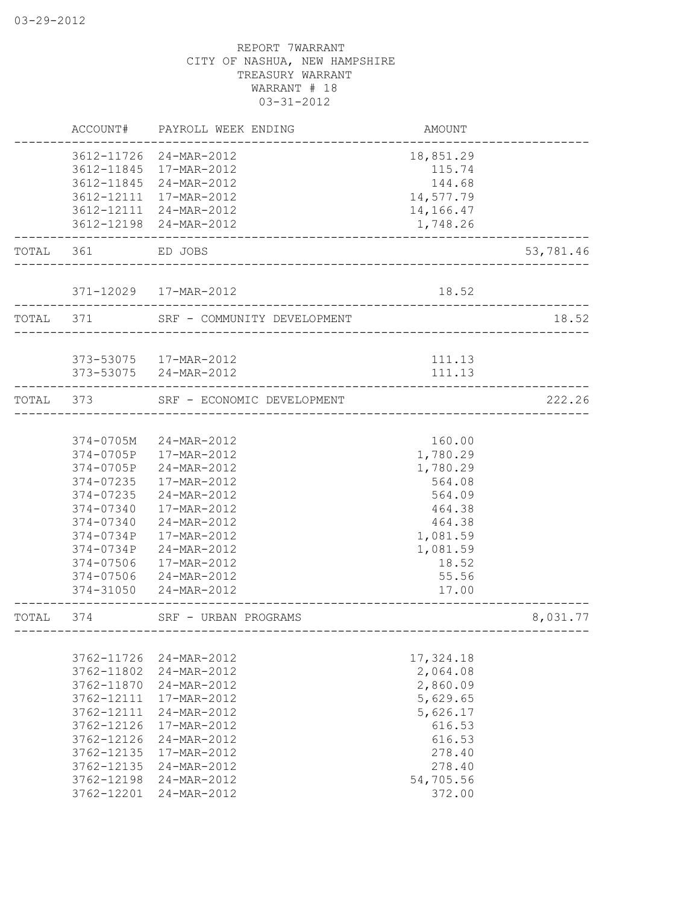|           | ACCOUNT#      | PAYROLL WEEK ENDING         | AMOUNT                                |           |
|-----------|---------------|-----------------------------|---------------------------------------|-----------|
|           |               | 3612-11726 24-MAR-2012      | 18,851.29                             |           |
|           | 3612-11845    | 17-MAR-2012                 | 115.74                                |           |
|           | 3612-11845    | 24-MAR-2012                 | 144.68                                |           |
|           | 3612-12111    | 17-MAR-2012                 | 14,577.79                             |           |
|           | 3612-12111    | 24-MAR-2012                 | 14,166.47                             |           |
|           | 3612-12198    | 24-MAR-2012                 | 1,748.26                              |           |
| TOTAL 361 |               | ED JOBS                     |                                       | 53,781.46 |
|           |               |                             |                                       |           |
|           |               | 371-12029  17-MAR-2012      | 18.52                                 |           |
| TOTAL 371 |               | SRF - COMMUNITY DEVELOPMENT |                                       | 18.52     |
|           |               | 373-53075   17-MAR-2012     | 111.13                                |           |
|           |               | 373-53075 24-MAR-2012       | 111.13                                |           |
| TOTAL     | 373           | SRF - ECONOMIC DEVELOPMENT  | . _ _ _ _ _ _ _ _ _ _ _ _ _ _ _ _ _ _ | 222.26    |
|           |               |                             |                                       |           |
|           | 374-0705M     | 24-MAR-2012                 | 160.00                                |           |
|           | $374 - 0705P$ | 17-MAR-2012                 | 1,780.29                              |           |
|           | 374-0705P     | 24-MAR-2012                 | 1,780.29                              |           |
|           | 374-07235     | 17-MAR-2012                 | 564.08                                |           |
|           | 374-07235     | 24-MAR-2012                 | 564.09                                |           |
|           | 374-07340     | 17-MAR-2012                 | 464.38                                |           |
|           | 374-07340     | 24-MAR-2012                 | 464.38                                |           |
|           | 374-0734P     | 17-MAR-2012                 | 1,081.59                              |           |
|           | 374-0734P     | 24-MAR-2012                 | 1,081.59                              |           |
|           | 374-07506     | 17-MAR-2012                 | 18.52                                 |           |
|           | 374-07506     | 24-MAR-2012                 | 55.56                                 |           |
|           | 374-31050     | 24-MAR-2012                 | 17.00                                 |           |
| TOTAL     | 374           | SRF - URBAN PROGRAMS        | _____________________________________ | 8,031.77  |
|           |               |                             |                                       |           |
|           | 3762-11726    | 24-MAR-2012                 | 17,324.18                             |           |
|           | 3762-11802    | 24-MAR-2012                 | 2,064.08                              |           |
|           | 3762-11870    | 24-MAR-2012                 | 2,860.09                              |           |
|           | 3762-12111    | 17-MAR-2012                 | 5,629.65                              |           |
|           | 3762-12111    | 24-MAR-2012                 | 5,626.17                              |           |
|           | 3762-12126    | 17-MAR-2012                 | 616.53                                |           |
|           | 3762-12126    | 24-MAR-2012                 | 616.53                                |           |
|           | 3762-12135    | 17-MAR-2012                 | 278.40                                |           |
|           | 3762-12135    | 24-MAR-2012                 | 278.40                                |           |
|           | 3762-12198    | 24-MAR-2012                 | 54,705.56                             |           |
|           | 3762-12201    | 24-MAR-2012                 | 372.00                                |           |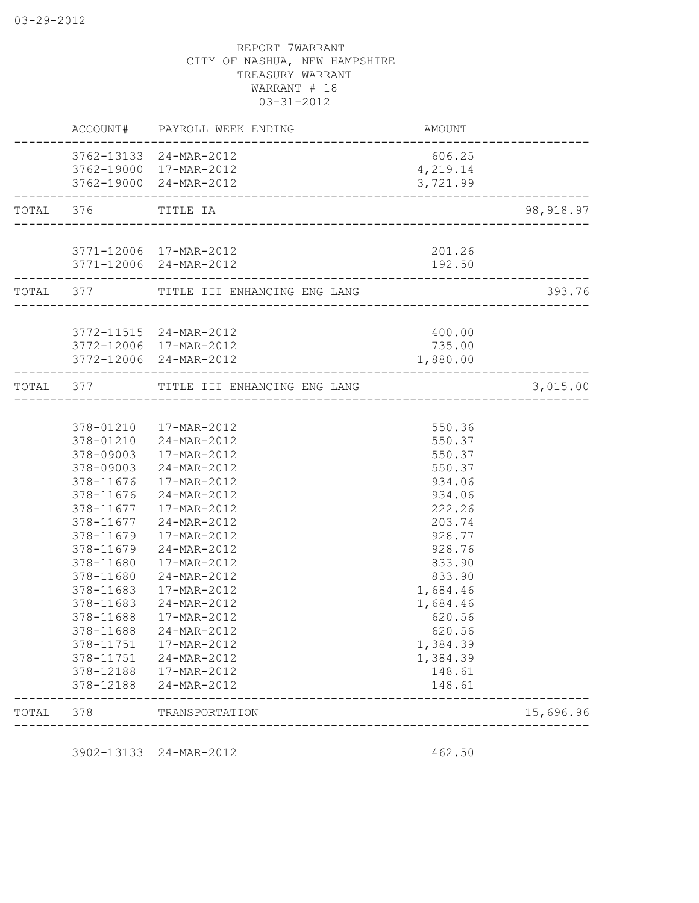|       |                        | ACCOUNT# PAYROLL WEEK ENDING                                | <b>AMOUNT</b>        |            |
|-------|------------------------|-------------------------------------------------------------|----------------------|------------|
|       |                        | 3762-13133 24-MAR-2012                                      | 606.25               |            |
|       |                        | 3762-19000 17-MAR-2012                                      | 4,219.14             |            |
|       |                        | 3762-19000 24-MAR-2012                                      | 3,721.99             |            |
|       | TOTAL 376 TITLE IA     |                                                             |                      | 98, 918.97 |
|       |                        | 3771-12006 17-MAR-2012                                      | 201.26               |            |
|       |                        | 3771-12006 24-MAR-2012                                      | 192.50               |            |
|       |                        | TOTAL 377 TITLE III ENHANCING ENG LANG                      |                      | 393.76     |
|       |                        | 3772-11515 24-MAR-2012                                      | 400.00               |            |
|       |                        | 3772-12006 17-MAR-2012                                      | 735.00               |            |
|       |                        | 3772-12006 24-MAR-2012<br>--------------------------------- | 1,880.00             |            |
|       |                        | TOTAL 377 TITLE III ENHANCING ENG LANG                      |                      | 3,015.00   |
|       |                        |                                                             |                      |            |
|       |                        | 378-01210  17-MAR-2012                                      | 550.36               |            |
|       |                        | 378-01210 24-MAR-2012                                       | 550.37               |            |
|       | 378-09003              | 17-MAR-2012                                                 | 550.37               |            |
|       |                        | 378-09003 24-MAR-2012                                       | 550.37               |            |
|       | 378-11676              | 17-MAR-2012                                                 | 934.06               |            |
|       | 378-11676              | 24-MAR-2012                                                 | 934.06               |            |
|       | 378-11677              | 17-MAR-2012                                                 | 222.26               |            |
|       | 378-11677              | 24-MAR-2012                                                 | 203.74               |            |
|       | 378-11679              | 17-MAR-2012                                                 | 928.77               |            |
|       | 378-11679              | 24-MAR-2012                                                 | 928.76               |            |
|       | 378-11680              | 17-MAR-2012                                                 | 833.90               |            |
|       | 378-11680              | 24-MAR-2012                                                 | 833.90               |            |
|       | 378-11683<br>378-11683 | 17-MAR-2012                                                 | 1,684.46<br>1,684.46 |            |
|       | 378-11688              | 24-MAR-2012                                                 |                      |            |
|       | 378-11688              | 17-MAR-2012<br>24-MAR-2012                                  | 620.56<br>620.56     |            |
|       | 378-11751              | 17-MAR-2012                                                 | 1,384.39             |            |
|       | 378-11751              | 24-MAR-2012                                                 | 1,384.39             |            |
|       | 378-12188              | 17-MAR-2012                                                 | 148.61               |            |
|       | 378-12188              | 24-MAR-2012                                                 | 148.61               |            |
| TOTAL | 378                    | TRANSPORTATION                                              |                      | 15,696.96  |

3902-13133 24-MAR-2012 462.50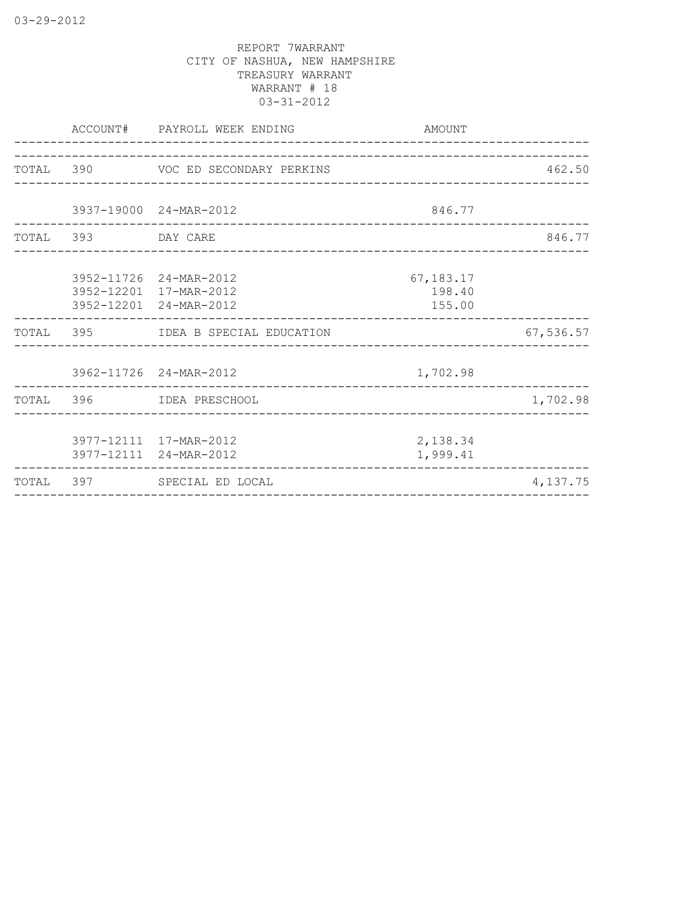|                    | ACCOUNT# PAYROLL WEEK ENDING                                               | AMOUNT                        |           |
|--------------------|----------------------------------------------------------------------------|-------------------------------|-----------|
|                    | TOTAL 390 VOC ED SECONDARY PERKINS                                         |                               | 462.50    |
|                    | 3937-19000 24-MAR-2012                                                     | 846.77                        |           |
| TOTAL 393 DAY CARE |                                                                            |                               | 846.77    |
|                    | 3952-11726 24-MAR-2012<br>3952-12201 17-MAR-2012<br>3952-12201 24-MAR-2012 | 67,183.17<br>198.40<br>155.00 |           |
|                    | TOTAL 395 IDEA B SPECIAL EDUCATION                                         |                               | 67,536.57 |
|                    | 3962-11726 24-MAR-2012<br>_________________________                        | 1,702.98                      |           |
|                    | TOTAL 396 IDEA PRESCHOOL                                                   |                               | 1,702.98  |
|                    | 3977-12111 17-MAR-2012<br>3977-12111 24-MAR-2012                           | 2,138.34<br>1,999.41          |           |
|                    | TOTAL 397 SPECIAL ED LOCAL                                                 |                               | 4,137.75  |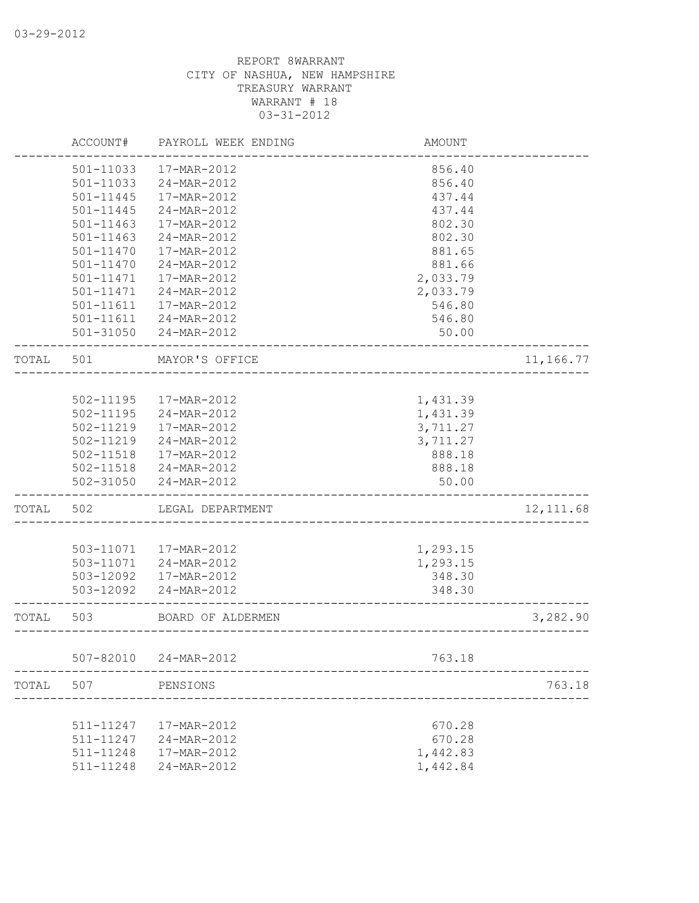|       | ACCOUNT#      | PAYROLL WEEK ENDING    | <b>AMOUNT</b>              |            |
|-------|---------------|------------------------|----------------------------|------------|
|       | 501-11033     | 17-MAR-2012            | 856.40                     |            |
|       | 501-11033     | 24-MAR-2012            | 856.40                     |            |
|       | 501-11445     | 17-MAR-2012            | 437.44                     |            |
|       | 501-11445     | 24-MAR-2012            | 437.44                     |            |
|       | 501-11463     | 17-MAR-2012            | 802.30                     |            |
|       | 501-11463     | 24-MAR-2012            | 802.30                     |            |
|       | $501 - 11470$ | 17-MAR-2012            | 881.65                     |            |
|       | $501 - 11470$ | 24-MAR-2012            | 881.66                     |            |
|       | 501-11471     | 17-MAR-2012            | 2,033.79                   |            |
|       | 501-11471     | 24-MAR-2012            | 2,033.79                   |            |
|       | 501-11611     | 17-MAR-2012            | 546.80                     |            |
|       | 501-11611     | 24-MAR-2012            | 546.80                     |            |
|       | 501-31050     | 24-MAR-2012            | 50.00                      |            |
| TOTAL | 501           | MAYOR'S OFFICE         |                            | 11,166.77  |
|       |               |                        |                            |            |
|       | 502-11195     | 17-MAR-2012            | 1,431.39                   |            |
|       | 502-11195     | 24-MAR-2012            | 1,431.39                   |            |
|       | 502-11219     | 17-MAR-2012            | 3,711.27                   |            |
|       | 502-11219     | 24-MAR-2012            | 3,711.27                   |            |
|       | 502-11518     | 17-MAR-2012            | 888.18                     |            |
|       |               | 502-11518 24-MAR-2012  | 888.18                     |            |
|       |               | 502-31050 24-MAR-2012  | 50.00                      |            |
| TOTAL | 502           | LEGAL DEPARTMENT       |                            | 12, 111.68 |
|       |               |                        |                            |            |
|       |               | 503-11071  17-MAR-2012 | 1,293.15                   |            |
|       | 503-11071     | 24-MAR-2012            | 1,293.15                   |            |
|       | 503-12092     | 17-MAR-2012            | 348.30                     |            |
|       | 503-12092     | 24-MAR-2012            | 348.30                     |            |
| TOTAL | 503           | BOARD OF ALDERMEN      | __________________________ | 3,282.90   |
|       | 507-82010     | 24-MAR-2012            | 763.18                     |            |
| TOTAL | 507           | PENSIONS               |                            | 763.18     |
|       |               |                        |                            |            |
|       | 511-11247     | 17-MAR-2012            | 670.28                     |            |
|       | 511-11247     | 24-MAR-2012            | 670.28                     |            |
|       | 511-11248     | 17-MAR-2012            | 1,442.83                   |            |
|       | 511-11248     | 24-MAR-2012            | 1,442.84                   |            |
|       |               |                        |                            |            |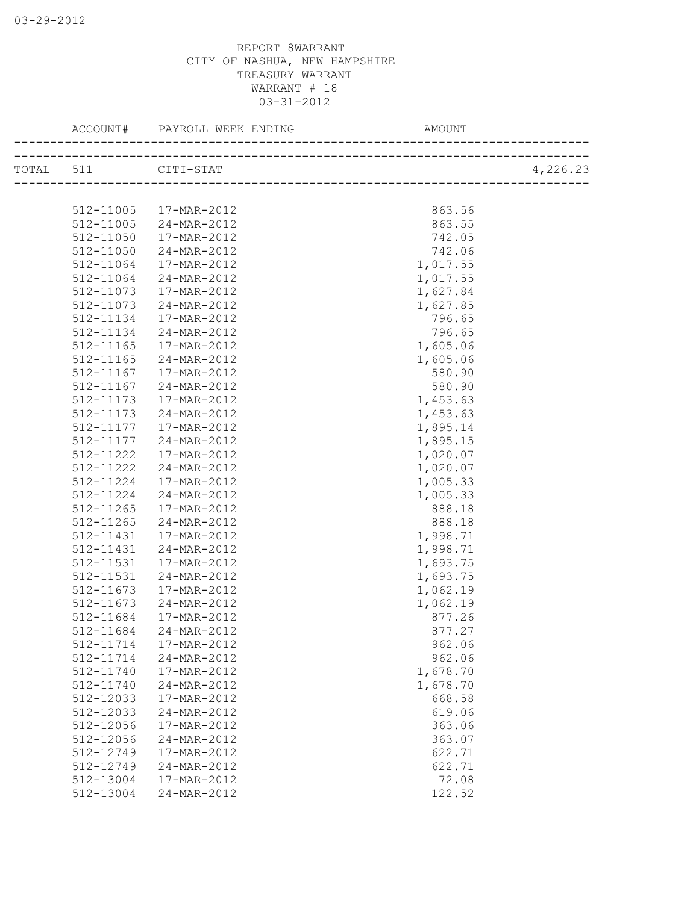|                     | ACCOUNT# PAYROLL WEEK ENDING | AMOUNT   |          |
|---------------------|------------------------------|----------|----------|
| TOTAL 511 CITI-STAT |                              |          | 4,226.23 |
|                     |                              |          |          |
|                     |                              |          |          |
| 512-11005           | 17-MAR-2012                  | 863.56   |          |
| 512-11005           | 24-MAR-2012                  | 863.55   |          |
| 512-11050           | 17-MAR-2012                  | 742.05   |          |
| 512-11050           | 24-MAR-2012                  | 742.06   |          |
| 512-11064           | 17-MAR-2012                  | 1,017.55 |          |
| 512-11064           | 24-MAR-2012                  | 1,017.55 |          |
| 512-11073           | 17-MAR-2012                  | 1,627.84 |          |
| 512-11073           | 24-MAR-2012                  | 1,627.85 |          |
| 512-11134           | 17-MAR-2012                  | 796.65   |          |
| 512-11134           | 24-MAR-2012                  | 796.65   |          |
| 512-11165           | 17-MAR-2012                  | 1,605.06 |          |
| 512-11165           | 24-MAR-2012                  | 1,605.06 |          |
| 512-11167           | 17-MAR-2012                  | 580.90   |          |
| 512-11167           | 24-MAR-2012                  | 580.90   |          |
| 512-11173           | 17-MAR-2012                  | 1,453.63 |          |
| 512-11173           | 24-MAR-2012                  | 1,453.63 |          |
| 512-11177           | 17-MAR-2012                  | 1,895.14 |          |
| 512-11177           | 24-MAR-2012                  | 1,895.15 |          |
| 512-11222           | 17-MAR-2012                  | 1,020.07 |          |
| 512-11222           | 24-MAR-2012                  | 1,020.07 |          |
| 512-11224           | 17-MAR-2012                  | 1,005.33 |          |
| 512-11224           | 24-MAR-2012                  | 1,005.33 |          |
| 512-11265           | 17-MAR-2012                  | 888.18   |          |
| 512-11265           | 24-MAR-2012                  | 888.18   |          |
| 512-11431           | 17-MAR-2012                  | 1,998.71 |          |
| 512-11431           | 24-MAR-2012                  | 1,998.71 |          |
| 512-11531           | 17-MAR-2012                  | 1,693.75 |          |
| 512-11531           | 24-MAR-2012                  | 1,693.75 |          |
| 512-11673           | 17-MAR-2012                  | 1,062.19 |          |
| 512-11673           | 24-MAR-2012                  | 1,062.19 |          |
| 512-11684           | 17-MAR-2012                  | 877.26   |          |
|                     | 24-MAR-2012                  | 877.27   |          |
| 512-11684           |                              |          |          |
| 512-11714           | 17-MAR-2012                  | 962.06   |          |
| 512-11714           | 24-MAR-2012                  | 962.06   |          |
| 512-11740           | 17-MAR-2012                  | 1,678.70 |          |
| 512-11740           | 24-MAR-2012                  | 1,678.70 |          |
| 512-12033           | 17-MAR-2012                  | 668.58   |          |
| 512-12033           | 24-MAR-2012                  | 619.06   |          |
| 512-12056           | 17-MAR-2012                  | 363.06   |          |
| 512-12056           | 24-MAR-2012                  | 363.07   |          |
| 512-12749           | 17-MAR-2012                  | 622.71   |          |
| 512-12749           | 24-MAR-2012                  | 622.71   |          |
| 512-13004           | 17-MAR-2012                  | 72.08    |          |
| 512-13004           | 24-MAR-2012                  | 122.52   |          |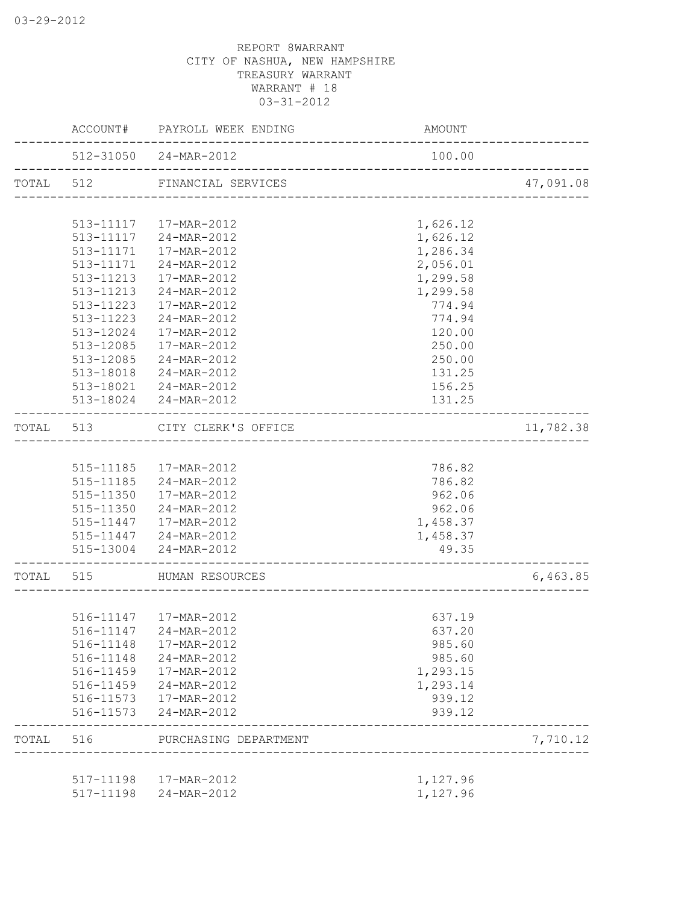|                             | ACCOUNT#  | PAYROLL WEEK ENDING     | AMOUNT              |           |
|-----------------------------|-----------|-------------------------|---------------------|-----------|
|                             |           | 512-31050 24-MAR-2012   | 100.00              |           |
| TOTAL 512<br>TOTAL<br>TOTAL |           | FINANCIAL SERVICES      | ___________________ | 47,091.08 |
|                             |           |                         |                     |           |
|                             |           | 513-11117  17-MAR-2012  | 1,626.12            |           |
|                             | 513-11117 | 24-MAR-2012             | 1,626.12            |           |
|                             | 513-11171 | 17-MAR-2012             | 1,286.34            |           |
|                             | 513-11171 | 24-MAR-2012             | 2,056.01            |           |
|                             | 513-11213 | 17-MAR-2012             | 1,299.58            |           |
|                             | 513-11213 | 24-MAR-2012             | 1,299.58            |           |
|                             | 513-11223 | 17-MAR-2012             | 774.94              |           |
|                             | 513-11223 | 24-MAR-2012             | 774.94              |           |
|                             | 513-12024 | 17-MAR-2012             | 120.00              |           |
|                             | 513-12085 | 17-MAR-2012             | 250.00              |           |
|                             |           | 513-12085 24-MAR-2012   | 250.00              |           |
|                             |           | 513-18018 24-MAR-2012   | 131.25              |           |
|                             |           | 513-18021 24-MAR-2012   | 156.25              |           |
|                             |           | 513-18024 24-MAR-2012   | 131.25              |           |
|                             | 513       | CITY CLERK'S OFFICE     |                     | 11,782.38 |
|                             |           |                         |                     |           |
|                             |           | 515-11185   17-MAR-2012 | 786.82              |           |
|                             |           | 515-11185 24-MAR-2012   | 786.82              |           |
|                             |           | 515-11350  17-MAR-2012  | 962.06              |           |
|                             |           | 515-11350 24-MAR-2012   | 962.06              |           |
|                             |           | 515-11447   17-MAR-2012 | 1,458.37            |           |
|                             |           | 515-11447 24-MAR-2012   | 1,458.37            |           |
|                             |           | 515-13004 24-MAR-2012   | 49.35               |           |
|                             | 515       | HUMAN RESOURCES         |                     | 6,463.85  |
|                             |           |                         |                     |           |
|                             |           | 516-11147   17-MAR-2012 | 637.19              |           |
|                             | 516-11147 | 24-MAR-2012             | 637.20              |           |
|                             | 516-11148 | 17-MAR-2012             | 985.60              |           |
|                             | 516-11148 | 24-MAR-2012             | 985.60              |           |
|                             | 516-11459 | 17-MAR-2012             | 1,293.15            |           |
|                             | 516-11459 | 24-MAR-2012             | 1,293.14            |           |
|                             | 516-11573 | 17-MAR-2012             | 939.12              |           |
|                             | 516-11573 | 24-MAR-2012             | 939.12              |           |
| TOTAL 516                   |           | PURCHASING DEPARTMENT   |                     | 7,710.12  |
|                             |           |                         |                     |           |
|                             | 517-11198 | 17-MAR-2012             | 1,127.96            |           |
|                             | 517-11198 | 24-MAR-2012             | 1,127.96            |           |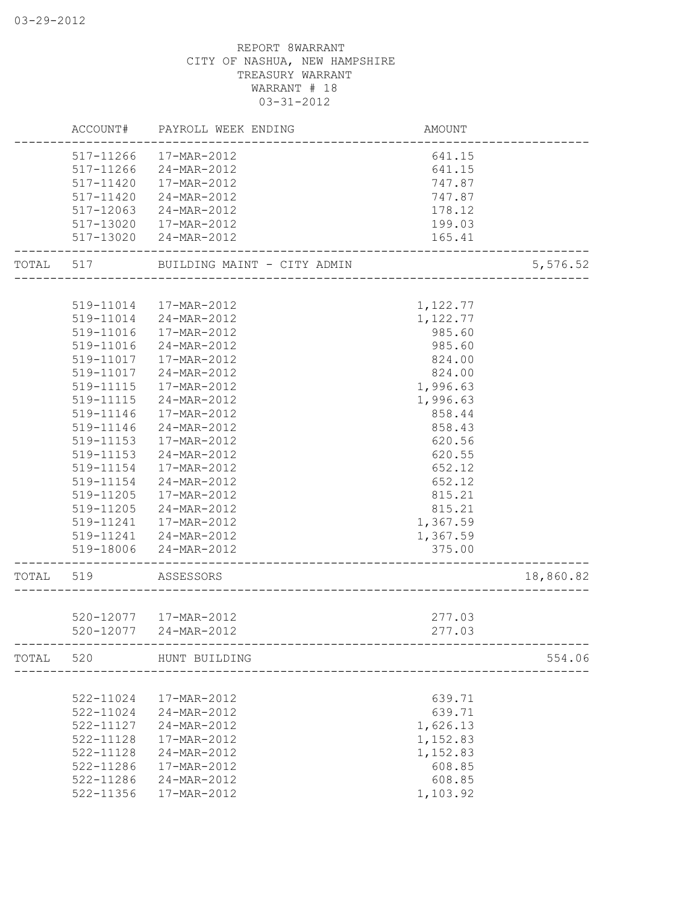|       | ACCOUNT#      | PAYROLL WEEK ENDING         | AMOUNT   |           |
|-------|---------------|-----------------------------|----------|-----------|
|       | 517-11266     | 17-MAR-2012                 | 641.15   |           |
|       | 517-11266     | 24-MAR-2012                 | 641.15   |           |
|       | 517-11420     | 17-MAR-2012                 | 747.87   |           |
|       | 517-11420     | 24-MAR-2012                 | 747.87   |           |
|       | 517-12063     | 24-MAR-2012                 | 178.12   |           |
|       | 517-13020     | 17-MAR-2012                 | 199.03   |           |
|       | 517-13020     | 24-MAR-2012                 | 165.41   |           |
| TOTAL | 517           | BUILDING MAINT - CITY ADMIN |          | 5,576.52  |
|       |               |                             |          |           |
|       |               | 519-11014  17-MAR-2012      | 1,122.77 |           |
|       | 519-11014     | 24-MAR-2012                 | 1,122.77 |           |
|       | 519-11016     | 17-MAR-2012                 | 985.60   |           |
|       | 519-11016     | 24-MAR-2012                 | 985.60   |           |
|       | 519-11017     | 17-MAR-2012                 | 824.00   |           |
|       | 519-11017     | 24-MAR-2012                 | 824.00   |           |
|       | 519-11115     | 17-MAR-2012                 | 1,996.63 |           |
|       | 519-11115     | 24-MAR-2012                 | 1,996.63 |           |
|       | 519-11146     | 17-MAR-2012                 | 858.44   |           |
|       | 519-11146     | 24-MAR-2012                 | 858.43   |           |
|       | 519-11153     | 17-MAR-2012                 | 620.56   |           |
|       | 519-11153     | 24-MAR-2012                 | 620.55   |           |
|       | 519-11154     | 17-MAR-2012                 | 652.12   |           |
|       | 519-11154     | 24-MAR-2012                 | 652.12   |           |
|       | 519-11205     | 17-MAR-2012                 | 815.21   |           |
|       | 519-11205     | 24-MAR-2012                 | 815.21   |           |
|       | 519-11241     | 17-MAR-2012                 | 1,367.59 |           |
|       | 519-11241     | 24-MAR-2012                 | 1,367.59 |           |
|       | 519-18006     | 24-MAR-2012                 | 375.00   |           |
| TOTAL | 519           | ASSESSORS                   |          | 18,860.82 |
|       |               |                             |          |           |
|       |               | 520-12077  17-MAR-2012      | 277.03   |           |
|       | 520-12077     | 24-MAR-2012                 | 277.03   |           |
|       |               | TOTAL 520 HUNT BUILDING     |          | 554.06    |
|       |               |                             |          |           |
|       | 522-11024     | 17-MAR-2012                 | 639.71   |           |
|       | 522-11024     | 24-MAR-2012                 | 639.71   |           |
|       | 522-11127     | 24-MAR-2012                 | 1,626.13 |           |
|       | 522-11128     | 17-MAR-2012                 | 1,152.83 |           |
|       | $522 - 11128$ | 24-MAR-2012                 | 1,152.83 |           |
|       | 522-11286     | 17-MAR-2012                 | 608.85   |           |
|       | 522-11286     | 24-MAR-2012                 | 608.85   |           |
|       | 522-11356     | 17-MAR-2012                 | 1,103.92 |           |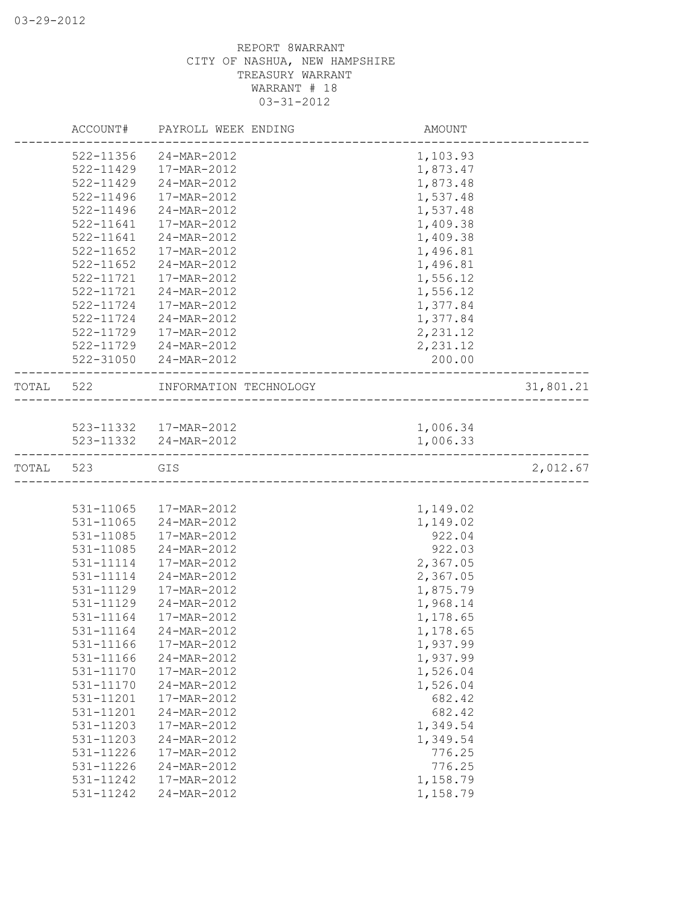|       | ACCOUNT#               | PAYROLL WEEK ENDING        | AMOUNT               |           |
|-------|------------------------|----------------------------|----------------------|-----------|
|       | 522-11356              | 24-MAR-2012                | 1,103.93             |           |
|       | 522-11429              | 17-MAR-2012                | 1,873.47             |           |
|       | $522 - 11429$          | 24-MAR-2012                | 1,873.48             |           |
|       | $522 - 11496$          | 17-MAR-2012                | 1,537.48             |           |
|       | 522-11496              | 24-MAR-2012                | 1,537.48             |           |
|       | 522-11641              | 17-MAR-2012                | 1,409.38             |           |
|       | 522-11641              | 24-MAR-2012                | 1,409.38             |           |
|       | 522-11652              | 17-MAR-2012                | 1,496.81             |           |
|       | $522 - 11652$          | 24-MAR-2012                | 1,496.81             |           |
|       | 522-11721              | 17-MAR-2012                | 1,556.12             |           |
|       | 522-11721              | 24-MAR-2012                | 1,556.12             |           |
|       | 522-11724              | 17-MAR-2012                | 1,377.84             |           |
|       | 522-11724              | 24-MAR-2012                | 1,377.84             |           |
|       | 522-11729              | 17-MAR-2012                | 2,231.12             |           |
|       |                        | 522-11729 24-MAR-2012      | 2,231.12             |           |
|       |                        | 522-31050 24-MAR-2012      | 200.00               |           |
| TOTAL | 522                    | INFORMATION TECHNOLOGY     |                      | 31,801.21 |
|       |                        |                            |                      |           |
|       |                        | 523-11332  17-MAR-2012     | 1,006.34             |           |
|       |                        | 523-11332 24-MAR-2012      | 1,006.33             |           |
| TOTAL | 523                    | GIS                        |                      | 2,012.67  |
|       |                        |                            |                      |           |
|       | 531-11065              | 17-MAR-2012                | 1,149.02             |           |
|       | 531-11065              | 24-MAR-2012                | 1,149.02             |           |
|       | 531-11085              | 17-MAR-2012                | 922.04               |           |
|       | 531-11085              | 24-MAR-2012                | 922.03               |           |
|       | 531-11114              | 17-MAR-2012                | 2,367.05             |           |
|       | 531-11114              | 24-MAR-2012                | 2,367.05             |           |
|       | 531-11129              | 17-MAR-2012                | 1,875.79             |           |
|       | 531-11129              | 24-MAR-2012                | 1,968.14             |           |
|       | 531-11164              | 17-MAR-2012                | 1,178.65             |           |
|       | 531-11164              | 24-MAR-2012                | 1,178.65             |           |
|       | 531-11166              | 17-MAR-2012                | 1,937.99             |           |
|       | 531-11166              | 24-MAR-2012                | 1,937.99             |           |
|       | 531-11170<br>531-11170 | 17-MAR-2012<br>24-MAR-2012 | 1,526.04<br>1,526.04 |           |
|       | 531-11201              | 17-MAR-2012                | 682.42               |           |
|       | 531-11201              | 24-MAR-2012                | 682.42               |           |
|       | 531-11203              | 17-MAR-2012                | 1,349.54             |           |
|       | 531-11203              | 24-MAR-2012                | 1,349.54             |           |
|       | 531-11226              | 17-MAR-2012                | 776.25               |           |
|       | 531-11226              | 24-MAR-2012                | 776.25               |           |
|       | 531-11242              | 17-MAR-2012                | 1,158.79             |           |
|       | 531-11242              | 24-MAR-2012                | 1,158.79             |           |
|       |                        |                            |                      |           |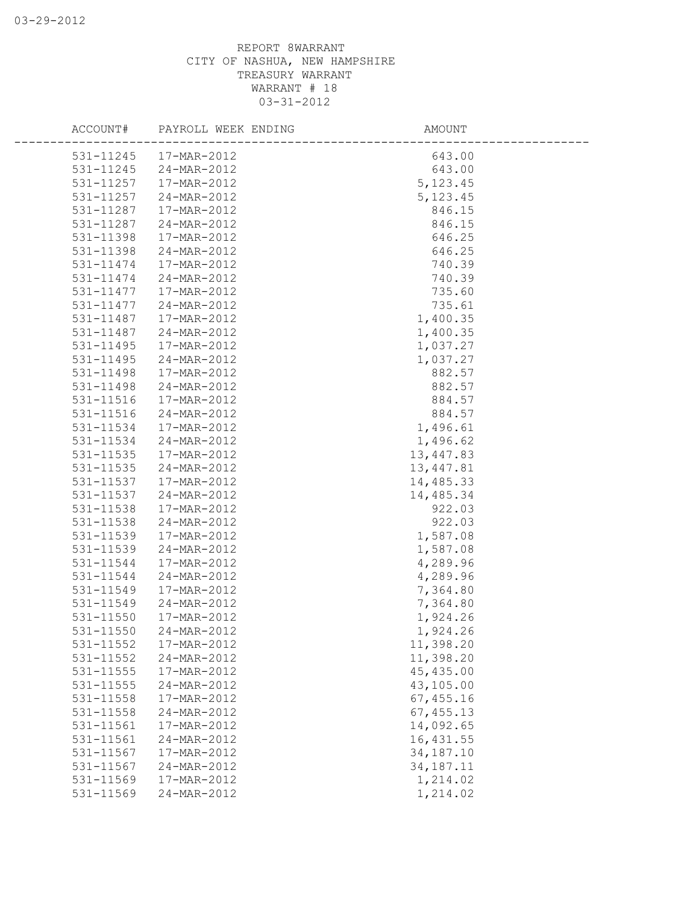| ACCOUNT#  | PAYROLL WEEK ENDING   | AMOUNT      |  |
|-----------|-----------------------|-------------|--|
|           | 531-11245 17-MAR-2012 | 643.00      |  |
| 531-11245 | 24-MAR-2012           | 643.00      |  |
| 531-11257 | 17-MAR-2012           | 5, 123.45   |  |
| 531-11257 | 24-MAR-2012           | 5, 123.45   |  |
| 531-11287 | 17-MAR-2012           | 846.15      |  |
| 531-11287 | 24-MAR-2012           | 846.15      |  |
| 531-11398 | 17-MAR-2012           | 646.25      |  |
| 531-11398 | 24-MAR-2012           | 646.25      |  |
| 531-11474 | 17-MAR-2012           | 740.39      |  |
| 531-11474 | 24-MAR-2012           | 740.39      |  |
| 531-11477 | 17-MAR-2012           | 735.60      |  |
| 531-11477 | 24-MAR-2012           | 735.61      |  |
| 531-11487 | 17-MAR-2012           | 1,400.35    |  |
| 531-11487 | 24-MAR-2012           | 1,400.35    |  |
| 531-11495 | 17-MAR-2012           | 1,037.27    |  |
| 531-11495 | 24-MAR-2012           | 1,037.27    |  |
| 531-11498 | 17-MAR-2012           | 882.57      |  |
| 531-11498 | 24-MAR-2012           | 882.57      |  |
| 531-11516 | 17-MAR-2012           | 884.57      |  |
| 531-11516 | 24-MAR-2012           | 884.57      |  |
| 531-11534 | 17-MAR-2012           | 1,496.61    |  |
| 531-11534 | 24-MAR-2012           | 1,496.62    |  |
| 531-11535 | 17-MAR-2012           | 13,447.83   |  |
| 531-11535 | 24-MAR-2012           | 13,447.81   |  |
| 531-11537 | 17-MAR-2012           | 14,485.33   |  |
| 531-11537 | 24-MAR-2012           | 14,485.34   |  |
| 531-11538 | 17-MAR-2012           | 922.03      |  |
| 531-11538 | 24-MAR-2012           | 922.03      |  |
| 531-11539 | 17-MAR-2012           | 1,587.08    |  |
| 531-11539 | 24-MAR-2012           | 1,587.08    |  |
| 531-11544 | 17-MAR-2012           | 4,289.96    |  |
| 531-11544 | 24-MAR-2012           | 4,289.96    |  |
| 531-11549 | 17-MAR-2012           | 7,364.80    |  |
| 531-11549 | 24-MAR-2012           | 7,364.80    |  |
| 531-11550 | 17-MAR-2012           | 1,924.26    |  |
| 531-11550 | 24-MAR-2012           | 1,924.26    |  |
| 531-11552 | 17-MAR-2012           | 11,398.20   |  |
| 531-11552 | 24-MAR-2012           | 11,398.20   |  |
| 531-11555 | 17-MAR-2012           | 45,435.00   |  |
| 531-11555 | 24-MAR-2012           | 43,105.00   |  |
| 531-11558 | 17-MAR-2012           | 67,455.16   |  |
| 531-11558 | 24-MAR-2012           | 67, 455.13  |  |
| 531-11561 | 17-MAR-2012           | 14,092.65   |  |
| 531-11561 | 24-MAR-2012           | 16,431.55   |  |
| 531-11567 | 17-MAR-2012           | 34,187.10   |  |
| 531-11567 | 24-MAR-2012           | 34, 187. 11 |  |
| 531-11569 | 17-MAR-2012           | 1,214.02    |  |
| 531-11569 | 24-MAR-2012           | 1,214.02    |  |
|           |                       |             |  |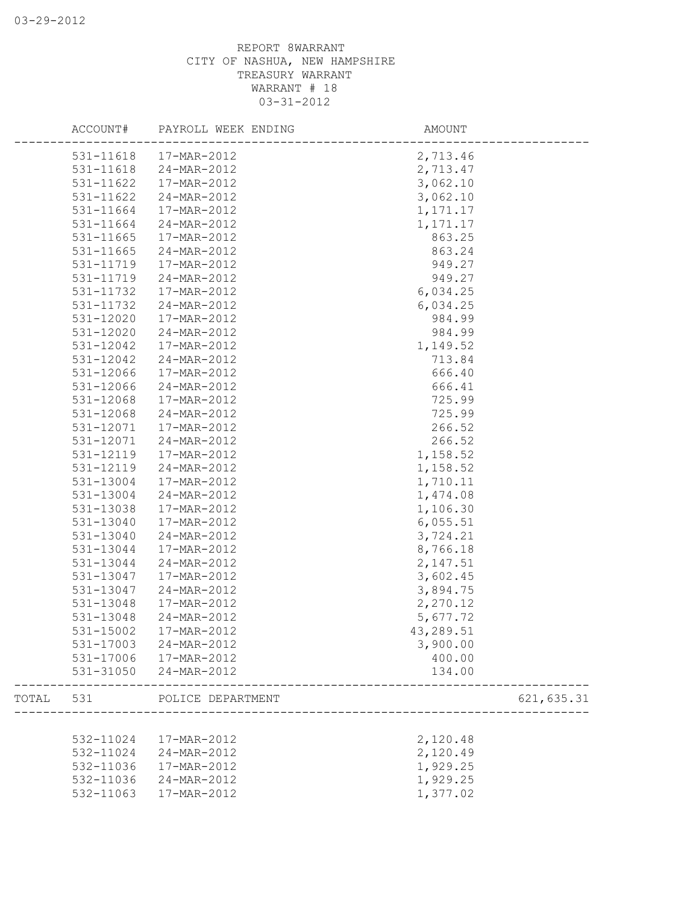|       | ACCOUNT#  | PAYROLL WEEK ENDING    | AMOUNT     |             |
|-------|-----------|------------------------|------------|-------------|
|       |           | 531-11618  17-MAR-2012 | 2,713.46   |             |
|       | 531-11618 | 24-MAR-2012            | 2,713.47   |             |
|       | 531-11622 | 17-MAR-2012            | 3,062.10   |             |
|       | 531-11622 | 24-MAR-2012            | 3,062.10   |             |
|       | 531-11664 | 17-MAR-2012            | 1,171.17   |             |
|       | 531-11664 | 24-MAR-2012            | 1, 171. 17 |             |
|       | 531-11665 | 17-MAR-2012            | 863.25     |             |
|       | 531-11665 | 24-MAR-2012            | 863.24     |             |
|       | 531-11719 | 17-MAR-2012            | 949.27     |             |
|       | 531-11719 | 24-MAR-2012            | 949.27     |             |
|       | 531-11732 | 17-MAR-2012            | 6,034.25   |             |
|       | 531-11732 | 24-MAR-2012            | 6,034.25   |             |
|       | 531-12020 | 17-MAR-2012            | 984.99     |             |
|       | 531-12020 | 24-MAR-2012            | 984.99     |             |
|       | 531-12042 | 17-MAR-2012            | 1,149.52   |             |
|       | 531-12042 | 24-MAR-2012            | 713.84     |             |
|       | 531-12066 | 17-MAR-2012            | 666.40     |             |
|       | 531-12066 | 24-MAR-2012            | 666.41     |             |
|       | 531-12068 | 17-MAR-2012            | 725.99     |             |
|       | 531-12068 | 24-MAR-2012            | 725.99     |             |
|       | 531-12071 | 17-MAR-2012            | 266.52     |             |
|       | 531-12071 | 24-MAR-2012            | 266.52     |             |
|       | 531-12119 | 17-MAR-2012            | 1,158.52   |             |
|       | 531-12119 | 24-MAR-2012            | 1,158.52   |             |
|       | 531-13004 | 17-MAR-2012            | 1,710.11   |             |
|       | 531-13004 | 24-MAR-2012            | 1,474.08   |             |
|       | 531-13038 | 17-MAR-2012            | 1,106.30   |             |
|       | 531-13040 | 17-MAR-2012            | 6,055.51   |             |
|       | 531-13040 | 24-MAR-2012            | 3,724.21   |             |
|       | 531-13044 | 17-MAR-2012            | 8,766.18   |             |
|       | 531-13044 | 24-MAR-2012            | 2,147.51   |             |
|       | 531-13047 | 17-MAR-2012            | 3,602.45   |             |
|       | 531-13047 | 24-MAR-2012            | 3,894.75   |             |
|       | 531-13048 | 17-MAR-2012            | 2,270.12   |             |
|       | 531-13048 | 24-MAR-2012            | 5,677.72   |             |
|       | 531-15002 | 17-MAR-2012            | 43,289.51  |             |
|       | 531-17003 | 24-MAR-2012            | 3,900.00   |             |
|       | 531-17006 | 17-MAR-2012            | 400.00     |             |
|       | 531-31050 | 24-MAR-2012            | 134.00     |             |
| TOTAL | 531       | POLICE DEPARTMENT      |            | 621, 635.31 |
|       |           |                        |            |             |
|       | 532-11024 | 17-MAR-2012            | 2,120.48   |             |
|       | 532-11024 | 24-MAR-2012            | 2,120.49   |             |
|       | 532-11036 | 17-MAR-2012            | 1,929.25   |             |
|       | 532-11036 | 24-MAR-2012            | 1,929.25   |             |
|       | 532-11063 | 17-MAR-2012            | 1,377.02   |             |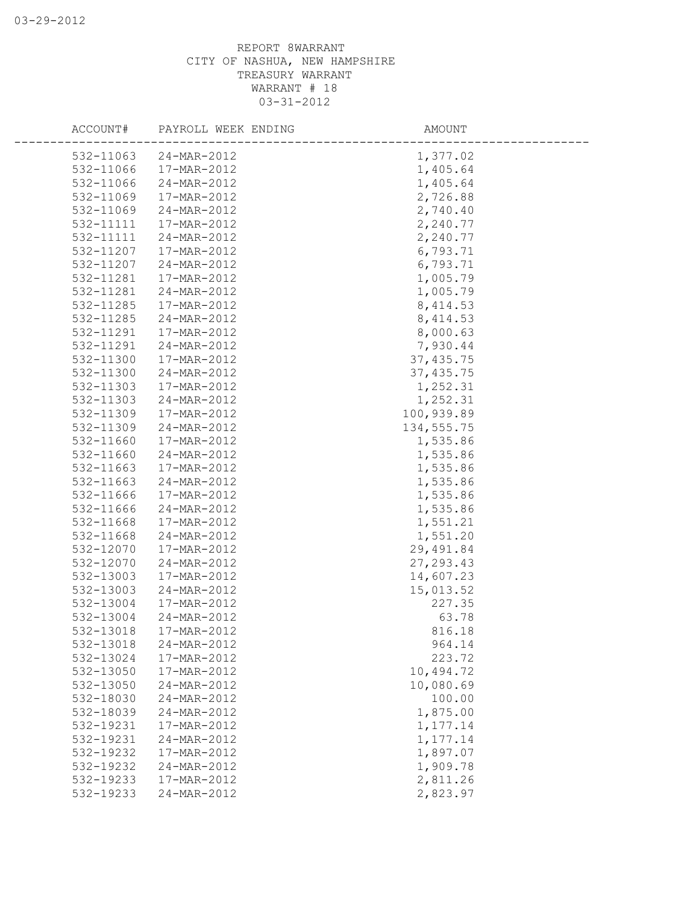| ACCOUNT#  | PAYROLL WEEK ENDING | AMOUNT      |  |
|-----------|---------------------|-------------|--|
| 532-11063 | 24-MAR-2012         | 1,377.02    |  |
| 532-11066 | 17-MAR-2012         | 1,405.64    |  |
| 532-11066 | 24-MAR-2012         | 1,405.64    |  |
| 532-11069 | 17-MAR-2012         | 2,726.88    |  |
| 532-11069 | 24-MAR-2012         | 2,740.40    |  |
| 532-11111 | 17-MAR-2012         | 2,240.77    |  |
| 532-11111 | 24-MAR-2012         | 2,240.77    |  |
| 532-11207 | 17-MAR-2012         | 6,793.71    |  |
| 532-11207 | 24-MAR-2012         | 6,793.71    |  |
| 532-11281 | 17-MAR-2012         | 1,005.79    |  |
| 532-11281 | 24-MAR-2012         | 1,005.79    |  |
| 532-11285 | 17-MAR-2012         | 8, 414.53   |  |
| 532-11285 | 24-MAR-2012         | 8, 414.53   |  |
| 532-11291 | 17-MAR-2012         | 8,000.63    |  |
| 532-11291 | 24-MAR-2012         | 7,930.44    |  |
| 532-11300 | 17-MAR-2012         | 37, 435.75  |  |
| 532-11300 | 24-MAR-2012         | 37, 435.75  |  |
| 532-11303 | 17-MAR-2012         | 1,252.31    |  |
| 532-11303 | 24-MAR-2012         | 1,252.31    |  |
| 532-11309 | 17-MAR-2012         | 100,939.89  |  |
| 532-11309 | 24-MAR-2012         | 134, 555.75 |  |
| 532-11660 | 17-MAR-2012         | 1,535.86    |  |
| 532-11660 | 24-MAR-2012         | 1,535.86    |  |
| 532-11663 | 17-MAR-2012         | 1,535.86    |  |
| 532-11663 | 24-MAR-2012         | 1,535.86    |  |
| 532-11666 | 17-MAR-2012         | 1,535.86    |  |
| 532-11666 | 24-MAR-2012         | 1,535.86    |  |
| 532-11668 | 17-MAR-2012         | 1,551.21    |  |
| 532-11668 | 24-MAR-2012         | 1,551.20    |  |
| 532-12070 | 17-MAR-2012         | 29,491.84   |  |
| 532-12070 | 24-MAR-2012         | 27, 293.43  |  |
| 532-13003 | 17-MAR-2012         | 14,607.23   |  |
| 532-13003 | 24-MAR-2012         | 15,013.52   |  |
| 532-13004 | 17-MAR-2012         | 227.35      |  |
| 532-13004 | 24-MAR-2012         | 63.78       |  |
| 532-13018 | 17-MAR-2012         | 816.18      |  |
| 532-13018 | 24-MAR-2012         | 964.14      |  |
| 532-13024 | 17-MAR-2012         | 223.72      |  |
| 532-13050 | 17-MAR-2012         | 10,494.72   |  |
| 532-13050 | 24-MAR-2012         | 10,080.69   |  |
| 532-18030 | 24-MAR-2012         | 100.00      |  |
| 532-18039 | 24-MAR-2012         | 1,875.00    |  |
| 532-19231 | 17-MAR-2012         | 1,177.14    |  |
| 532-19231 | 24-MAR-2012         | 1,177.14    |  |
| 532-19232 | 17-MAR-2012         | 1,897.07    |  |
| 532-19232 | 24-MAR-2012         | 1,909.78    |  |
| 532-19233 | 17-MAR-2012         | 2,811.26    |  |
| 532-19233 | 24-MAR-2012         | 2,823.97    |  |
|           |                     |             |  |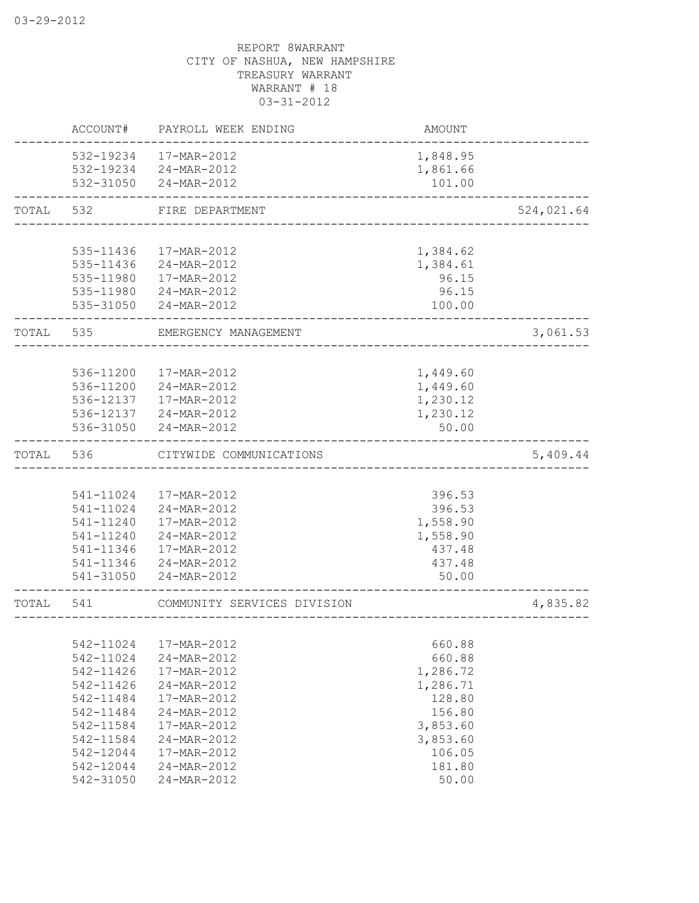|       | ACCOUNT#               | PAYROLL WEEK ENDING         | AMOUNT             |            |
|-------|------------------------|-----------------------------|--------------------|------------|
|       | 532-19234              | 17-MAR-2012                 | 1,848.95           |            |
|       | 532-19234              | 24-MAR-2012                 | 1,861.66           |            |
|       |                        | 532-31050 24-MAR-2012       | 101.00             |            |
| TOTAL | 532                    | FIRE DEPARTMENT             |                    | 524,021.64 |
|       |                        |                             |                    |            |
|       | 535-11436              | 17-MAR-2012                 | 1,384.62           |            |
|       | 535-11436              | 24-MAR-2012                 | 1,384.61           |            |
|       | 535-11980              | 17-MAR-2012                 | 96.15              |            |
|       | 535-11980<br>535-31050 | 24-MAR-2012<br>24-MAR-2012  | 96.15<br>100.00    |            |
|       |                        |                             |                    |            |
| TOTAL | 535                    | EMERGENCY MANAGEMENT        |                    | 3,061.53   |
|       |                        |                             |                    |            |
|       | 536-11200              | 17-MAR-2012                 | 1,449.60           |            |
|       | 536-11200              | 24-MAR-2012                 | 1,449.60           |            |
|       | 536-12137              | 17-MAR-2012                 | 1,230.12           |            |
|       |                        | 536-12137 24-MAR-2012       | 1,230.12           |            |
|       | 536-31050              | 24-MAR-2012                 | 50.00              |            |
| TOTAL | 536                    | CITYWIDE COMMUNICATIONS     |                    | 5,409.44   |
|       |                        |                             |                    |            |
|       | 541-11024              | 17-MAR-2012                 | 396.53             |            |
|       | 541-11024              | 24-MAR-2012                 | 396.53             |            |
|       | 541-11240              | 17-MAR-2012                 | 1,558.90           |            |
|       | 541-11240              | 24-MAR-2012                 | 1,558.90           |            |
|       | 541-11346              | 17-MAR-2012                 | 437.48             |            |
|       | 541-11346              | 24-MAR-2012                 | 437.48             |            |
|       | 541-31050              | 24-MAR-2012                 | 50.00              |            |
| TOTAL | 541                    | COMMUNITY SERVICES DIVISION |                    | 4,835.82   |
|       |                        |                             |                    |            |
|       | 542-11024              | 17-MAR-2012                 | 660.88             |            |
|       | 542-11024              | 24-MAR-2012                 | 660.88             |            |
|       | 542-11426              | 17-MAR-2012                 | 1,286.72           |            |
|       | 542-11426<br>542-11484 | 24-MAR-2012<br>17-MAR-2012  | 1,286.71<br>128.80 |            |
|       | 542-11484              | 24-MAR-2012                 | 156.80             |            |
|       | 542-11584              | 17-MAR-2012                 | 3,853.60           |            |
|       | 542-11584              | 24-MAR-2012                 | 3,853.60           |            |
|       | 542-12044              | 17-MAR-2012                 | 106.05             |            |
|       | 542-12044              | 24-MAR-2012                 | 181.80             |            |
|       | 542-31050              | 24-MAR-2012                 | 50.00              |            |
|       |                        |                             |                    |            |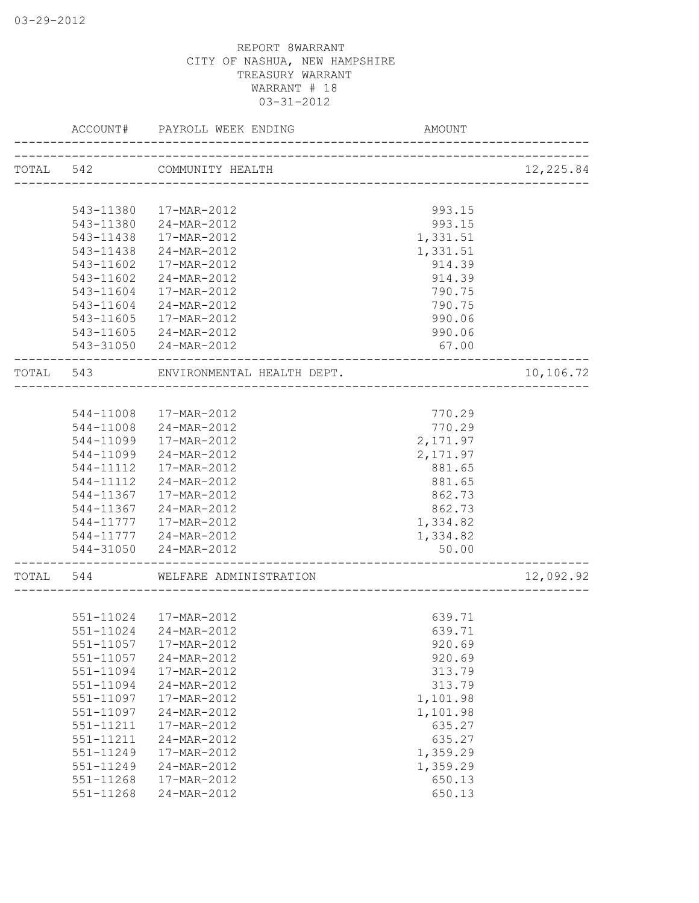|       | ACCOUNT#  | PAYROLL WEEK ENDING        | <b>AMOUNT</b> |           |
|-------|-----------|----------------------------|---------------|-----------|
|       |           | TOTAL 542 COMMUNITY HEALTH |               | 12,225.84 |
|       |           | _______________________    |               |           |
|       | 543-11380 | 17-MAR-2012                | 993.15        |           |
|       | 543-11380 | 24-MAR-2012                | 993.15        |           |
|       | 543-11438 | 17-MAR-2012                | 1,331.51      |           |
|       | 543-11438 | 24-MAR-2012                | 1,331.51      |           |
|       | 543-11602 | 17-MAR-2012                | 914.39        |           |
|       | 543-11602 | 24-MAR-2012                | 914.39        |           |
|       | 543-11604 | 17-MAR-2012                | 790.75        |           |
|       | 543-11604 | 24-MAR-2012                | 790.75        |           |
|       | 543-11605 | 17-MAR-2012                | 990.06        |           |
|       |           | 543-11605 24-MAR-2012      | 990.06        |           |
|       |           | 543-31050 24-MAR-2012      | 67.00         |           |
| TOTAL | 543       | ENVIRONMENTAL HEALTH DEPT. |               | 10,106.72 |
|       |           | -----------------------    |               |           |
|       |           | 544-11008  17-MAR-2012     | 770.29        |           |
|       |           | 544-11008 24-MAR-2012      | 770.29        |           |
|       | 544-11099 | 17-MAR-2012                | 2,171.97      |           |
|       | 544-11099 | 24-MAR-2012                | 2,171.97      |           |
|       | 544-11112 | 17-MAR-2012                | 881.65        |           |
|       | 544-11112 | 24-MAR-2012                | 881.65        |           |
|       | 544-11367 | 17-MAR-2012                | 862.73        |           |
|       | 544-11367 | 24-MAR-2012                | 862.73        |           |
|       | 544-11777 | 17-MAR-2012                | 1,334.82      |           |
|       | 544-11777 | 24-MAR-2012                | 1,334.82      |           |
|       | 544-31050 | 24-MAR-2012                | 50.00         |           |
| TOTAL | 544       | WELFARE ADMINISTRATION     |               | 12,092.92 |
|       |           |                            |               |           |
|       |           | 551-11024  17-MAR-2012     | 639.71        |           |
|       | 551-11024 | 24-MAR-2012                | 639.71        |           |
|       | 551-11057 | 17-MAR-2012                | 920.69        |           |
|       | 551-11057 | 24-MAR-2012                | 920.69        |           |
|       | 551-11094 | 17-MAR-2012                | 313.79        |           |
|       | 551-11094 | 24-MAR-2012                | 313.79        |           |
|       | 551-11097 | 17-MAR-2012                | 1,101.98      |           |
|       | 551-11097 | 24-MAR-2012                | 1,101.98      |           |
|       | 551-11211 | 17-MAR-2012                | 635.27        |           |
|       | 551-11211 | 24-MAR-2012                | 635.27        |           |
|       | 551-11249 | 17-MAR-2012                | 1,359.29      |           |
|       | 551-11249 | 24-MAR-2012                | 1,359.29      |           |
|       | 551-11268 | 17-MAR-2012                | 650.13        |           |
|       | 551-11268 | 24-MAR-2012                | 650.13        |           |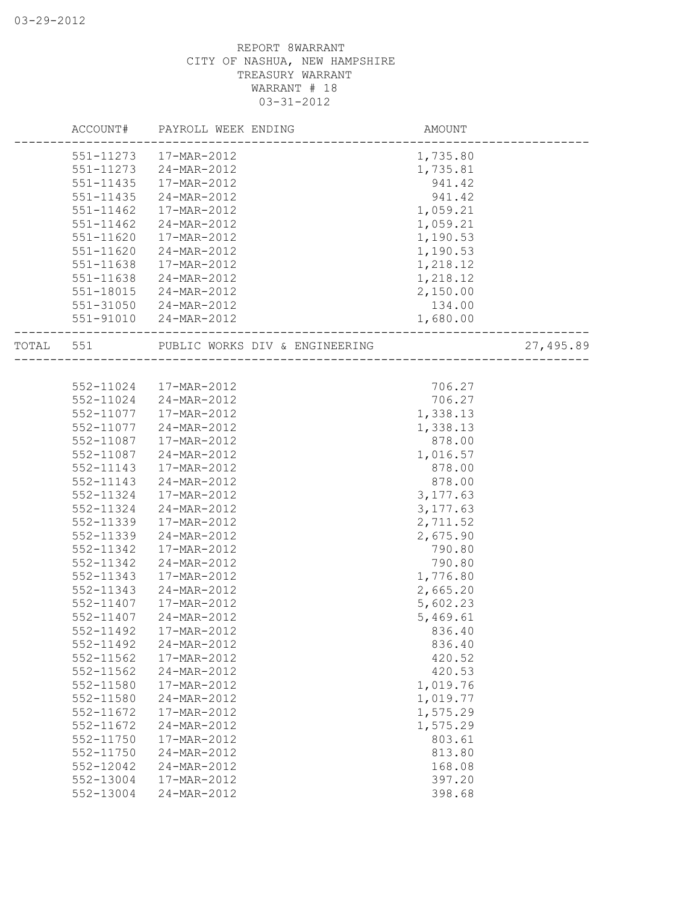|           | ACCOUNT# PAYROLL WEEK ENDING                                       | AMOUNT    |           |
|-----------|--------------------------------------------------------------------|-----------|-----------|
|           | 551-11273  17-MAR-2012                                             | 1,735.80  |           |
| 551-11273 | 24-MAR-2012                                                        | 1,735.81  |           |
| 551-11435 | 17-MAR-2012                                                        | 941.42    |           |
| 551-11435 | 24-MAR-2012                                                        | 941.42    |           |
| 551-11462 | 17-MAR-2012                                                        | 1,059.21  |           |
| 551-11462 | 24-MAR-2012                                                        | 1,059.21  |           |
| 551-11620 | 17-MAR-2012                                                        | 1,190.53  |           |
| 551-11620 | 24-MAR-2012                                                        | 1,190.53  |           |
| 551-11638 | 17-MAR-2012                                                        | 1,218.12  |           |
| 551-11638 | 24-MAR-2012                                                        | 1,218.12  |           |
| 551-18015 | 24-MAR-2012                                                        | 2,150.00  |           |
| 551-31050 | 24-MAR-2012                                                        | 134.00    |           |
| 551-91010 | 24-MAR-2012                                                        | 1,680.00  |           |
| TOTAL 551 | PUBLIC WORKS DIV & ENGINEERING<br>-------------------------------- |           | 27,495.89 |
|           |                                                                    |           |           |
|           | 552-11024 17-MAR-2012                                              | 706.27    |           |
|           | 552-11024 24-MAR-2012                                              | 706.27    |           |
| 552-11077 | 17-MAR-2012                                                        | 1,338.13  |           |
| 552-11077 | 24-MAR-2012                                                        | 1,338.13  |           |
| 552-11087 | 17-MAR-2012                                                        | 878.00    |           |
| 552-11087 | 24-MAR-2012                                                        | 1,016.57  |           |
| 552-11143 | 17-MAR-2012                                                        | 878.00    |           |
| 552-11143 | 24-MAR-2012                                                        | 878.00    |           |
| 552-11324 | 17-MAR-2012                                                        | 3, 177.63 |           |
| 552-11324 | 24-MAR-2012                                                        | 3, 177.63 |           |
| 552-11339 | 17-MAR-2012                                                        | 2,711.52  |           |
| 552-11339 | 24-MAR-2012                                                        | 2,675.90  |           |
| 552-11342 | 17-MAR-2012                                                        | 790.80    |           |
| 552-11342 | 24-MAR-2012                                                        | 790.80    |           |
| 552-11343 | 17-MAR-2012                                                        | 1,776.80  |           |
| 552-11343 | 24-MAR-2012                                                        | 2,665.20  |           |
| 552-11407 | 17-MAR-2012                                                        | 5,602.23  |           |
| 552-11407 | 24-MAR-2012                                                        | 5,469.61  |           |
| 552-11492 | 17-MAR-2012                                                        | 836.40    |           |
| 552-11492 | 24-MAR-2012                                                        | 836.40    |           |
| 552-11562 | 17-MAR-2012                                                        | 420.52    |           |
| 552-11562 | 24-MAR-2012                                                        | 420.53    |           |
| 552-11580 | 17-MAR-2012                                                        | 1,019.76  |           |
| 552-11580 | 24-MAR-2012                                                        | 1,019.77  |           |
| 552-11672 | 17-MAR-2012                                                        | 1,575.29  |           |
| 552-11672 | 24-MAR-2012                                                        | 1,575.29  |           |
| 552-11750 | 17-MAR-2012                                                        | 803.61    |           |
| 552-11750 | 24-MAR-2012                                                        | 813.80    |           |
| 552-12042 | 24-MAR-2012                                                        | 168.08    |           |
| 552-13004 | 17-MAR-2012                                                        | 397.20    |           |
| 552-13004 | 24-MAR-2012                                                        | 398.68    |           |
|           |                                                                    |           |           |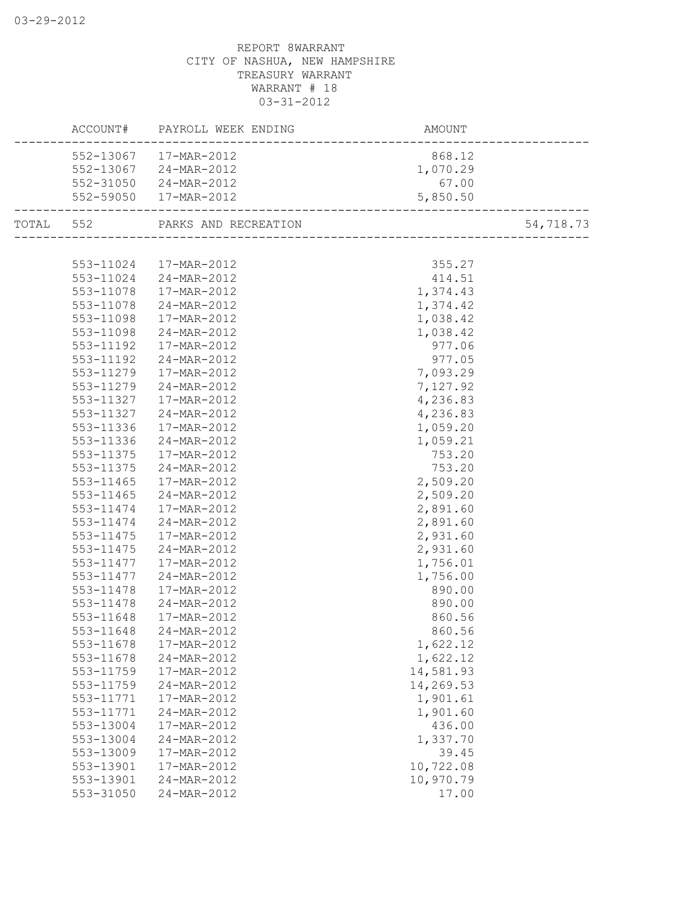|           | ACCOUNT#               | PAYROLL WEEK ENDING        | AMOUNT                          |           |
|-----------|------------------------|----------------------------|---------------------------------|-----------|
|           | 552-13067              | 17-MAR-2012                | 868.12                          |           |
|           | 552-13067              | 24-MAR-2012                | 1,070.29                        |           |
|           | 552-31050              | 24-MAR-2012                | 67.00                           |           |
|           |                        | 552-59050  17-MAR-2012     | 5,850.50<br>___________________ |           |
| TOTAL 552 |                        | PARKS AND RECREATION       | ____________________            | 54,718.73 |
|           |                        |                            |                                 |           |
|           | 553-11024              | 17-MAR-2012                | 355.27                          |           |
|           | 553-11024              | 24-MAR-2012                | 414.51                          |           |
|           | 553-11078              | 17-MAR-2012                | 1,374.43                        |           |
|           | 553-11078              | 24-MAR-2012                | 1,374.42                        |           |
|           | 553-11098              | 17-MAR-2012                | 1,038.42                        |           |
|           | 553-11098              | 24-MAR-2012                | 1,038.42                        |           |
|           | 553-11192              | 17-MAR-2012                | 977.06                          |           |
|           | 553-11192              | 24-MAR-2012                | 977.05                          |           |
|           | 553-11279              | 17-MAR-2012                | 7,093.29                        |           |
|           | 553-11279              | 24-MAR-2012                | 7,127.92                        |           |
|           | 553-11327              | 17-MAR-2012                | 4,236.83                        |           |
|           | 553-11327              | 24-MAR-2012                | 4,236.83                        |           |
|           | 553-11336              | 17-MAR-2012                | 1,059.20                        |           |
|           | 553-11336              | 24-MAR-2012                | 1,059.21                        |           |
|           | 553-11375              | 17-MAR-2012                | 753.20                          |           |
|           | 553-11375              | 24-MAR-2012                | 753.20                          |           |
|           | 553-11465              | 17-MAR-2012                | 2,509.20                        |           |
|           | 553-11465              | 24-MAR-2012                | 2,509.20                        |           |
|           | 553-11474              | 17-MAR-2012                | 2,891.60                        |           |
|           | 553-11474              | 24-MAR-2012                | 2,891.60                        |           |
|           | 553-11475              | 17-MAR-2012                | 2,931.60                        |           |
|           | 553-11475              | 24-MAR-2012                | 2,931.60                        |           |
|           | 553-11477              | 17-MAR-2012                | 1,756.01                        |           |
|           | 553-11477              | 24-MAR-2012                | 1,756.00                        |           |
|           | 553-11478              | 17-MAR-2012                | 890.00                          |           |
|           | 553-11478              | 24-MAR-2012                | 890.00                          |           |
|           | 553-11648              | 17-MAR-2012                | 860.56                          |           |
|           | 553-11648              | 24-MAR-2012                | 860.56                          |           |
|           |                        |                            |                                 |           |
|           | 553-11678<br>553-11678 | 17-MAR-2012<br>24-MAR-2012 | 1,622.12                        |           |
|           |                        |                            | 1,622.12                        |           |
|           | 553-11759              | 17-MAR-2012                | 14,581.93                       |           |
|           | 553-11759              | 24-MAR-2012                | 14,269.53                       |           |
|           | 553-11771              | 17-MAR-2012                | 1,901.61                        |           |
|           | 553-11771              | 24-MAR-2012                | 1,901.60                        |           |
|           | 553-13004              | 17-MAR-2012                | 436.00                          |           |
|           | 553-13004              | 24-MAR-2012                | 1,337.70                        |           |
|           | 553-13009              | 17-MAR-2012                | 39.45                           |           |
|           | 553-13901              | 17-MAR-2012                | 10,722.08                       |           |
|           | 553-13901              | 24-MAR-2012                | 10,970.79                       |           |
|           | 553-31050              | 24-MAR-2012                | 17.00                           |           |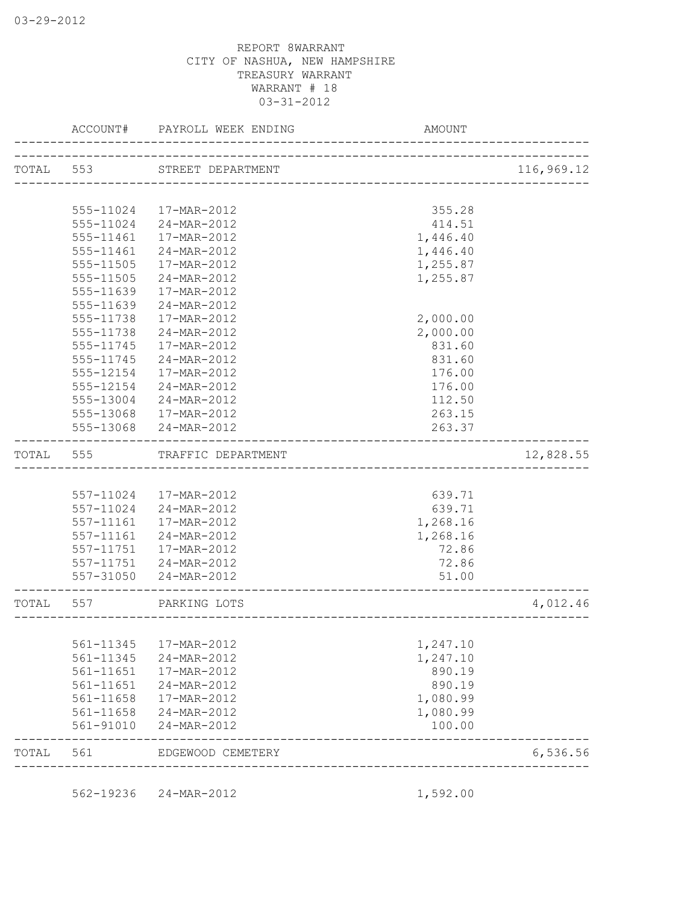|           | ACCOUNT#  | PAYROLL WEEK ENDING   | AMOUNT   |            |
|-----------|-----------|-----------------------|----------|------------|
| TOTAL 553 |           | STREET DEPARTMENT     |          | 116,969.12 |
|           |           |                       |          |            |
|           | 555-11024 | 17-MAR-2012           | 355.28   |            |
|           |           | 555-11024 24-MAR-2012 | 414.51   |            |
|           | 555-11461 | 17-MAR-2012           | 1,446.40 |            |
|           | 555-11461 | 24-MAR-2012           | 1,446.40 |            |
|           | 555-11505 | 17-MAR-2012           | 1,255.87 |            |
|           | 555-11505 | 24-MAR-2012           | 1,255.87 |            |
|           | 555-11639 | 17-MAR-2012           |          |            |
|           | 555-11639 | 24-MAR-2012           |          |            |
|           | 555-11738 | 17-MAR-2012           | 2,000.00 |            |
|           | 555-11738 | 24-MAR-2012           | 2,000.00 |            |
|           | 555-11745 | 17-MAR-2012           | 831.60   |            |
|           | 555-11745 | 24-MAR-2012           | 831.60   |            |
|           | 555-12154 | 17-MAR-2012           | 176.00   |            |
|           | 555-12154 | 24-MAR-2012           | 176.00   |            |
|           | 555-13004 | 24-MAR-2012           | 112.50   |            |
|           | 555-13068 | 17-MAR-2012           | 263.15   |            |
|           | 555-13068 | 24-MAR-2012           | 263.37   |            |
| TOTAL     | 555       | TRAFFIC DEPARTMENT    |          | 12,828.55  |
|           |           |                       |          |            |
|           | 557-11024 | 17-MAR-2012           | 639.71   |            |
|           | 557-11024 | 24-MAR-2012           | 639.71   |            |
|           | 557-11161 | 17-MAR-2012           | 1,268.16 |            |
|           | 557-11161 | 24-MAR-2012           | 1,268.16 |            |
|           | 557-11751 | 17-MAR-2012           | 72.86    |            |
|           | 557-11751 | 24-MAR-2012           | 72.86    |            |
|           | 557-31050 | 24-MAR-2012           | 51.00    |            |
| TOTAL     | 557       | PARKING LOTS          |          | 4,012.46   |
|           |           |                       |          |            |
|           | 561-11345 | 17-MAR-2012           | 1,247.10 |            |
|           | 561-11345 | 24-MAR-2012           | 1,247.10 |            |
|           | 561-11651 | 17-MAR-2012           | 890.19   |            |
|           | 561-11651 | 24-MAR-2012           | 890.19   |            |
|           | 561-11658 | 17-MAR-2012           | 1,080.99 |            |
|           | 561-11658 | 24-MAR-2012           | 1,080.99 |            |
|           | 561-91010 | 24-MAR-2012           | 100.00   |            |
| TOTAL     | 561       | EDGEWOOD CEMETERY     |          | 6,536.56   |

562-19236 24-MAR-2012 1,592.00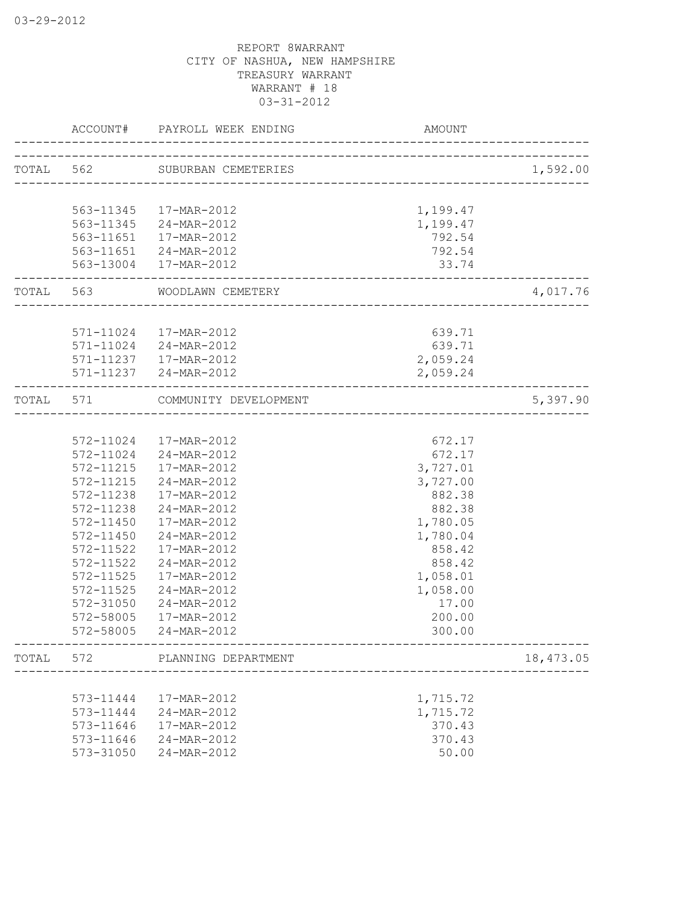|       | ACCOUNT#  | PAYROLL WEEK ENDING                              | <b>AMOUNT</b>              |           |
|-------|-----------|--------------------------------------------------|----------------------------|-----------|
|       |           | TOTAL 562 SUBURBAN CEMETERIES                    | ______________________     | 1,592.00  |
|       |           |                                                  |                            |           |
|       | 563-11345 | 17-MAR-2012                                      | 1,199.47                   |           |
|       | 563-11345 | 24-MAR-2012                                      | 1,199.47                   |           |
|       | 563-11651 | 17-MAR-2012                                      | 792.54                     |           |
|       | 563-11651 | 24-MAR-2012                                      | 792.54                     |           |
|       |           | 563-13004 17-MAR-2012                            | 33.74                      |           |
| TOTAL | 563       | WOODLAWN CEMETERY                                | -------------------------- | 4,017.76  |
|       |           |                                                  |                            |           |
|       |           | 571-11024  17-MAR-2012<br>571-11024 24-MAR-2012  | 639.71                     |           |
|       |           |                                                  | 639.71                     |           |
|       |           | 571-11237   17-MAR-2012<br>571-11237 24-MAR-2012 | 2,059.24                   |           |
|       |           |                                                  | 2,059.24                   |           |
| TOTAL | 571       | COMMUNITY DEVELOPMENT                            |                            | 5,397.90  |
|       |           |                                                  | ----------------------     |           |
|       |           | 572-11024  17-MAR-2012                           | 672.17                     |           |
|       | 572-11024 | 24-MAR-2012                                      | 672.17                     |           |
|       | 572-11215 | 17-MAR-2012                                      | 3,727.01                   |           |
|       | 572-11215 | 24-MAR-2012                                      | 3,727.00                   |           |
|       | 572-11238 | 17-MAR-2012                                      | 882.38                     |           |
|       | 572-11238 | 24-MAR-2012                                      | 882.38                     |           |
|       | 572-11450 | 17-MAR-2012                                      | 1,780.05                   |           |
|       | 572-11450 | 24-MAR-2012                                      | 1,780.04                   |           |
|       | 572-11522 | 17-MAR-2012                                      | 858.42                     |           |
|       | 572-11522 | 24-MAR-2012                                      | 858.42                     |           |
|       | 572-11525 | 17-MAR-2012                                      | 1,058.01                   |           |
|       | 572-11525 | 24-MAR-2012                                      | 1,058.00                   |           |
|       | 572-31050 | 24-MAR-2012                                      | 17.00                      |           |
|       | 572-58005 | 17-MAR-2012                                      | 200.00                     |           |
|       | 572-58005 | 24-MAR-2012                                      | 300.00                     |           |
| TOTAL | 572       | PLANNING DEPARTMENT                              |                            | 18,473.05 |
|       |           |                                                  |                            |           |
|       | 573-11444 | 17-MAR-2012                                      | 1,715.72                   |           |
|       | 573-11444 | 24-MAR-2012                                      | 1,715.72                   |           |
|       | 573-11646 | 17-MAR-2012                                      | 370.43                     |           |
|       | 573-11646 | 24-MAR-2012                                      | 370.43                     |           |
|       | 573-31050 | 24-MAR-2012                                      | 50.00                      |           |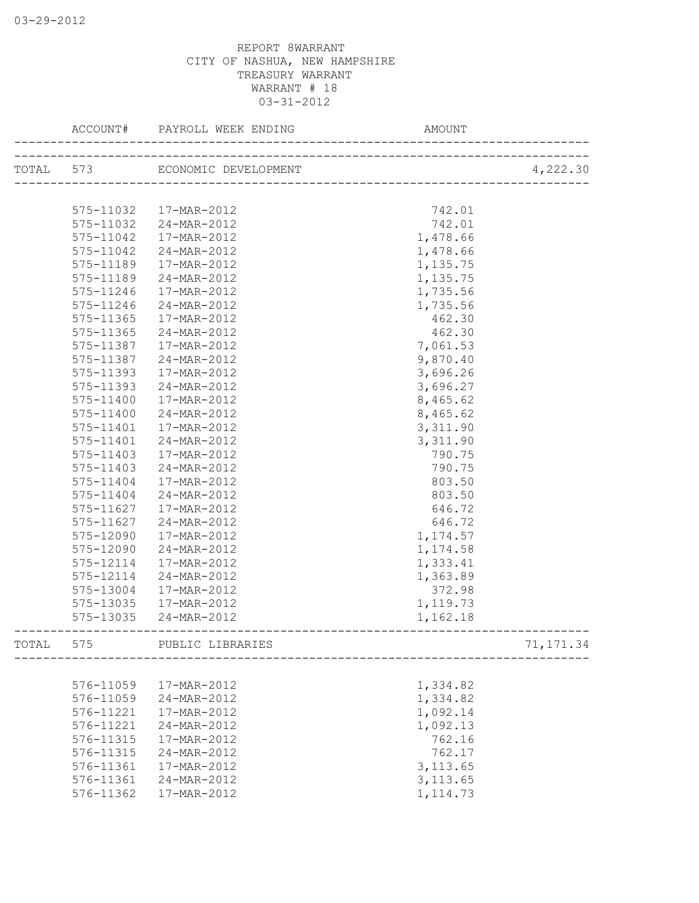|       | ACCOUNT#      | PAYROLL WEEK ENDING            | AMOUNT                  |            |
|-------|---------------|--------------------------------|-------------------------|------------|
|       |               | TOTAL 573 ECONOMIC DEVELOPMENT | _______________________ | 4,222.30   |
|       |               |                                |                         |            |
|       | 575-11032     | 17-MAR-2012                    | 742.01                  |            |
|       | 575-11032     | 24-MAR-2012                    | 742.01                  |            |
|       | 575-11042     | 17-MAR-2012                    | 1,478.66                |            |
|       | 575-11042     | 24-MAR-2012                    | 1,478.66                |            |
|       | 575-11189     | 17-MAR-2012                    | 1,135.75                |            |
|       | 575-11189     | 24-MAR-2012                    | 1,135.75                |            |
|       | 575-11246     | 17-MAR-2012                    | 1,735.56                |            |
|       | 575-11246     | 24-MAR-2012                    | 1,735.56                |            |
|       | 575-11365     | 17-MAR-2012                    | 462.30                  |            |
|       | 575-11365     | 24-MAR-2012                    | 462.30                  |            |
|       | 575-11387     | 17-MAR-2012                    | 7,061.53                |            |
|       | 575-11387     | 24-MAR-2012                    | 9,870.40                |            |
|       | 575-11393     | 17-MAR-2012                    | 3,696.26                |            |
|       | 575-11393     | 24-MAR-2012                    | 3,696.27                |            |
|       | 575-11400     | 17-MAR-2012                    | 8,465.62                |            |
|       | $575 - 11400$ | 24-MAR-2012                    | 8,465.62                |            |
|       | 575-11401     | 17-MAR-2012                    | 3,311.90                |            |
|       | 575-11401     | 24-MAR-2012                    | 3,311.90                |            |
|       | $575 - 11403$ | 17-MAR-2012                    | 790.75                  |            |
|       | 575-11403     | 24-MAR-2012                    | 790.75                  |            |
|       | 575-11404     | 17-MAR-2012                    | 803.50                  |            |
|       | 575-11404     | 24-MAR-2012                    | 803.50                  |            |
|       | 575-11627     | 17-MAR-2012                    | 646.72                  |            |
|       | 575-11627     | 24-MAR-2012                    | 646.72                  |            |
|       | 575-12090     | 17-MAR-2012                    | 1,174.57                |            |
|       | 575-12090     | 24-MAR-2012                    | 1,174.58                |            |
|       | 575-12114     | 17-MAR-2012                    | 1,333.41                |            |
|       | 575-12114     | 24-MAR-2012                    | 1,363.89                |            |
|       | 575-13004     | 17-MAR-2012                    | 372.98                  |            |
|       | 575-13035     | 17-MAR-2012                    | 1,119.73                |            |
|       | 575-13035     | $24 - MAR - 2012$              | 1,162.18                |            |
| TOTAL | 575           | PUBLIC LIBRARIES               |                         | 71, 171.34 |
|       |               |                                |                         |            |
|       | 576-11059     | 17-MAR-2012                    | 1,334.82                |            |
|       | 576-11059     | 24-MAR-2012                    | 1,334.82                |            |
|       | 576-11221     | 17-MAR-2012                    | 1,092.14                |            |
|       | 576-11221     | 24-MAR-2012                    | 1,092.13                |            |
|       | 576-11315     | 17-MAR-2012                    | 762.16                  |            |
|       | 576-11315     | 24-MAR-2012                    | 762.17                  |            |
|       | 576-11361     | 17-MAR-2012                    | 3, 113.65               |            |
|       | 576-11361     | 24-MAR-2012                    | 3, 113.65               |            |
|       | 576-11362     | 17-MAR-2012                    | 1, 114.73               |            |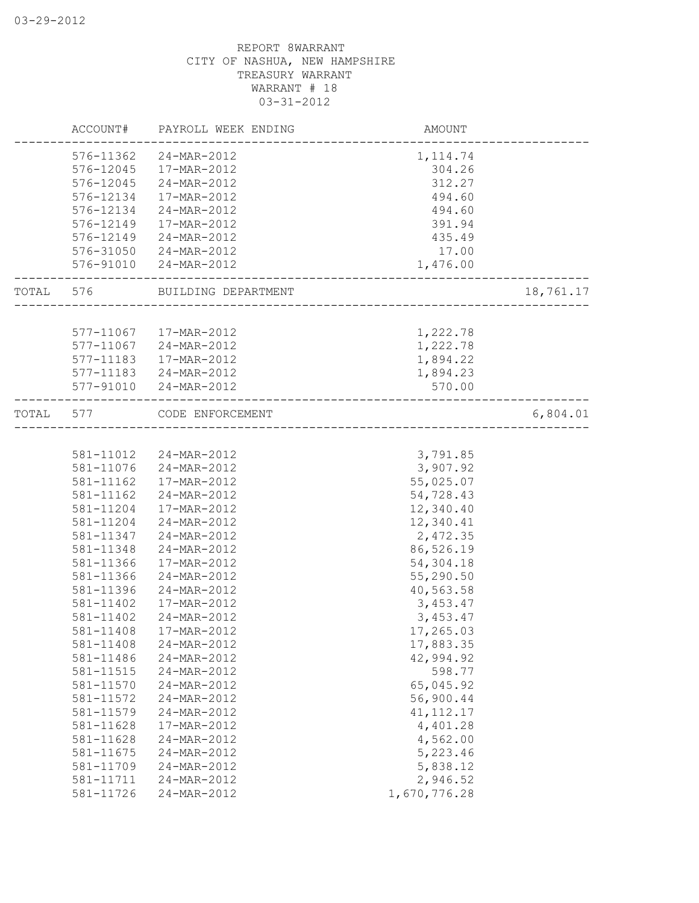|       | ACCOUNT#  | PAYROLL WEEK ENDING    | AMOUNT                   |           |
|-------|-----------|------------------------|--------------------------|-----------|
|       | 576-11362 | 24-MAR-2012            | 1, 114.74                |           |
|       | 576-12045 | 17-MAR-2012            | 304.26                   |           |
|       | 576-12045 | 24-MAR-2012            | 312.27                   |           |
|       | 576-12134 | 17-MAR-2012            | 494.60                   |           |
|       | 576-12134 | 24-MAR-2012            | 494.60                   |           |
|       | 576-12149 | 17-MAR-2012            | 391.94                   |           |
|       | 576-12149 | 24-MAR-2012            | 435.49                   |           |
|       | 576-31050 | 24-MAR-2012            | 17.00                    |           |
|       | 576-91010 | 24-MAR-2012            | 1,476.00                 |           |
| TOTAL | 576       | BUILDING DEPARTMENT    |                          | 18,761.17 |
|       |           |                        |                          |           |
|       |           | 577-11067  17-MAR-2012 | 1,222.78                 |           |
|       |           | 577-11067 24-MAR-2012  | 1,222.78                 |           |
|       | 577-11183 | 17-MAR-2012            | 1,894.22                 |           |
|       |           | 577-11183 24-MAR-2012  | 1,894.23                 |           |
|       |           | 577-91010 24-MAR-2012  | 570.00                   |           |
| TOTAL | 577       | CODE ENFORCEMENT       | ________________________ | 6,804.01  |
|       |           |                        |                          |           |
|       | 581-11012 | 24-MAR-2012            | 3,791.85                 |           |
|       | 581-11076 | 24-MAR-2012            | 3,907.92                 |           |
|       | 581-11162 | 17-MAR-2012            | 55,025.07                |           |
|       | 581-11162 | 24-MAR-2012            | 54,728.43                |           |
|       | 581-11204 | 17-MAR-2012            | 12,340.40                |           |
|       | 581-11204 | 24-MAR-2012            | 12,340.41                |           |
|       | 581-11347 | 24-MAR-2012            | 2,472.35                 |           |
|       | 581-11348 | 24-MAR-2012            | 86,526.19                |           |
|       | 581-11366 | 17-MAR-2012            | 54,304.18                |           |
|       | 581-11366 | 24-MAR-2012            | 55,290.50                |           |
|       | 581-11396 | 24-MAR-2012            | 40,563.58                |           |
|       | 581-11402 | 17-MAR-2012            | 3,453.47                 |           |
|       | 581-11402 | 24-MAR-2012            | 3,453.47                 |           |
|       | 581-11408 | 17-MAR-2012            | 17,265.03                |           |
|       | 581-11408 | 24-MAR-2012            | 17,883.35                |           |
|       | 581-11486 | 24-MAR-2012            | 42,994.92                |           |
|       | 581-11515 | 24-MAR-2012            | 598.77                   |           |
|       | 581-11570 | 24-MAR-2012            | 65,045.92                |           |
|       | 581-11572 | 24-MAR-2012            | 56,900.44                |           |
|       | 581-11579 | 24-MAR-2012            | 41, 112. 17              |           |
|       | 581-11628 | 17-MAR-2012            | 4,401.28                 |           |
|       | 581-11628 | 24-MAR-2012            | 4,562.00                 |           |
|       | 581-11675 |                        |                          |           |
|       |           | 24-MAR-2012            | 5,223.46                 |           |
|       | 581-11709 | 24-MAR-2012            | 5,838.12                 |           |
|       | 581-11711 | 24-MAR-2012            | 2,946.52                 |           |
|       | 581-11726 | 24-MAR-2012            | 1,670,776.28             |           |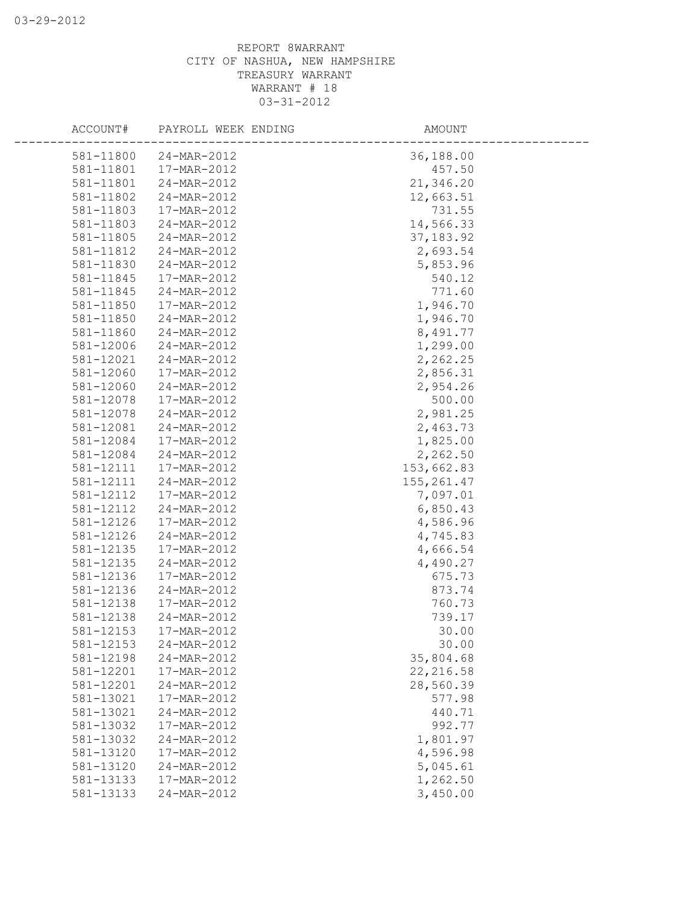| ACCOUNT#  | PAYROLL WEEK ENDING | AMOUNT      |  |
|-----------|---------------------|-------------|--|
| 581-11800 | 24-MAR-2012         | 36,188.00   |  |
| 581-11801 | 17-MAR-2012         | 457.50      |  |
| 581-11801 | 24-MAR-2012         | 21,346.20   |  |
| 581-11802 | 24-MAR-2012         | 12,663.51   |  |
| 581-11803 | 17-MAR-2012         | 731.55      |  |
| 581-11803 | 24-MAR-2012         | 14,566.33   |  |
| 581-11805 | 24-MAR-2012         | 37, 183.92  |  |
| 581-11812 | 24-MAR-2012         | 2,693.54    |  |
| 581-11830 | 24-MAR-2012         | 5,853.96    |  |
| 581-11845 | 17-MAR-2012         | 540.12      |  |
| 581-11845 | 24-MAR-2012         | 771.60      |  |
| 581-11850 | 17-MAR-2012         | 1,946.70    |  |
| 581-11850 | 24-MAR-2012         | 1,946.70    |  |
| 581-11860 | 24-MAR-2012         | 8,491.77    |  |
| 581-12006 | 24-MAR-2012         | 1,299.00    |  |
| 581-12021 | 24-MAR-2012         | 2,262.25    |  |
| 581-12060 | 17-MAR-2012         | 2,856.31    |  |
| 581-12060 | 24-MAR-2012         | 2,954.26    |  |
| 581-12078 | 17-MAR-2012         | 500.00      |  |
| 581-12078 | 24-MAR-2012         | 2,981.25    |  |
| 581-12081 | 24-MAR-2012         | 2,463.73    |  |
| 581-12084 | 17-MAR-2012         | 1,825.00    |  |
| 581-12084 | 24-MAR-2012         | 2,262.50    |  |
| 581-12111 | 17-MAR-2012         | 153,662.83  |  |
| 581-12111 | 24-MAR-2012         | 155, 261.47 |  |
| 581-12112 | 17-MAR-2012         | 7,097.01    |  |
| 581-12112 | 24-MAR-2012         | 6,850.43    |  |
| 581-12126 | 17-MAR-2012         | 4,586.96    |  |
| 581-12126 | 24-MAR-2012         | 4,745.83    |  |
| 581-12135 | 17-MAR-2012         | 4,666.54    |  |
| 581-12135 | 24-MAR-2012         | 4,490.27    |  |
| 581-12136 | 17-MAR-2012         | 675.73      |  |
| 581-12136 | 24-MAR-2012         | 873.74      |  |
| 581-12138 | 17-MAR-2012         | 760.73      |  |
| 581-12138 | 24-MAR-2012         | 739.17      |  |
| 581-12153 | 17-MAR-2012         | 30.00       |  |
| 581-12153 | 24-MAR-2012         | 30.00       |  |
| 581-12198 | 24-MAR-2012         | 35,804.68   |  |
| 581-12201 | 17-MAR-2012         | 22, 216.58  |  |
| 581-12201 | 24-MAR-2012         | 28,560.39   |  |
| 581-13021 | 17-MAR-2012         | 577.98      |  |
| 581-13021 | 24-MAR-2012         | 440.71      |  |
| 581-13032 | 17-MAR-2012         | 992.77      |  |
| 581-13032 | 24-MAR-2012         | 1,801.97    |  |
| 581-13120 | 17-MAR-2012         | 4,596.98    |  |
| 581-13120 | 24-MAR-2012         | 5,045.61    |  |
| 581-13133 | 17-MAR-2012         | 1,262.50    |  |
| 581-13133 | 24-MAR-2012         | 3,450.00    |  |
|           |                     |             |  |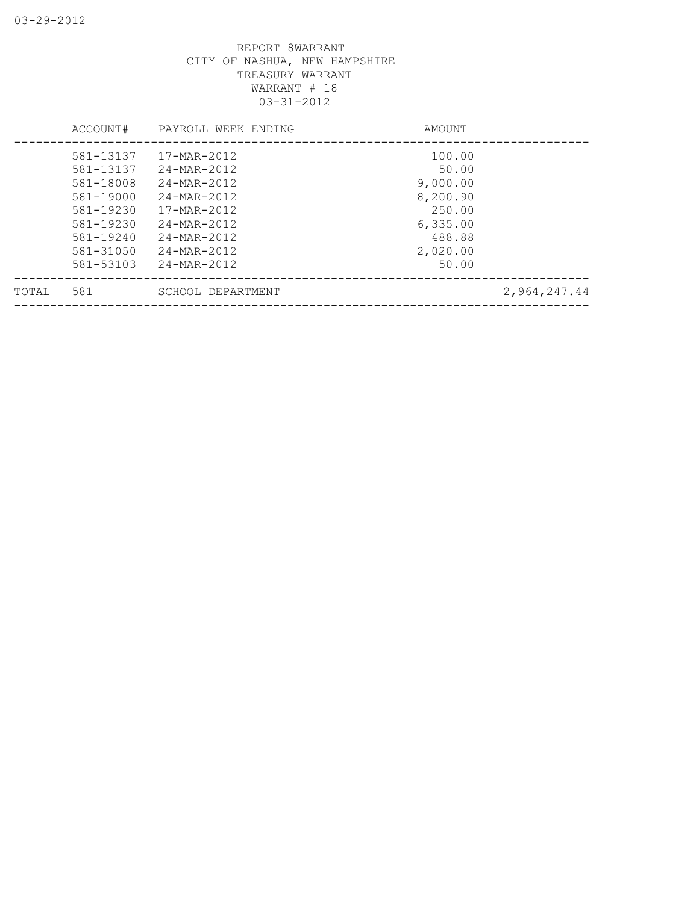|       | ACCOUNT#      | PAYROLL WEEK ENDING | AMOUNT   |              |
|-------|---------------|---------------------|----------|--------------|
|       | 581-13137     | 17-MAR-2012         | 100.00   |              |
|       | 581-13137     | 24-MAR-2012         | 50.00    |              |
|       | 581-18008     | 24-MAR-2012         | 9,000.00 |              |
|       | 581-19000     | 24-MAR-2012         | 8,200.90 |              |
|       | 581-19230     | 17-MAR-2012         | 250.00   |              |
|       | 581-19230     | 24-MAR-2012         | 6,335.00 |              |
|       | 581-19240     | 24-MAR-2012         | 488.88   |              |
|       | $581 - 31050$ | 24-MAR-2012         | 2,020.00 |              |
|       | 581-53103     | 24-MAR-2012         | 50.00    |              |
| TOTAL | 581           | SCHOOL DEPARTMENT   |          | 2,964,247.44 |
|       |               |                     |          |              |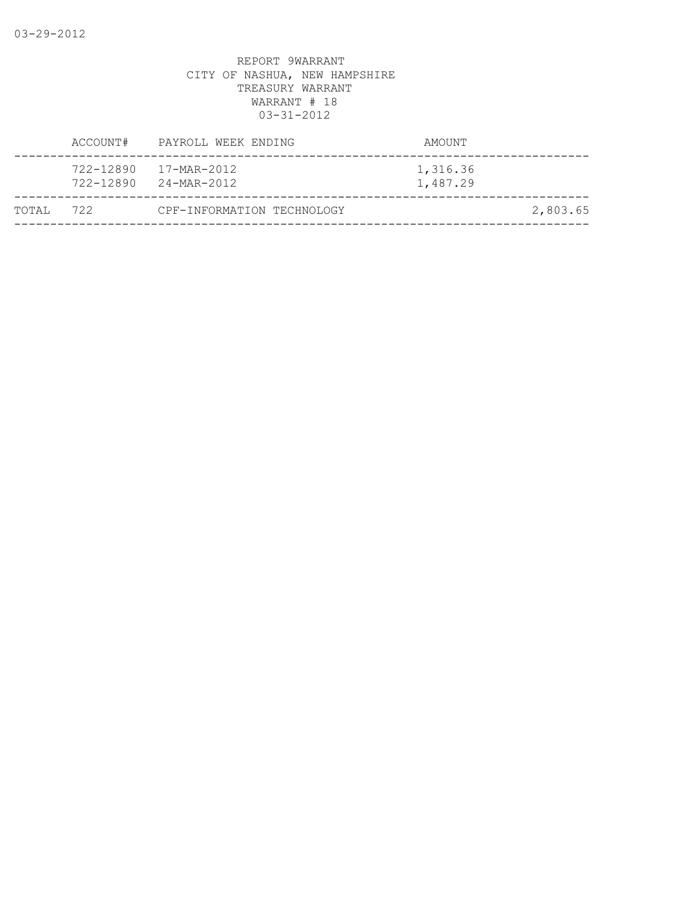|           |           | ACCOUNT# PAYROLL WEEK ENDING                          | AMOUNT               |          |
|-----------|-----------|-------------------------------------------------------|----------------------|----------|
|           | 722-12890 | 17-MAR-2012<br>$722 - 12890$ $24 - \text{MAR} - 2012$ | 1,316.36<br>1,487.29 |          |
| TOTAL 722 |           | CPF-INFORMATION TECHNOLOGY                            |                      | 2,803.65 |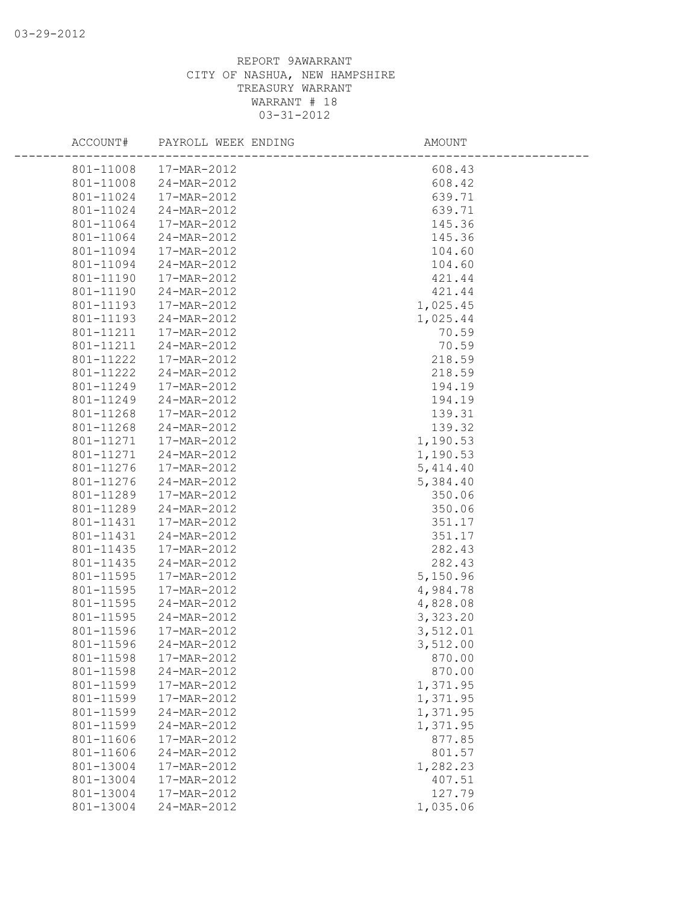| ACCOUNT#               | PAYROLL WEEK ENDING        | AMOUNT             |  |
|------------------------|----------------------------|--------------------|--|
| 801-11008              | 17-MAR-2012                | 608.43             |  |
| 801-11008              | 24-MAR-2012                | 608.42             |  |
| 801-11024              | 17-MAR-2012                | 639.71             |  |
| 801-11024              | 24-MAR-2012                | 639.71             |  |
| 801-11064              | 17-MAR-2012                | 145.36             |  |
| 801-11064              | 24-MAR-2012                | 145.36             |  |
| 801-11094              | 17-MAR-2012                | 104.60             |  |
| 801-11094              | 24-MAR-2012                | 104.60             |  |
| 801-11190              | 17-MAR-2012                | 421.44             |  |
| 801-11190              | 24-MAR-2012                | 421.44             |  |
| 801-11193              | 17-MAR-2012                | 1,025.45           |  |
| 801-11193              | 24-MAR-2012                | 1,025.44           |  |
| 801-11211              | 17-MAR-2012                | 70.59              |  |
| 801-11211              | 24-MAR-2012                | 70.59              |  |
| 801-11222              | 17-MAR-2012                | 218.59             |  |
| 801-11222              | 24-MAR-2012                | 218.59             |  |
| 801-11249              | 17-MAR-2012                | 194.19             |  |
| 801-11249              | 24-MAR-2012                | 194.19             |  |
| 801-11268              | 17-MAR-2012                | 139.31             |  |
| 801-11268              | 24-MAR-2012                | 139.32             |  |
| 801-11271              | 17-MAR-2012                | 1,190.53           |  |
| 801-11271              | 24-MAR-2012                | 1,190.53           |  |
| 801-11276              | 17-MAR-2012                | 5,414.40           |  |
| 801-11276              | 24-MAR-2012                | 5,384.40           |  |
| 801-11289              | 17-MAR-2012                | 350.06             |  |
| 801-11289              | 24-MAR-2012                | 350.06             |  |
| 801-11431              | 17-MAR-2012                | 351.17             |  |
| 801-11431              | 24-MAR-2012                | 351.17             |  |
| 801-11435              | 17-MAR-2012                | 282.43             |  |
| 801-11435              | 24-MAR-2012                | 282.43             |  |
| 801-11595              | 17-MAR-2012                | 5,150.96           |  |
| 801-11595              | 17-MAR-2012                | 4,984.78           |  |
| 801-11595              | 24-MAR-2012                | 4,828.08           |  |
| 801-11595              | 24-MAR-2012                | 3,323.20           |  |
| 801-11596<br>801-11596 | 17-MAR-2012                | 3,512.01           |  |
| 801-11598              | 24-MAR-2012<br>17-MAR-2012 | 3,512.00<br>870.00 |  |
| 801-11598              | 24-MAR-2012                | 870.00             |  |
| 801-11599              | 17-MAR-2012                | 1,371.95           |  |
| 801-11599              | 17-MAR-2012                | 1,371.95           |  |
| 801-11599              | 24-MAR-2012                | 1,371.95           |  |
| 801-11599              | 24-MAR-2012                | 1,371.95           |  |
| 801-11606              | 17-MAR-2012                | 877.85             |  |
| 801-11606              | 24-MAR-2012                | 801.57             |  |
| 801-13004              | 17-MAR-2012                | 1,282.23           |  |
| 801-13004              | 17-MAR-2012                | 407.51             |  |
| 801-13004              | 17-MAR-2012                | 127.79             |  |
| 801-13004              | 24-MAR-2012                | 1,035.06           |  |
|                        |                            |                    |  |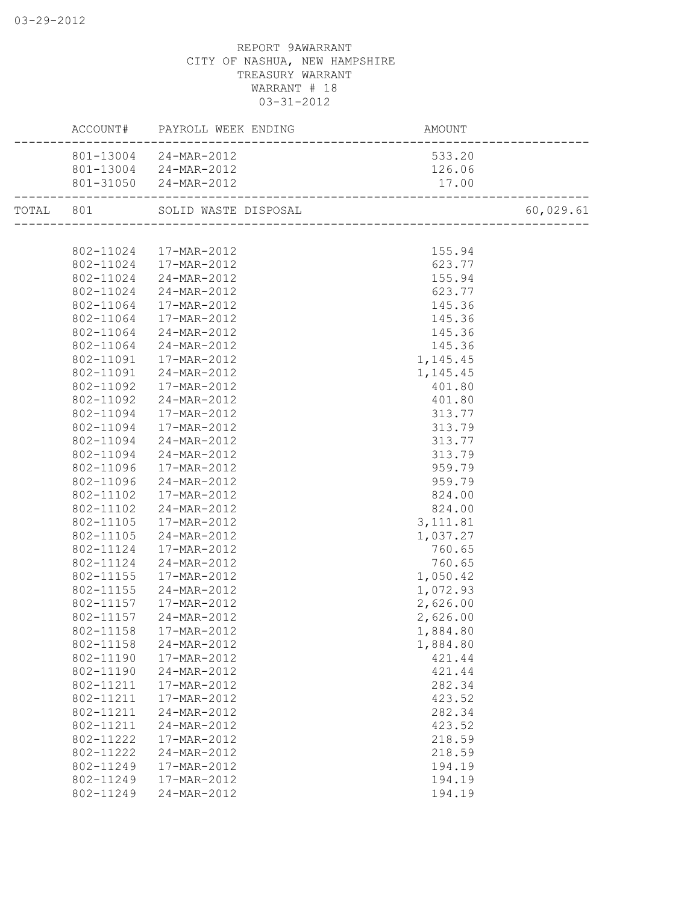|           |                        | ACCOUNT# PAYROLL WEEK ENDING                         | AMOUNT                |           |
|-----------|------------------------|------------------------------------------------------|-----------------------|-----------|
|           |                        | 801-13004 24-MAR-2012                                | 533.20                |           |
|           |                        | 801-13004 24-MAR-2012                                | 126.06                |           |
|           |                        | 801-31050 24-MAR-2012<br>___________________________ | 17.00                 |           |
| TOTAL 801 |                        | SOLID WASTE DISPOSAL                                 |                       | 60,029.61 |
|           |                        |                                                      | --------------------- |           |
|           |                        | 802-11024  17-MAR-2012                               | 155.94                |           |
|           | 802-11024              | 17-MAR-2012                                          | 623.77                |           |
|           | 802-11024              | 24-MAR-2012                                          | 155.94                |           |
|           | 802-11024              | 24-MAR-2012                                          | 623.77                |           |
|           | 802-11064              | 17-MAR-2012                                          | 145.36                |           |
|           | 802-11064              | 17-MAR-2012                                          | 145.36                |           |
|           | 802-11064              | 24-MAR-2012                                          | 145.36                |           |
|           | 802-11064              | 24-MAR-2012                                          | 145.36                |           |
|           | 802-11091              | 17-MAR-2012                                          | 1,145.45              |           |
|           | 802-11091              | 24-MAR-2012                                          | 1,145.45              |           |
|           | 802-11092              | 17-MAR-2012                                          | 401.80                |           |
|           | 802-11092              | 24-MAR-2012                                          | 401.80                |           |
|           | 802-11094              | 17-MAR-2012                                          | 313.77                |           |
|           | 802-11094              | 17-MAR-2012                                          | 313.79                |           |
|           | 802-11094              | 24-MAR-2012                                          | 313.77                |           |
|           | 802-11094              | 24-MAR-2012                                          | 313.79                |           |
|           | 802-11096              | 17-MAR-2012                                          | 959.79                |           |
|           | 802-11096              | 24-MAR-2012                                          | 959.79                |           |
|           | 802-11102              | 17-MAR-2012                                          | 824.00                |           |
|           | 802-11102              | 24-MAR-2012                                          | 824.00                |           |
|           | 802-11105              | 17-MAR-2012                                          | 3, 111.81             |           |
|           | 802-11105              | 24-MAR-2012                                          | 1,037.27              |           |
|           | 802-11124              | 17-MAR-2012                                          | 760.65                |           |
|           | 802-11124              | 24-MAR-2012                                          | 760.65                |           |
|           | 802-11155              | 17-MAR-2012                                          | 1,050.42              |           |
|           | 802-11155              | 24-MAR-2012                                          | 1,072.93              |           |
|           | 802-11157              | 17-MAR-2012                                          | 2,626.00              |           |
|           | 802-11157              | 24-MAR-2012                                          | 2,626.00              |           |
|           | 802-11158              | 17-MAR-2012                                          | 1,884.80              |           |
|           | 802-11158              | 24-MAR-2012                                          |                       |           |
|           |                        | 17-MAR-2012                                          | 1,884.80              |           |
|           | 802-11190<br>802-11190 |                                                      | 421.44                |           |
|           |                        | 24-MAR-2012                                          | 421.44                |           |
|           | 802-11211              | 17-MAR-2012                                          | 282.34                |           |
|           | 802-11211              | 17-MAR-2012                                          | 423.52                |           |
|           | 802-11211              | 24-MAR-2012                                          | 282.34                |           |
|           | 802-11211              | 24-MAR-2012                                          | 423.52                |           |
|           | 802-11222              | 17-MAR-2012                                          | 218.59                |           |
|           | 802-11222              | 24-MAR-2012                                          | 218.59                |           |
|           | 802-11249              | 17-MAR-2012                                          | 194.19                |           |
|           | 802-11249              | 17-MAR-2012                                          | 194.19                |           |
|           | 802-11249              | 24-MAR-2012                                          | 194.19                |           |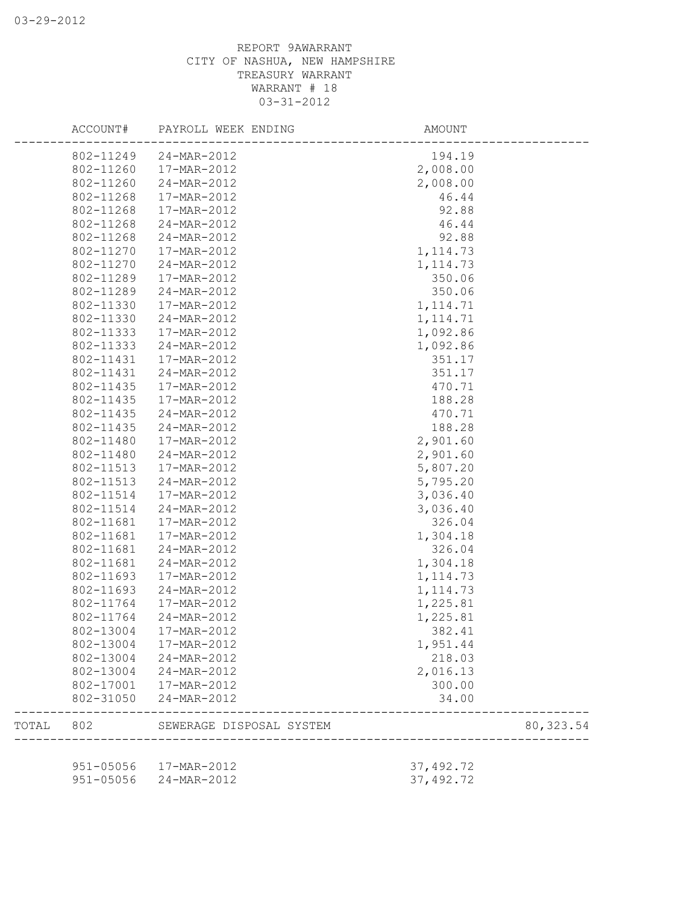|       | ACCOUNT#  | PAYROLL WEEK ENDING      | AMOUNT     |            |
|-------|-----------|--------------------------|------------|------------|
|       | 802-11249 | 24-MAR-2012              | 194.19     |            |
|       | 802-11260 | 17-MAR-2012              | 2,008.00   |            |
|       | 802-11260 | 24-MAR-2012              | 2,008.00   |            |
|       | 802-11268 | 17-MAR-2012              | 46.44      |            |
|       | 802-11268 | 17-MAR-2012              | 92.88      |            |
|       | 802-11268 | 24-MAR-2012              | 46.44      |            |
|       | 802-11268 | 24-MAR-2012              | 92.88      |            |
|       | 802-11270 | 17-MAR-2012              | 1, 114.73  |            |
|       | 802-11270 | 24-MAR-2012              | 1, 114.73  |            |
|       | 802-11289 | 17-MAR-2012              | 350.06     |            |
|       | 802-11289 | 24-MAR-2012              | 350.06     |            |
|       | 802-11330 | 17-MAR-2012              | 1, 114.71  |            |
|       | 802-11330 | 24-MAR-2012              | 1, 114.71  |            |
|       | 802-11333 | 17-MAR-2012              | 1,092.86   |            |
|       | 802-11333 | 24-MAR-2012              | 1,092.86   |            |
|       | 802-11431 | 17-MAR-2012              | 351.17     |            |
|       | 802-11431 | 24-MAR-2012              | 351.17     |            |
|       | 802-11435 | 17-MAR-2012              | 470.71     |            |
|       | 802-11435 | 17-MAR-2012              | 188.28     |            |
|       | 802-11435 | 24-MAR-2012              | 470.71     |            |
|       | 802-11435 | 24-MAR-2012              | 188.28     |            |
|       | 802-11480 | 17-MAR-2012              | 2,901.60   |            |
|       | 802-11480 | 24-MAR-2012              | 2,901.60   |            |
|       | 802-11513 | 17-MAR-2012              | 5,807.20   |            |
|       | 802-11513 | 24-MAR-2012              | 5,795.20   |            |
|       | 802-11514 | 17-MAR-2012              | 3,036.40   |            |
|       | 802-11514 | 24-MAR-2012              | 3,036.40   |            |
|       | 802-11681 | 17-MAR-2012              | 326.04     |            |
|       | 802-11681 | 17-MAR-2012              | 1,304.18   |            |
|       | 802-11681 | 24-MAR-2012              | 326.04     |            |
|       | 802-11681 | 24-MAR-2012              | 1,304.18   |            |
|       | 802-11693 | 17-MAR-2012              | 1, 114.73  |            |
|       | 802-11693 | 24-MAR-2012              | 1, 114.73  |            |
|       | 802-11764 | 17-MAR-2012              | 1,225.81   |            |
|       | 802-11764 | 24-MAR-2012              | 1,225.81   |            |
|       | 802-13004 | 17-MAR-2012              | 382.41     |            |
|       | 802-13004 | 17-MAR-2012              | 1,951.44   |            |
|       | 802-13004 | 24-MAR-2012              | 218.03     |            |
|       | 802-13004 | 24-MAR-2012              | 2,016.13   |            |
|       |           | 802-17001  17-MAR-2012   | 300.00     |            |
|       |           | 802-31050 24-MAR-2012    | 34.00      |            |
| TOTAL | 802       | SEWERAGE DISPOSAL SYSTEM |            | 80, 323.54 |
|       |           |                          |            |            |
|       |           | 951-05056  17-MAR-2012   | 37, 492.72 |            |
|       |           | 951-05056 24-MAR-2012    | 37, 492.72 |            |